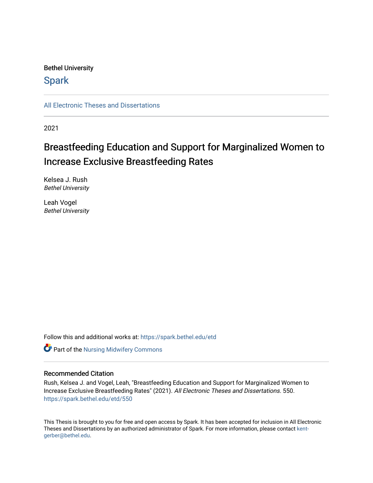# Bethel University

# **Spark**

[All Electronic Theses and Dissertations](https://spark.bethel.edu/etd) 

2021

# Breastfeeding Education and Support for Marginalized Women to Increase Exclusive Breastfeeding Rates

Kelsea J. Rush Bethel University

Leah Vogel Bethel University

Follow this and additional works at: [https://spark.bethel.edu/etd](https://spark.bethel.edu/etd?utm_source=spark.bethel.edu%2Fetd%2F550&utm_medium=PDF&utm_campaign=PDFCoverPages)

**Part of the Nursing Midwifery Commons** 

# Recommended Citation

Rush, Kelsea J. and Vogel, Leah, "Breastfeeding Education and Support for Marginalized Women to Increase Exclusive Breastfeeding Rates" (2021). All Electronic Theses and Dissertations. 550. [https://spark.bethel.edu/etd/550](https://spark.bethel.edu/etd/550?utm_source=spark.bethel.edu%2Fetd%2F550&utm_medium=PDF&utm_campaign=PDFCoverPages)

This Thesis is brought to you for free and open access by Spark. It has been accepted for inclusion in All Electronic Theses and Dissertations by an authorized administrator of Spark. For more information, please contact [kent](mailto:kent-gerber@bethel.edu)[gerber@bethel.edu.](mailto:kent-gerber@bethel.edu)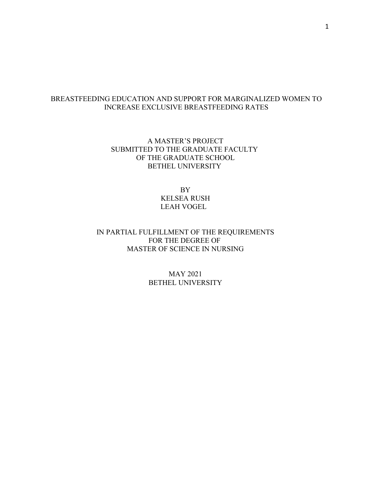# BREASTFEEDING EDUCATION AND SUPPORT FOR MARGINALIZED WOMEN TO INCREASE EXCLUSIVE BREASTFEEDING RATES

# A MASTER'S PROJECT SUBMITTED TO THE GRADUATE FACULTY OF THE GRADUATE SCHOOL BETHEL UNIVERSITY

BY KELSEA RUSH LEAH VOGEL

# IN PARTIAL FULFILLMENT OF THE REQUIREMENTS FOR THE DEGREE OF MASTER OF SCIENCE IN NURSING

# MAY 2021 BETHEL UNIVERSITY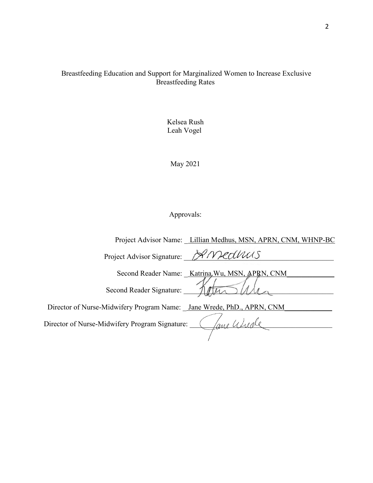# Breastfeeding Education and Support for Marginalized Women to Increase Exclusive Breastfeeding Rates

Kelsea Rush Leah Vogel

May 2021

# Approvals:

| Project Advisor Name: Lillian Medhus, MSN, APRN, CNM, WHNP-BC         |
|-----------------------------------------------------------------------|
| Project Advisor Signature: XMedWUS                                    |
| Second Reader Name: Katrina Wu, MSN, APRN, CNM                        |
| Second Reader Signature:                                              |
| Director of Nurse-Midwifery Program Name: Jane Wrede, PhD., APRN, CNM |
| ane Wude<br>Director of Nurse-Midwifery Program Signature:            |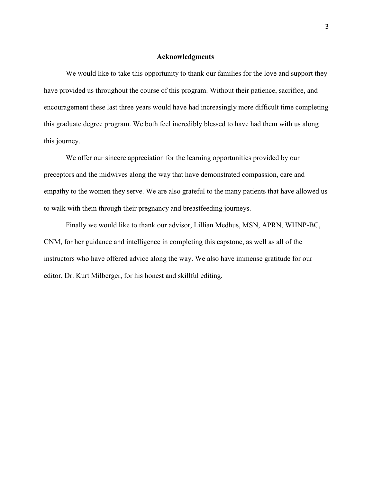#### **Acknowledgments**

We would like to take this opportunity to thank our families for the love and support they have provided us throughout the course of this program. Without their patience, sacrifice, and encouragement these last three years would have had increasingly more difficult time completing this graduate degree program. We both feel incredibly blessed to have had them with us along this journey.

 We offer our sincere appreciation for the learning opportunities provided by our preceptors and the midwives along the way that have demonstrated compassion, care and empathy to the women they serve. We are also grateful to the many patients that have allowed us to walk with them through their pregnancy and breastfeeding journeys.

Finally we would like to thank our advisor, Lillian Medhus, MSN, APRN, WHNP-BC, CNM, for her guidance and intelligence in completing this capstone, as well as all of the instructors who have offered advice along the way. We also have immense gratitude for our editor, Dr. Kurt Milberger, for his honest and skillful editing.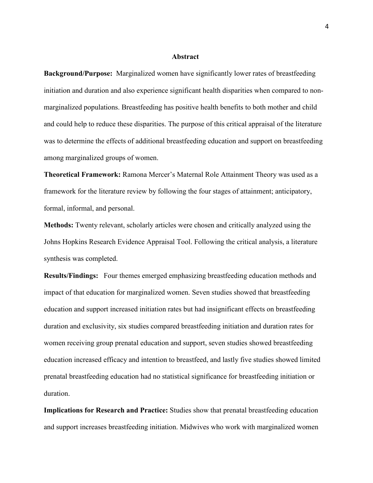#### **Abstract**

**Background/Purpose:** Marginalized women have significantly lower rates of breastfeeding initiation and duration and also experience significant health disparities when compared to nonmarginalized populations. Breastfeeding has positive health benefits to both mother and child and could help to reduce these disparities. The purpose of this critical appraisal of the literature was to determine the effects of additional breastfeeding education and support on breastfeeding among marginalized groups of women.

**Theoretical Framework:** Ramona Mercer's Maternal Role Attainment Theory was used as a framework for the literature review by following the four stages of attainment; anticipatory, formal, informal, and personal.

**Methods:** Twenty relevant, scholarly articles were chosen and critically analyzed using the Johns Hopkins Research Evidence Appraisal Tool. Following the critical analysis, a literature synthesis was completed.

**Results/Findings:** Four themes emerged emphasizing breastfeeding education methods and impact of that education for marginalized women. Seven studies showed that breastfeeding education and support increased initiation rates but had insignificant effects on breastfeeding duration and exclusivity, six studies compared breastfeeding initiation and duration rates for women receiving group prenatal education and support, seven studies showed breastfeeding education increased efficacy and intention to breastfeed, and lastly five studies showed limited prenatal breastfeeding education had no statistical significance for breastfeeding initiation or duration.

**Implications for Research and Practice:** Studies show that prenatal breastfeeding education and support increases breastfeeding initiation. Midwives who work with marginalized women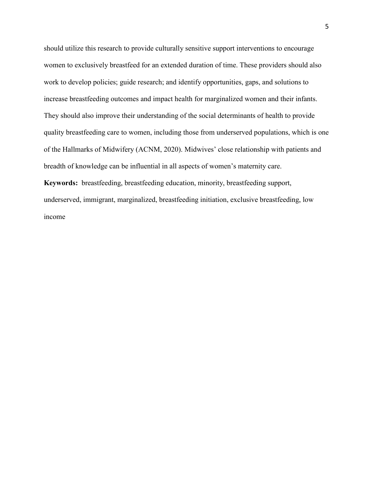should utilize this research to provide culturally sensitive support interventions to encourage women to exclusively breastfeed for an extended duration of time. These providers should also work to develop policies; guide research; and identify opportunities, gaps, and solutions to increase breastfeeding outcomes and impact health for marginalized women and their infants. They should also improve their understanding of the social determinants of health to provide quality breastfeeding care to women, including those from underserved populations, which is one of the Hallmarks of Midwifery (ACNM, 2020). Midwives' close relationship with patients and breadth of knowledge can be influential in all aspects of women's maternity care.

**Keywords:** breastfeeding, breastfeeding education, minority, breastfeeding support, underserved, immigrant, marginalized, breastfeeding initiation, exclusive breastfeeding, low income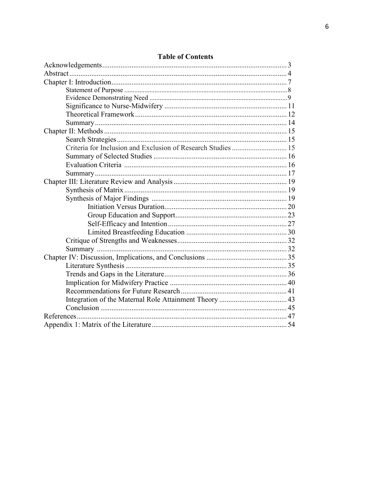| Criteria for Inclusion and Exclusion of Research Studies  15 |  |
|--------------------------------------------------------------|--|
|                                                              |  |
|                                                              |  |
|                                                              |  |
|                                                              |  |
|                                                              |  |
|                                                              |  |
|                                                              |  |
|                                                              |  |
|                                                              |  |
|                                                              |  |
|                                                              |  |
|                                                              |  |
|                                                              |  |
|                                                              |  |
|                                                              |  |
|                                                              |  |
|                                                              |  |
|                                                              |  |
|                                                              |  |
|                                                              |  |
|                                                              |  |

# **Table of Contents**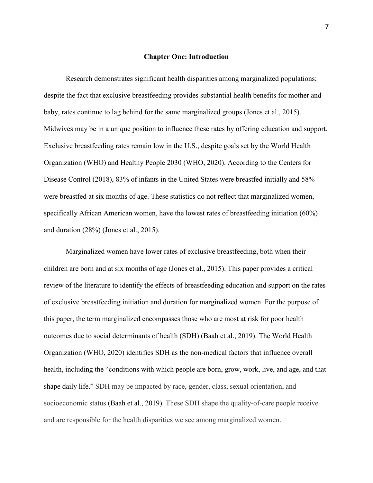#### **Chapter One: Introduction**

Research demonstrates significant health disparities among marginalized populations; despite the fact that exclusive breastfeeding provides substantial health benefits for mother and baby, rates continue to lag behind for the same marginalized groups (Jones et al., 2015). Midwives may be in a unique position to influence these rates by offering education and support. Exclusive breastfeeding rates remain low in the U.S., despite goals set by the World Health Organization (WHO) and Healthy People 2030 (WHO, 2020). According to the Centers for Disease Control (2018), 83% of infants in the United States were breastfed initially and 58% were breastfed at six months of age. These statistics do not reflect that marginalized women, specifically African American women, have the lowest rates of breastfeeding initiation (60%) and duration (28%) (Jones et al., 2015).

Marginalized women have lower rates of exclusive breastfeeding, both when their children are born and at six months of age (Jones et al., 2015). This paper provides a critical review of the literature to identify the effects of breastfeeding education and support on the rates of exclusive breastfeeding initiation and duration for marginalized women. For the purpose of this paper, the term marginalized encompasses those who are most at risk for poor health outcomes due to social determinants of health (SDH) (Baah et al., 2019). The World Health Organization (WHO, 2020) identifies SDH as the non-medical factors that influence overall health, including the "conditions with which people are born, grow, work, live, and age, and that shape daily life." SDH may be impacted by race, gender, class, sexual orientation, and socioeconomic status (Baah et al., 2019). These SDH shape the quality-of-care people receive and are responsible for the health disparities we see among marginalized women.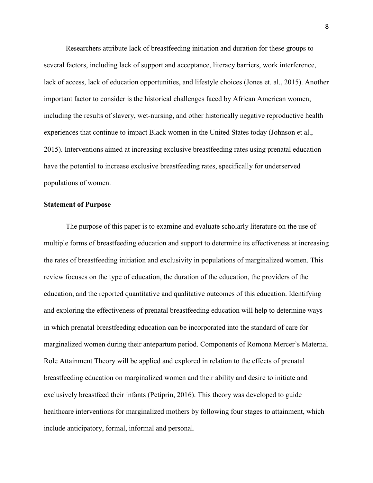Researchers attribute lack of breastfeeding initiation and duration for these groups to several factors, including lack of support and acceptance, literacy barriers, work interference, lack of access, lack of education opportunities, and lifestyle choices (Jones et. al., 2015). Another important factor to consider is the historical challenges faced by African American women, including the results of slavery, wet-nursing, and other historically negative reproductive health experiences that continue to impact Black women in the United States today (Johnson et al., 2015). Interventions aimed at increasing exclusive breastfeeding rates using prenatal education have the potential to increase exclusive breastfeeding rates, specifically for underserved populations of women.

#### **Statement of Purpose**

The purpose of this paper is to examine and evaluate scholarly literature on the use of multiple forms of breastfeeding education and support to determine its effectiveness at increasing the rates of breastfeeding initiation and exclusivity in populations of marginalized women. This review focuses on the type of education, the duration of the education, the providers of the education, and the reported quantitative and qualitative outcomes of this education. Identifying and exploring the effectiveness of prenatal breastfeeding education will help to determine ways in which prenatal breastfeeding education can be incorporated into the standard of care for marginalized women during their antepartum period. Components of Romona Mercer's Maternal Role Attainment Theory will be applied and explored in relation to the effects of prenatal breastfeeding education on marginalized women and their ability and desire to initiate and exclusively breastfeed their infants (Petiprin, 2016). This theory was developed to guide healthcare interventions for marginalized mothers by following four stages to attainment, which include anticipatory, formal, informal and personal.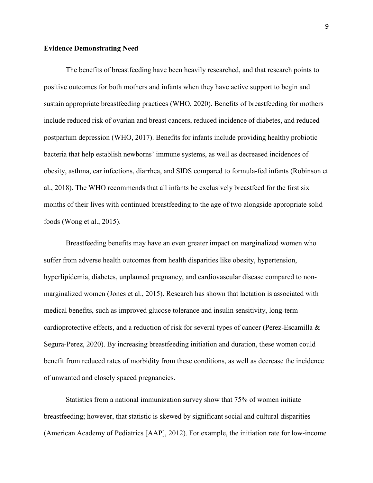#### **Evidence Demonstrating Need**

The benefits of breastfeeding have been heavily researched, and that research points to positive outcomes for both mothers and infants when they have active support to begin and sustain appropriate breastfeeding practices (WHO, 2020). Benefits of breastfeeding for mothers include reduced risk of ovarian and breast cancers, reduced incidence of diabetes, and reduced postpartum depression (WHO, 2017). Benefits for infants include providing healthy probiotic bacteria that help establish newborns' immune systems, as well as decreased incidences of obesity, asthma, ear infections, diarrhea, and SIDS compared to formula-fed infants (Robinson et al., 2018). The WHO recommends that all infants be exclusively breastfeed for the first six months of their lives with continued breastfeeding to the age of two alongside appropriate solid foods (Wong et al., 2015).

Breastfeeding benefits may have an even greater impact on marginalized women who suffer from adverse health outcomes from health disparities like obesity, hypertension, hyperlipidemia, diabetes, unplanned pregnancy, and cardiovascular disease compared to nonmarginalized women (Jones et al., 2015). Research has shown that lactation is associated with medical benefits, such as improved glucose tolerance and insulin sensitivity, long-term cardioprotective effects, and a reduction of risk for several types of cancer (Perez-Escamilla & Segura-Perez, 2020). By increasing breastfeeding initiation and duration, these women could benefit from reduced rates of morbidity from these conditions, as well as decrease the incidence of unwanted and closely spaced pregnancies.

Statistics from a national immunization survey show that 75% of women initiate breastfeeding; however, that statistic is skewed by significant social and cultural disparities (American Academy of Pediatrics [AAP], 2012). For example, the initiation rate for low-income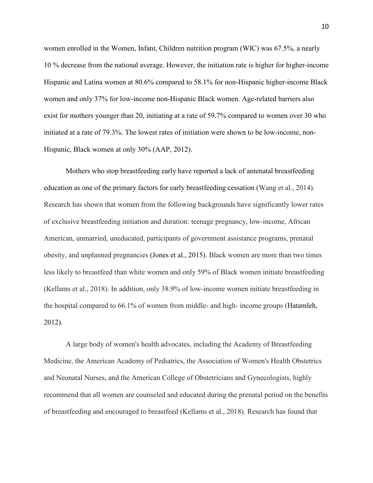women enrolled in the Women, Infant, Children nutrition program (WIC) was 67.5%, a nearly 10 % decrease from the national average. However, the initiation rate is higher for higher-income Hispanic and Latina women at 80.6% compared to 58.1% for non-Hispanic higher-income Black women and only 37% for low-income non-Hispanic Black women. Age-related barriers also exist for mothers younger than 20, initiating at a rate of 59.7% compared to women over 30 who initiated at a rate of 79.3%. The lowest rates of initiation were shown to be low-income, non-Hispanic, Black women at only 30% (AAP, 2012).

Mothers who stop breastfeeding early have reported a lack of antenatal breastfeeding education as one of the primary factors for early breastfeeding cessation (Wang et al., 2014). Research has shown that women from the following backgrounds have significantly lower rates of exclusive breastfeeding initiation and duration: teenage pregnancy, low-income, African American, unmarried, uneducated, participants of government assistance programs, prenatal obesity, and unplanned pregnancies (Jones et al., 2015). Black women are more than two times less likely to breastfeed than white women and only 59% of Black women initiate breastfeeding (Kellams et al., 2018). In addition, only 38.9% of low-income women initiate breastfeeding in the hospital compared to 66.1% of women from middle- and high- income groups (Hatamleh, 2012).

A large body of women's health advocates, including the Academy of Breastfeeding Medicine, the American Academy of Pediatrics, the Association of Women's Health Obstetrics and Neonatal Nurses, and the American College of Obstetricians and Gynecologists, highly recommend that all women are counseled and educated during the prenatal period on the benefits of breastfeeding and encouraged to breastfeed (Kellams et al., 2018). Research has found that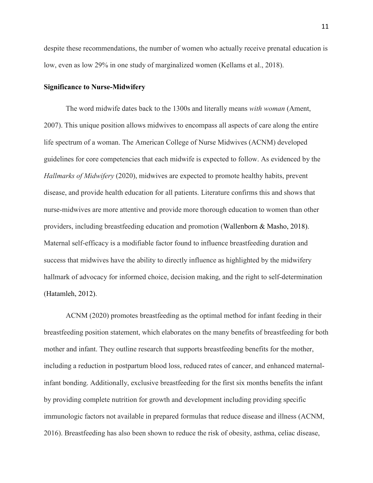despite these recommendations, the number of women who actually receive prenatal education is low, even as low 29% in one study of marginalized women (Kellams et al., 2018).

### **Significance to Nurse-Midwifery**

The word midwife dates back to the 1300s and literally means *with woman* (Ament, 2007). This unique position allows midwives to encompass all aspects of care along the entire life spectrum of a woman. The American College of Nurse Midwives (ACNM) developed guidelines for core competencies that each midwife is expected to follow. As evidenced by the *Hallmarks of Midwifery* (2020), midwives are expected to promote healthy habits, prevent disease, and provide health education for all patients. Literature confirms this and shows that nurse-midwives are more attentive and provide more thorough education to women than other providers, including breastfeeding education and promotion (Wallenborn & Masho, 2018). Maternal self-efficacy is a modifiable factor found to influence breastfeeding duration and success that midwives have the ability to directly influence as highlighted by the midwifery hallmark of advocacy for informed choice, decision making, and the right to self-determination (Hatamleh, 2012).

ACNM (2020) promotes breastfeeding as the optimal method for infant feeding in their breastfeeding position statement, which elaborates on the many benefits of breastfeeding for both mother and infant. They outline research that supports breastfeeding benefits for the mother, including a reduction in postpartum blood loss, reduced rates of cancer, and enhanced maternalinfant bonding. Additionally, exclusive breastfeeding for the first six months benefits the infant by providing complete nutrition for growth and development including providing specific immunologic factors not available in prepared formulas that reduce disease and illness (ACNM, 2016). Breastfeeding has also been shown to reduce the risk of obesity, asthma, celiac disease,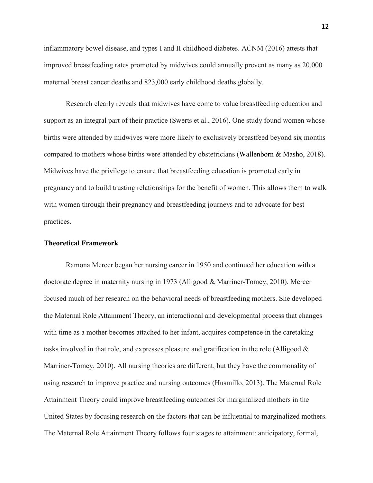inflammatory bowel disease, and types I and II childhood diabetes. ACNM (2016) attests that improved breastfeeding rates promoted by midwives could annually prevent as many as 20,000 maternal breast cancer deaths and 823,000 early childhood deaths globally.

Research clearly reveals that midwives have come to value breastfeeding education and support as an integral part of their practice (Swerts et al., 2016). One study found women whose births were attended by midwives were more likely to exclusively breastfeed beyond six months compared to mothers whose births were attended by obstetricians (Wallenborn & Masho, 2018). Midwives have the privilege to ensure that breastfeeding education is promoted early in pregnancy and to build trusting relationships for the benefit of women. This allows them to walk with women through their pregnancy and breastfeeding journeys and to advocate for best practices.

#### **Theoretical Framework**

Ramona Mercer began her nursing career in 1950 and continued her education with a doctorate degree in maternity nursing in 1973 (Alligood & Marriner-Tomey, 2010). Mercer focused much of her research on the behavioral needs of breastfeeding mothers. She developed the Maternal Role Attainment Theory, an interactional and developmental process that changes with time as a mother becomes attached to her infant, acquires competence in the caretaking tasks involved in that role, and expresses pleasure and gratification in the role (Alligood  $\&$ Marriner-Tomey, 2010). All nursing theories are different, but they have the commonality of using research to improve practice and nursing outcomes (Husmillo, 2013). The Maternal Role Attainment Theory could improve breastfeeding outcomes for marginalized mothers in the United States by focusing research on the factors that can be influential to marginalized mothers. The Maternal Role Attainment Theory follows four stages to attainment: anticipatory, formal,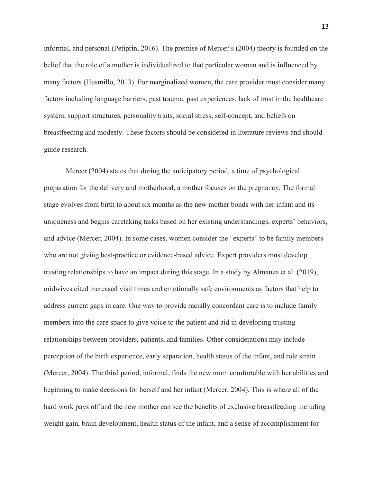informal, and personal (Petiprin, 2016). The premise of Mercer's (2004) theory is founded on the belief that the role of a mother is individualized to that particular woman and is influenced by many factors (Husmillo, 2013). For marginalized women, the care provider must consider many factors including language barriers, past trauma, past experiences, lack of trust in the healthcare system, support structures, personality traits, social stress, self-concept, and beliefs on breastfeeding and modesty. These factors should be considered in literature reviews and should guide research.

Mercer (2004) states that during the anticipatory period, a time of psychological preparation for the delivery and motherhood, a mother focuses on the pregnancy. The formal stage evolves from birth to about six months as the new mother bonds with her infant and its uniqueness and begins caretaking tasks based on her existing understandings, experts' behaviors, and advice (Mercer, 2004). In some cases, women consider the "experts" to be family members who are not giving best-practice or evidence-based advice. Expert providers must develop trusting relationships to have an impact during this stage. In a study by Almanza et al. (2019), midwives cited increased visit times and emotionally safe environments as factors that help to address current gaps in care. One way to provide racially concordant care is to include family members into the care space to give voice to the patient and aid in developing trusting relationships between providers, patients, and families. Other considerations may include perception of the birth experience, early separation, health status of the infant, and role strain (Mercer, 2004). The third period, informal, finds the new mom comfortable with her abilities and beginning to make decisions for herself and her infant (Mercer, 2004). This is where all of the hard work pays off and the new mother can see the benefits of exclusive breastfeeding including weight gain, brain development, health status of the infant, and a sense of accomplishment for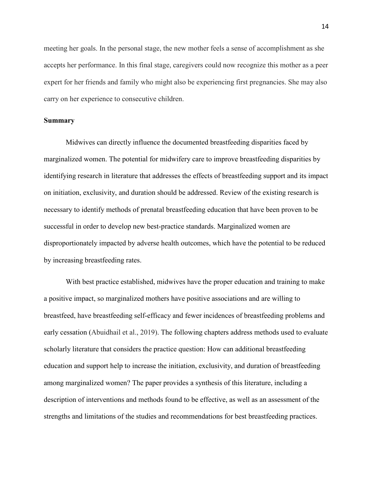meeting her goals. In the personal stage, the new mother feels a sense of accomplishment as she accepts her performance. In this final stage, caregivers could now recognize this mother as a peer expert for her friends and family who might also be experiencing first pregnancies. She may also carry on her experience to consecutive children.

## **Summary**

Midwives can directly influence the documented breastfeeding disparities faced by marginalized women. The potential for midwifery care to improve breastfeeding disparities by identifying research in literature that addresses the effects of breastfeeding support and its impact on initiation, exclusivity, and duration should be addressed. Review of the existing research is necessary to identify methods of prenatal breastfeeding education that have been proven to be successful in order to develop new best-practice standards. Marginalized women are disproportionately impacted by adverse health outcomes, which have the potential to be reduced by increasing breastfeeding rates.

With best practice established, midwives have the proper education and training to make a positive impact, so marginalized mothers have positive associations and are willing to breastfeed, have breastfeeding self-efficacy and fewer incidences of breastfeeding problems and early cessation (Abuidhail et al., 2019). The following chapters address methods used to evaluate scholarly literature that considers the practice question: How can additional breastfeeding education and support help to increase the initiation, exclusivity, and duration of breastfeeding among marginalized women? The paper provides a synthesis of this literature, including a description of interventions and methods found to be effective, as well as an assessment of the strengths and limitations of the studies and recommendations for best breastfeeding practices.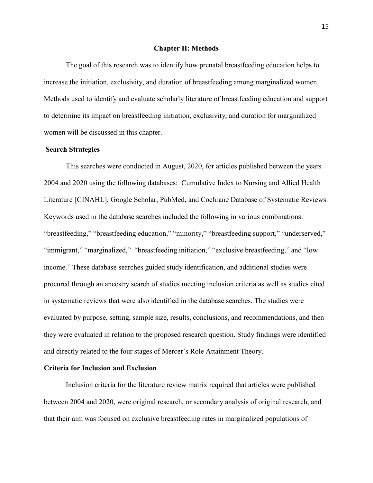#### **Chapter II: Methods**

The goal of this research was to identify how prenatal breastfeeding education helps to increase the initiation, exclusivity, and duration of breastfeeding among marginalized women. Methods used to identify and evaluate scholarly literature of breastfeeding education and support to determine its impact on breastfeeding initiation, exclusivity, and duration for marginalized women will be discussed in this chapter.

### **Search Strategies**

This searches were conducted in August, 2020, for articles published between the years 2004 and 2020 using the following databases: Cumulative Index to Nursing and Allied Health Literature [CINAHL], Google Scholar, PubMed, and Cochrane Database of Systematic Reviews. Keywords used in the database searches included the following in various combinations: "breastfeeding," "breastfeeding education," "minority," "breastfeeding support," "underserved," "immigrant," "marginalized," "breastfeeding initiation," "exclusive breastfeeding," and "low income." These database searches guided study identification, and additional studies were procured through an ancestry search of studies meeting inclusion criteria as well as studies cited in systematic reviews that were also identified in the database searches. The studies were evaluated by purpose, setting, sample size, results, conclusions, and recommendations, and then they were evaluated in relation to the proposed research question. Study findings were identified and directly related to the four stages of Mercer's Role Attainment Theory.

#### **Criteria for Inclusion and Exclusion**

Inclusion criteria for the literature review matrix required that articles were published between 2004 and 2020, were original research, or secondary analysis of original research, and that their aim was focused on exclusive breastfeeding rates in marginalized populations of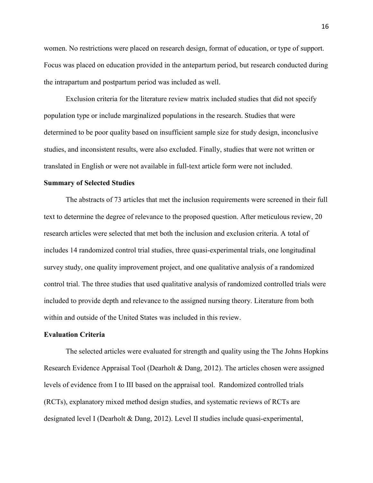women. No restrictions were placed on research design, format of education, or type of support. Focus was placed on education provided in the antepartum period, but research conducted during the intrapartum and postpartum period was included as well.

Exclusion criteria for the literature review matrix included studies that did not specify population type or include marginalized populations in the research. Studies that were determined to be poor quality based on insufficient sample size for study design, inconclusive studies, and inconsistent results, were also excluded. Finally, studies that were not written or translated in English or were not available in full-text article form were not included.

#### **Summary of Selected Studies**

The abstracts of 73 articles that met the inclusion requirements were screened in their full text to determine the degree of relevance to the proposed question. After meticulous review, 20 research articles were selected that met both the inclusion and exclusion criteria. A total of includes 14 randomized control trial studies, three quasi-experimental trials, one longitudinal survey study, one quality improvement project, and one qualitative analysis of a randomized control trial. The three studies that used qualitative analysis of randomized controlled trials were included to provide depth and relevance to the assigned nursing theory. Literature from both within and outside of the United States was included in this review.

#### **Evaluation Criteria**

The selected articles were evaluated for strength and quality using the The Johns Hopkins Research Evidence Appraisal Tool (Dearholt & Dang, 2012). The articles chosen were assigned levels of evidence from I to III based on the appraisal tool. Randomized controlled trials (RCTs), explanatory mixed method design studies, and systematic reviews of RCTs are designated level I (Dearholt & Dang, 2012). Level II studies include quasi-experimental,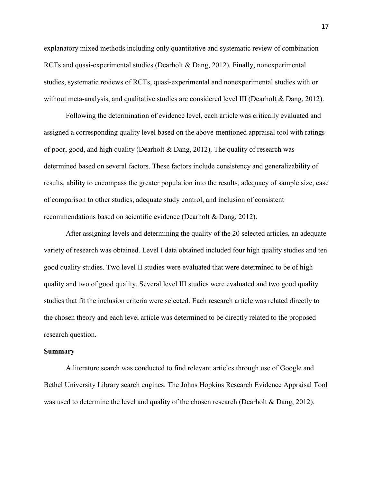explanatory mixed methods including only quantitative and systematic review of combination RCTs and quasi-experimental studies (Dearholt & Dang, 2012). Finally, nonexperimental studies, systematic reviews of RCTs, quasi-experimental and nonexperimental studies with or without meta-analysis, and qualitative studies are considered level III (Dearholt & Dang, 2012).

Following the determination of evidence level, each article was critically evaluated and assigned a corresponding quality level based on the above-mentioned appraisal tool with ratings of poor, good, and high quality (Dearholt & Dang, 2012). The quality of research was determined based on several factors. These factors include consistency and generalizability of results, ability to encompass the greater population into the results, adequacy of sample size, ease of comparison to other studies, adequate study control, and inclusion of consistent recommendations based on scientific evidence (Dearholt & Dang, 2012).

After assigning levels and determining the quality of the 20 selected articles, an adequate variety of research was obtained. Level I data obtained included four high quality studies and ten good quality studies. Two level II studies were evaluated that were determined to be of high quality and two of good quality. Several level III studies were evaluated and two good quality studies that fit the inclusion criteria were selected. Each research article was related directly to the chosen theory and each level article was determined to be directly related to the proposed research question.

#### **Summary**

A literature search was conducted to find relevant articles through use of Google and Bethel University Library search engines. The Johns Hopkins Research Evidence Appraisal Tool was used to determine the level and quality of the chosen research (Dearholt & Dang, 2012).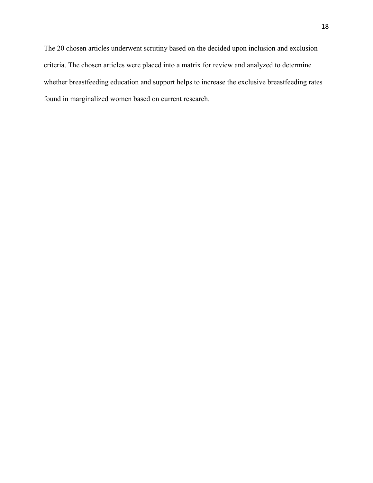The 20 chosen articles underwent scrutiny based on the decided upon inclusion and exclusion criteria. The chosen articles were placed into a matrix for review and analyzed to determine whether breastfeeding education and support helps to increase the exclusive breastfeeding rates found in marginalized women based on current research.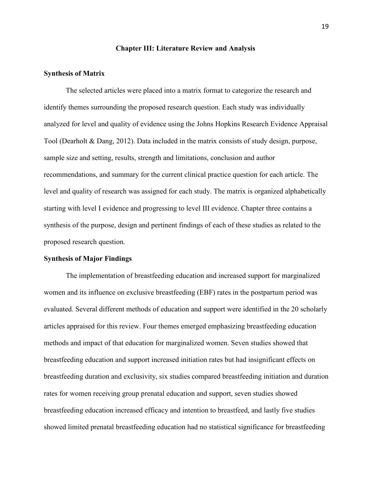#### **Chapter III: Literature Review and Analysis**

#### **Synthesis of Matrix**

The selected articles were placed into a matrix format to categorize the research and identify themes surrounding the proposed research question. Each study was individually analyzed for level and quality of evidence using the Johns Hopkins Research Evidence Appraisal Tool (Dearholt & Dang, 2012). Data included in the matrix consists of study design, purpose, sample size and setting, results, strength and limitations, conclusion and author recommendations, and summary for the current clinical practice question for each article. The level and quality of research was assigned for each study. The matrix is organized alphabetically starting with level I evidence and progressing to level III evidence. Chapter three contains a synthesis of the purpose, design and pertinent findings of each of these studies as related to the proposed research question.

### **Synthesis of Major Findings**

The implementation of breastfeeding education and increased support for marginalized women and its influence on exclusive breastfeeding (EBF) rates in the postpartum period was evaluated. Several different methods of education and support were identified in the 20 scholarly articles appraised for this review. Four themes emerged emphasizing breastfeeding education methods and impact of that education for marginalized women. Seven studies showed that breastfeeding education and support increased initiation rates but had insignificant effects on breastfeeding duration and exclusivity, six studies compared breastfeeding initiation and duration rates for women receiving group prenatal education and support, seven studies showed breastfeeding education increased efficacy and intention to breastfeed, and lastly five studies showed limited prenatal breastfeeding education had no statistical significance for breastfeeding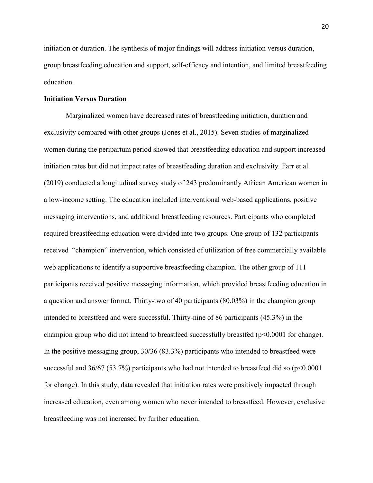initiation or duration. The synthesis of major findings will address initiation versus duration, group breastfeeding education and support, self-efficacy and intention, and limited breastfeeding education.

### **Initiation Versus Duration**

Marginalized women have decreased rates of breastfeeding initiation, duration and exclusivity compared with other groups (Jones et al., 2015). Seven studies of marginalized women during the peripartum period showed that breastfeeding education and support increased initiation rates but did not impact rates of breastfeeding duration and exclusivity. Farr et al. (2019) conducted a longitudinal survey study of 243 predominantly African American women in a low-income setting. The education included interventional web-based applications, positive messaging interventions, and additional breastfeeding resources. Participants who completed required breastfeeding education were divided into two groups. One group of 132 participants received "champion" intervention, which consisted of utilization of free commercially available web applications to identify a supportive breastfeeding champion. The other group of 111 participants received positive messaging information, which provided breastfeeding education in a question and answer format. Thirty-two of 40 participants (80.03%) in the champion group intended to breastfeed and were successful. Thirty-nine of 86 participants (45.3%) in the champion group who did not intend to breastfeed successfully breastfed (p<0.0001 for change). In the positive messaging group, 30/36 (83.3%) participants who intended to breastfeed were successful and  $36/67$  (53.7%) participants who had not intended to breastfeed did so ( $p<0.0001$ ) for change). In this study, data revealed that initiation rates were positively impacted through increased education, even among women who never intended to breastfeed. However, exclusive breastfeeding was not increased by further education.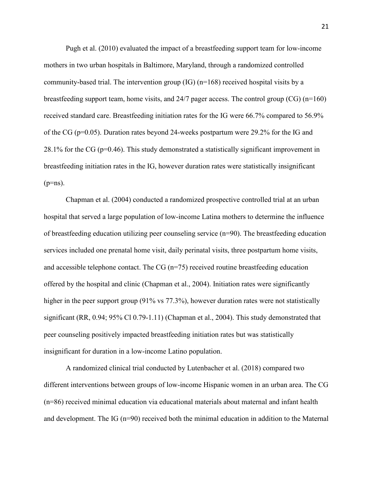Pugh et al. (2010) evaluated the impact of a breastfeeding support team for low-income mothers in two urban hospitals in Baltimore, Maryland, through a randomized controlled community-based trial. The intervention group  $(IG)$  (n=168) received hospital visits by a breastfeeding support team, home visits, and 24/7 pager access. The control group (CG) (n=160) received standard care. Breastfeeding initiation rates for the IG were 66.7% compared to 56.9% of the CG ( $p=0.05$ ). Duration rates beyond 24-weeks postpartum were 29.2% for the IG and 28.1% for the CG ( $p=0.46$ ). This study demonstrated a statistically significant improvement in breastfeeding initiation rates in the IG, however duration rates were statistically insignificant  $(p=ns)$ .

Chapman et al. (2004) conducted a randomized prospective controlled trial at an urban hospital that served a large population of low-income Latina mothers to determine the influence of breastfeeding education utilizing peer counseling service (n=90). The breastfeeding education services included one prenatal home visit, daily perinatal visits, three postpartum home visits, and accessible telephone contact. The CG  $(n=75)$  received routine breastfeeding education offered by the hospital and clinic (Chapman et al., 2004). Initiation rates were significantly higher in the peer support group (91% vs 77.3%), however duration rates were not statistically significant (RR, 0.94; 95% Cl 0.79-1.11) (Chapman et al., 2004). This study demonstrated that peer counseling positively impacted breastfeeding initiation rates but was statistically insignificant for duration in a low-income Latino population.

 A randomized clinical trial conducted by Lutenbacher et al. (2018) compared two different interventions between groups of low-income Hispanic women in an urban area. The CG (n=86) received minimal education via educational materials about maternal and infant health and development. The IG (n=90) received both the minimal education in addition to the Maternal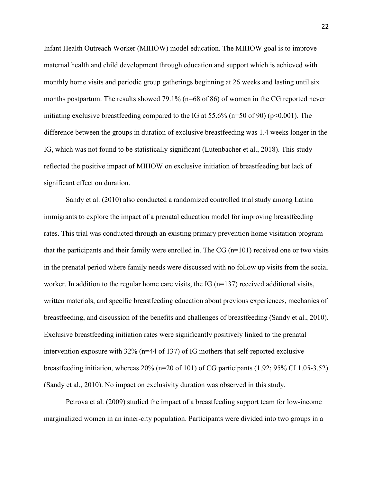Infant Health Outreach Worker (MIHOW) model education. The MIHOW goal is to improve maternal health and child development through education and support which is achieved with monthly home visits and periodic group gatherings beginning at 26 weeks and lasting until six months postpartum. The results showed 79.1% (n=68 of 86) of women in the CG reported never initiating exclusive breastfeeding compared to the IG at 55.6% ( $n=50$  of 90) ( $p<0.001$ ). The difference between the groups in duration of exclusive breastfeeding was 1.4 weeks longer in the IG, which was not found to be statistically significant (Lutenbacher et al., 2018). This study reflected the positive impact of MIHOW on exclusive initiation of breastfeeding but lack of significant effect on duration.

 Sandy et al. (2010) also conducted a randomized controlled trial study among Latina immigrants to explore the impact of a prenatal education model for improving breastfeeding rates. This trial was conducted through an existing primary prevention home visitation program that the participants and their family were enrolled in. The  $CG (n=101)$  received one or two visits in the prenatal period where family needs were discussed with no follow up visits from the social worker. In addition to the regular home care visits, the IG  $(n=137)$  received additional visits, written materials, and specific breastfeeding education about previous experiences, mechanics of breastfeeding, and discussion of the benefits and challenges of breastfeeding (Sandy et al., 2010). Exclusive breastfeeding initiation rates were significantly positively linked to the prenatal intervention exposure with 32% (n=44 of 137) of IG mothers that self-reported exclusive breastfeeding initiation, whereas 20% (n=20 of 101) of CG participants (1.92; 95% CI 1.05-3.52) (Sandy et al., 2010). No impact on exclusivity duration was observed in this study.

 Petrova et al. (2009) studied the impact of a breastfeeding support team for low-income marginalized women in an inner-city population. Participants were divided into two groups in a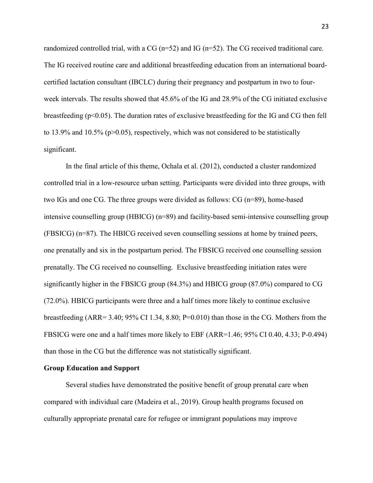randomized controlled trial, with a CG ( $n=52$ ) and IG ( $n=52$ ). The CG received traditional care. The IG received routine care and additional breastfeeding education from an international boardcertified lactation consultant (IBCLC) during their pregnancy and postpartum in two to fourweek intervals. The results showed that 45.6% of the IG and 28.9% of the CG initiated exclusive breastfeeding ( $p<0.05$ ). The duration rates of exclusive breastfeeding for the IG and CG then fell to 13.9% and 10.5% ( $p>0.05$ ), respectively, which was not considered to be statistically significant.

In the final article of this theme, Ochala et al. (2012), conducted a cluster randomized controlled trial in a low-resource urban setting. Participants were divided into three groups, with two IGs and one CG. The three groups were divided as follows: CG (n=89), home-based intensive counselling group (HBICG) (n=89) and facility-based semi-intensive counselling group (FBSICG) (n=87). The HBICG received seven counselling sessions at home by trained peers, one prenatally and six in the postpartum period. The FBSICG received one counselling session prenatally. The CG received no counselling. Exclusive breastfeeding initiation rates were significantly higher in the FBSICG group (84.3%) and HBICG group (87.0%) compared to CG (72.0%). HBICG participants were three and a half times more likely to continue exclusive breastfeeding  $(ARR = 3.40; 95\% \text{ CI } 1.34, 8.80; P = 0.010)$  than those in the CG. Mothers from the FBSICG were one and a half times more likely to EBF (ARR=1.46; 95% CI 0.40, 4.33; P-0.494) than those in the CG but the difference was not statistically significant.

#### **Group Education and Support**

Several studies have demonstrated the positive benefit of group prenatal care when compared with individual care (Madeira et al., 2019). Group health programs focused on culturally appropriate prenatal care for refugee or immigrant populations may improve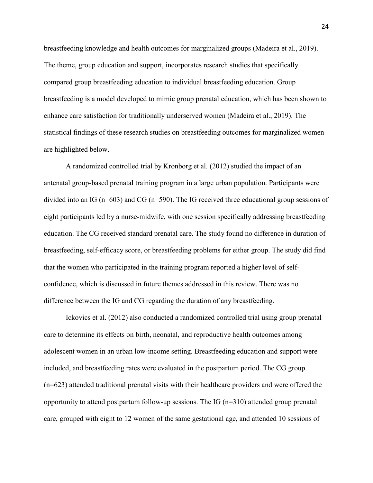breastfeeding knowledge and health outcomes for marginalized groups (Madeira et al., 2019). The theme, group education and support, incorporates research studies that specifically compared group breastfeeding education to individual breastfeeding education. Group breastfeeding is a model developed to mimic group prenatal education, which has been shown to enhance care satisfaction for traditionally underserved women (Madeira et al., 2019). The statistical findings of these research studies on breastfeeding outcomes for marginalized women are highlighted below.

A randomized controlled trial by Kronborg et al. (2012) studied the impact of an antenatal group-based prenatal training program in a large urban population. Participants were divided into an IG (n=603) and CG (n=590). The IG received three educational group sessions of eight participants led by a nurse-midwife, with one session specifically addressing breastfeeding education. The CG received standard prenatal care. The study found no difference in duration of breastfeeding, self-efficacy score, or breastfeeding problems for either group. The study did find that the women who participated in the training program reported a higher level of selfconfidence, which is discussed in future themes addressed in this review. There was no difference between the IG and CG regarding the duration of any breastfeeding.

 Ickovics et al. (2012) also conducted a randomized controlled trial using group prenatal care to determine its effects on birth, neonatal, and reproductive health outcomes among adolescent women in an urban low-income setting. Breastfeeding education and support were included, and breastfeeding rates were evaluated in the postpartum period. The CG group (n=623) attended traditional prenatal visits with their healthcare providers and were offered the opportunity to attend postpartum follow-up sessions. The IG (n=310) attended group prenatal care, grouped with eight to 12 women of the same gestational age, and attended 10 sessions of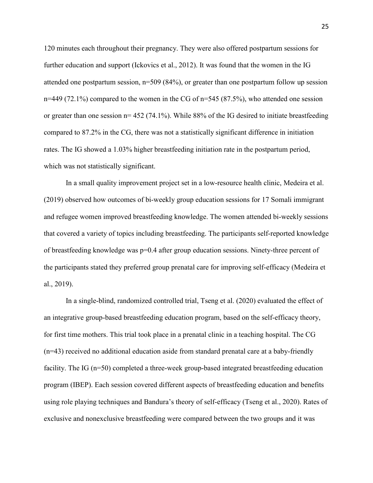120 minutes each throughout their pregnancy. They were also offered postpartum sessions for further education and support (Ickovics et al., 2012). It was found that the women in the IG attended one postpartum session, n=509 (84%), or greater than one postpartum follow up session  $n=449$  (72.1%) compared to the women in the CG of  $n=545$  (87.5%), who attended one session or greater than one session  $n= 452$  (74.1%). While 88% of the IG desired to initiate breastfeeding compared to 87.2% in the CG, there was not a statistically significant difference in initiation rates. The IG showed a 1.03% higher breastfeeding initiation rate in the postpartum period, which was not statistically significant.

In a small quality improvement project set in a low-resource health clinic, Medeira et al. (2019) observed how outcomes of bi-weekly group education sessions for 17 Somali immigrant and refugee women improved breastfeeding knowledge. The women attended bi-weekly sessions that covered a variety of topics including breastfeeding. The participants self-reported knowledge of breastfeeding knowledge was p=0.4 after group education sessions. Ninety-three percent of the participants stated they preferred group prenatal care for improving self-efficacy (Medeira et al., 2019).

In a single-blind, randomized controlled trial, Tseng et al. (2020) evaluated the effect of an integrative group-based breastfeeding education program, based on the self-efficacy theory, for first time mothers. This trial took place in a prenatal clinic in a teaching hospital. The CG (n=43) received no additional education aside from standard prenatal care at a baby-friendly facility. The IG (n=50) completed a three-week group-based integrated breastfeeding education program (IBEP). Each session covered different aspects of breastfeeding education and benefits using role playing techniques and Bandura's theory of self-efficacy (Tseng et al., 2020). Rates of exclusive and nonexclusive breastfeeding were compared between the two groups and it was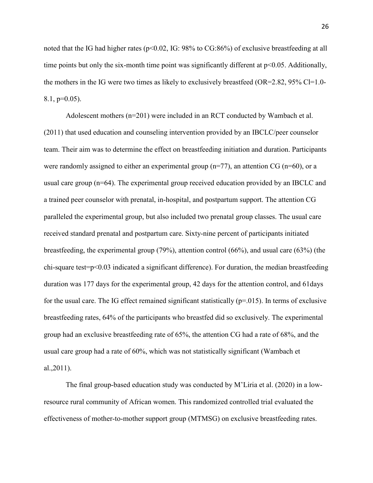noted that the IG had higher rates ( $p<0.02$ , IG: 98% to CG:86%) of exclusive breastfeeding at all time points but only the six-month time point was significantly different at  $p<0.05$ . Additionally, the mothers in the IG were two times as likely to exclusively breastfeed (OR=2.82, 95% Cl=1.0- $8.1, p=0.05$ ).

Adolescent mothers  $(n=201)$  were included in an RCT conducted by Wambach et al. (2011) that used education and counseling intervention provided by an IBCLC/peer counselor team. Their aim was to determine the effect on breastfeeding initiation and duration. Participants were randomly assigned to either an experimental group  $(n=77)$ , an attention CG  $(n=60)$ , or a usual care group (n=64). The experimental group received education provided by an IBCLC and a trained peer counselor with prenatal, in-hospital, and postpartum support. The attention CG paralleled the experimental group, but also included two prenatal group classes. The usual care received standard prenatal and postpartum care. Sixty-nine percent of participants initiated breastfeeding, the experimental group (79%), attention control (66%), and usual care (63%) (the chi-square test=p<0.03 indicated a significant difference). For duration, the median breastfeeding duration was 177 days for the experimental group, 42 days for the attention control, and 61days for the usual care. The IG effect remained significant statistically  $(p=0.015)$ . In terms of exclusive breastfeeding rates, 64% of the participants who breastfed did so exclusively. The experimental group had an exclusive breastfeeding rate of 65%, the attention CG had a rate of 68%, and the usual care group had a rate of 60%, which was not statistically significant (Wambach et al.,2011).

 The final group-based education study was conducted by M'Liria et al. (2020) in a lowresource rural community of African women. This randomized controlled trial evaluated the effectiveness of mother-to-mother support group (MTMSG) on exclusive breastfeeding rates.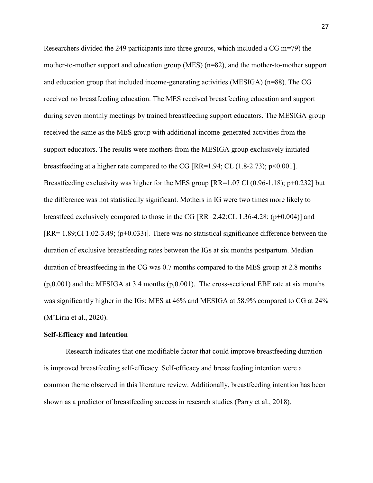Researchers divided the 249 participants into three groups, which included a CG m=79) the mother-to-mother support and education group (MES) (n=82), and the mother-to-mother support and education group that included income-generating activities (MESIGA) (n=88). The CG received no breastfeeding education. The MES received breastfeeding education and support during seven monthly meetings by trained breastfeeding support educators. The MESIGA group received the same as the MES group with additional income-generated activities from the support educators. The results were mothers from the MESIGA group exclusively initiated breastfeeding at a higher rate compared to the CG  $[RR=1.94; CL (1.8-2.73); p<0.001]$ . Breastfeeding exclusivity was higher for the MES group [RR=1.07 Cl (0.96-1.18); p+0.232] but the difference was not statistically significant. Mothers in IG were two times more likely to breastfeed exclusively compared to those in the CG  $[RR=2.42;CL 1.36-4.28; (p+0.004)]$  and [RR= 1.89;Cl 1.02-3.49; (p+0.033)]. There was no statistical significance difference between the duration of exclusive breastfeeding rates between the IGs at six months postpartum. Median duration of breastfeeding in the CG was 0.7 months compared to the MES group at 2.8 months  $(p,0.001)$  and the MESIGA at 3.4 months  $(p,0.001)$ . The cross-sectional EBF rate at six months was significantly higher in the IGs; MES at 46% and MESIGA at 58.9% compared to CG at 24% (M'Liria et al., 2020).

#### **Self-Efficacy and Intention**

Research indicates that one modifiable factor that could improve breastfeeding duration is improved breastfeeding self-efficacy. Self-efficacy and breastfeeding intention were a common theme observed in this literature review. Additionally, breastfeeding intention has been shown as a predictor of breastfeeding success in research studies (Parry et al., 2018).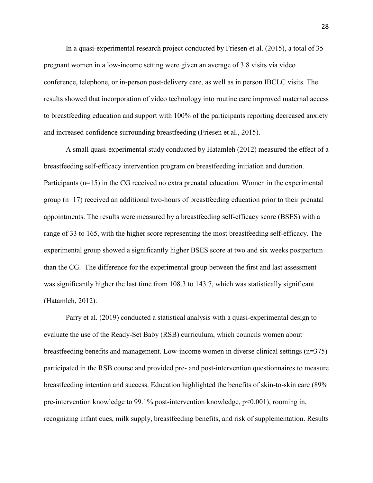In a quasi-experimental research project conducted by Friesen et al. (2015), a total of 35 pregnant women in a low-income setting were given an average of 3.8 visits via video conference, telephone, or in-person post-delivery care, as well as in person IBCLC visits. The results showed that incorporation of video technology into routine care improved maternal access to breastfeeding education and support with 100% of the participants reporting decreased anxiety and increased confidence surrounding breastfeeding (Friesen et al., 2015).

A small quasi-experimental study conducted by Hatamleh (2012) measured the effect of a breastfeeding self-efficacy intervention program on breastfeeding initiation and duration. Participants (n=15) in the CG received no extra prenatal education. Women in the experimental group (n=17) received an additional two-hours of breastfeeding education prior to their prenatal appointments. The results were measured by a breastfeeding self-efficacy score (BSES) with a range of 33 to 165, with the higher score representing the most breastfeeding self-efficacy. The experimental group showed a significantly higher BSES score at two and six weeks postpartum than the CG. The difference for the experimental group between the first and last assessment was significantly higher the last time from 108.3 to 143.7, which was statistically significant (Hatamleh, 2012).

Parry et al. (2019) conducted a statistical analysis with a quasi-experimental design to evaluate the use of the Ready-Set Baby (RSB) curriculum, which councils women about breastfeeding benefits and management. Low-income women in diverse clinical settings (n=375) participated in the RSB course and provided pre- and post-intervention questionnaires to measure breastfeeding intention and success. Education highlighted the benefits of skin-to-skin care (89% pre-intervention knowledge to 99.1% post-intervention knowledge, p<0.001), rooming in, recognizing infant cues, milk supply, breastfeeding benefits, and risk of supplementation. Results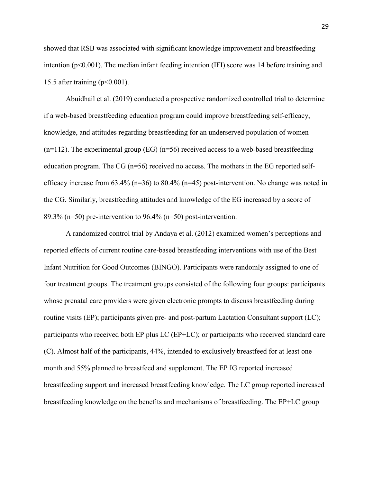showed that RSB was associated with significant knowledge improvement and breastfeeding intention  $(p<0.001)$ . The median infant feeding intention (IFI) score was 14 before training and 15.5 after training  $(p<0.001)$ .

Abuidhail et al. (2019) conducted a prospective randomized controlled trial to determine if a web-based breastfeeding education program could improve breastfeeding self-efficacy, knowledge, and attitudes regarding breastfeeding for an underserved population of women  $(n=112)$ . The experimental group (EG)  $(n=56)$  received access to a web-based breastfeeding education program. The CG  $(n=56)$  received no access. The mothers in the EG reported selfefficacy increase from  $63.4\%$  (n=36) to  $80.4\%$  (n=45) post-intervention. No change was noted in the CG. Similarly, breastfeeding attitudes and knowledge of the EG increased by a score of 89.3% (n=50) pre-intervention to 96.4% (n=50) post-intervention.

A randomized control trial by Andaya et al. (2012) examined women's perceptions and reported effects of current routine care-based breastfeeding interventions with use of the Best Infant Nutrition for Good Outcomes (BINGO). Participants were randomly assigned to one of four treatment groups. The treatment groups consisted of the following four groups: participants whose prenatal care providers were given electronic prompts to discuss breastfeeding during routine visits (EP); participants given pre- and post-partum Lactation Consultant support (LC); participants who received both EP plus LC (EP+LC); or participants who received standard care (C). Almost half of the participants, 44%, intended to exclusively breastfeed for at least one month and 55% planned to breastfeed and supplement. The EP IG reported increased breastfeeding support and increased breastfeeding knowledge. The LC group reported increased breastfeeding knowledge on the benefits and mechanisms of breastfeeding. The EP+LC group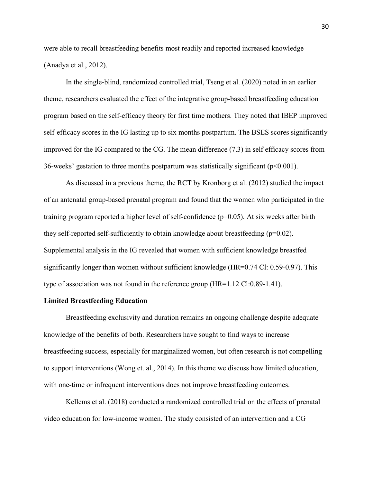were able to recall breastfeeding benefits most readily and reported increased knowledge (Anadya et al., 2012).

In the single-blind, randomized controlled trial, Tseng et al. (2020) noted in an earlier theme, researchers evaluated the effect of the integrative group-based breastfeeding education program based on the self-efficacy theory for first time mothers. They noted that IBEP improved self-efficacy scores in the IG lasting up to six months postpartum. The BSES scores significantly improved for the IG compared to the CG. The mean difference (7.3) in self efficacy scores from 36-weeks' gestation to three months postpartum was statistically significant ( $p<0.001$ ).

As discussed in a previous theme, the RCT by Kronborg et al. (2012) studied the impact of an antenatal group-based prenatal program and found that the women who participated in the training program reported a higher level of self-confidence (p=0.05). At six weeks after birth they self-reported self-sufficiently to obtain knowledge about breastfeeding  $(p=0.02)$ . Supplemental analysis in the IG revealed that women with sufficient knowledge breastfed significantly longer than women without sufficient knowledge (HR=0.74 Cl: 0.59-0.97). This type of association was not found in the reference group (HR=1.12 Cl:0.89-1.41).

## **Limited Breastfeeding Education**

Breastfeeding exclusivity and duration remains an ongoing challenge despite adequate knowledge of the benefits of both. Researchers have sought to find ways to increase breastfeeding success, especially for marginalized women, but often research is not compelling to support interventions (Wong et. al., 2014). In this theme we discuss how limited education, with one-time or infrequent interventions does not improve breastfeeding outcomes.

 Kellems et al. (2018) conducted a randomized controlled trial on the effects of prenatal video education for low-income women. The study consisted of an intervention and a CG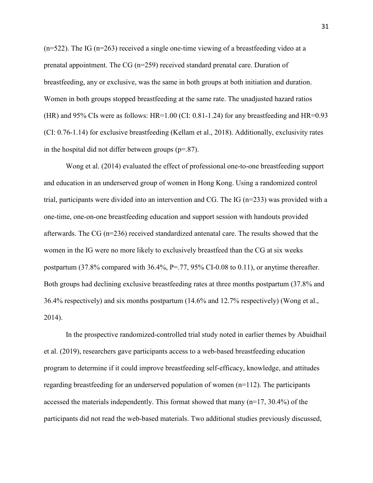$(n=522)$ . The IG ( $n=263$ ) received a single one-time viewing of a breastfeeding video at a prenatal appointment. The CG (n=259) received standard prenatal care. Duration of breastfeeding, any or exclusive, was the same in both groups at both initiation and duration. Women in both groups stopped breastfeeding at the same rate. The unadjusted hazard ratios (HR) and 95% CIs were as follows:  $HR=1.00$  (CI: 0.81-1.24) for any breastfeeding and  $HR=0.93$ (CI: 0.76-1.14) for exclusive breastfeeding (Kellam et al., 2018). Additionally, exclusivity rates in the hospital did not differ between groups  $(p=.87)$ .

Wong et al. (2014) evaluated the effect of professional one-to-one breastfeeding support and education in an underserved group of women in Hong Kong. Using a randomized control trial, participants were divided into an intervention and CG. The IG (n=233) was provided with a one-time, one-on-one breastfeeding education and support session with handouts provided afterwards. The CG (n=236) received standardized antenatal care. The results showed that the women in the IG were no more likely to exclusively breastfeed than the CG at six weeks postpartum  $(37.8\%$  compared with  $36.4\%$ , P=.77, 95% CI-0.08 to 0.11), or anytime thereafter. Both groups had declining exclusive breastfeeding rates at three months postpartum (37.8% and 36.4% respectively) and six months postpartum (14.6% and 12.7% respectively) (Wong et al., 2014).

In the prospective randomized-controlled trial study noted in earlier themes by Abuidhail et al. (2019), researchers gave participants access to a web-based breastfeeding education program to determine if it could improve breastfeeding self-efficacy, knowledge, and attitudes regarding breastfeeding for an underserved population of women (n=112). The participants accessed the materials independently. This format showed that many  $(n=17, 30.4\%)$  of the participants did not read the web-based materials. Two additional studies previously discussed,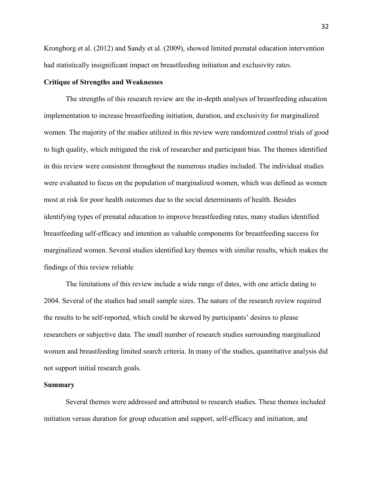Krongborg et al. (2012) and Sandy et al. (2009), showed limited prenatal education intervention had statistically insignificant impact on breastfeeding initiation and exclusivity rates.

### **Critique of Strengths and Weaknesses**

The strengths of this research review are the in-depth analyses of breastfeeding education implementation to increase breastfeeding initiation, duration, and exclusivity for marginalized women. The majority of the studies utilized in this review were randomized control trials of good to high quality, which mitigated the risk of researcher and participant bias. The themes identified in this review were consistent throughout the numerous studies included. The individual studies were evaluated to focus on the population of marginalized women, which was defined as women most at risk for poor health outcomes due to the social determinants of health. Besides identifying types of prenatal education to improve breastfeeding rates, many studies identified breastfeeding self-efficacy and intention as valuable components for breastfeeding success for marginalized women. Several studies identified key themes with similar results, which makes the findings of this review reliable

The limitations of this review include a wide range of dates, with one article dating to 2004. Several of the studies had small sample sizes. The nature of the research review required the results to be self-reported, which could be skewed by participants' desires to please researchers or subjective data. The small number of research studies surrounding marginalized women and breastfeeding limited search criteria. In many of the studies, quantitative analysis did not support initial research goals.

#### **Summary**

Several themes were addressed and attributed to research studies. These themes included initiation versus duration for group education and support, self-efficacy and initiation, and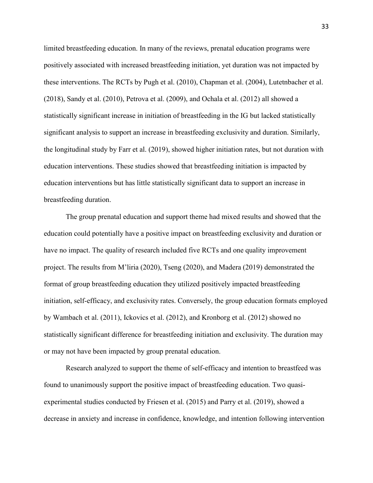limited breastfeeding education. In many of the reviews, prenatal education programs were positively associated with increased breastfeeding initiation, yet duration was not impacted by these interventions. The RCTs by Pugh et al. (2010), Chapman et al. (2004), Lutetnbacher et al. (2018), Sandy et al. (2010), Petrova et al. (2009), and Ochala et al. (2012) all showed a statistically significant increase in initiation of breastfeeding in the IG but lacked statistically significant analysis to support an increase in breastfeeding exclusivity and duration. Similarly, the longitudinal study by Farr et al. (2019), showed higher initiation rates, but not duration with education interventions. These studies showed that breastfeeding initiation is impacted by education interventions but has little statistically significant data to support an increase in breastfeeding duration.

The group prenatal education and support theme had mixed results and showed that the education could potentially have a positive impact on breastfeeding exclusivity and duration or have no impact. The quality of research included five RCTs and one quality improvement project. The results from M'liria (2020), Tseng (2020), and Madera (2019) demonstrated the format of group breastfeeding education they utilized positively impacted breastfeeding initiation, self-efficacy, and exclusivity rates. Conversely, the group education formats employed by Wambach et al. (2011), Ickovics et al. (2012), and Kronborg et al. (2012) showed no statistically significant difference for breastfeeding initiation and exclusivity. The duration may or may not have been impacted by group prenatal education.

Research analyzed to support the theme of self-efficacy and intention to breastfeed was found to unanimously support the positive impact of breastfeeding education. Two quasiexperimental studies conducted by Friesen et al. (2015) and Parry et al. (2019), showed a decrease in anxiety and increase in confidence, knowledge, and intention following intervention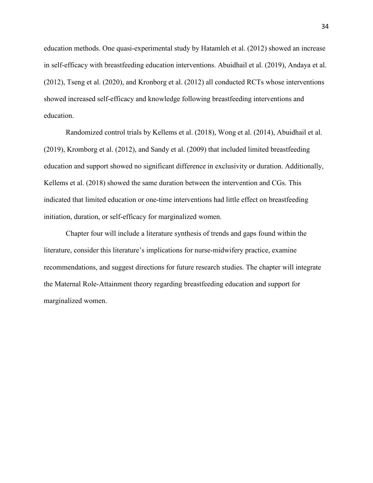education methods. One quasi-experimental study by Hatamleh et al. (2012) showed an increase in self-efficacy with breastfeeding education interventions. Abuidhail et al. (2019), Andaya et al. (2012), Tseng et al. (2020), and Kronborg et al. (2012) all conducted RCTs whose interventions showed increased self-efficacy and knowledge following breastfeeding interventions and education.

Randomized control trials by Kellems et al. (2018), Wong et al. (2014), Abuidhail et al. (2019), Kromborg et al. (2012), and Sandy et al. (2009) that included limited breastfeeding education and support showed no significant difference in exclusivity or duration. Additionally, Kellems et al. (2018) showed the same duration between the intervention and CGs. This indicated that limited education or one-time interventions had little effect on breastfeeding initiation, duration, or self-efficacy for marginalized women.

Chapter four will include a literature synthesis of trends and gaps found within the literature, consider this literature's implications for nurse-midwifery practice, examine recommendations, and suggest directions for future research studies. The chapter will integrate the Maternal Role-Attainment theory regarding breastfeeding education and support for marginalized women.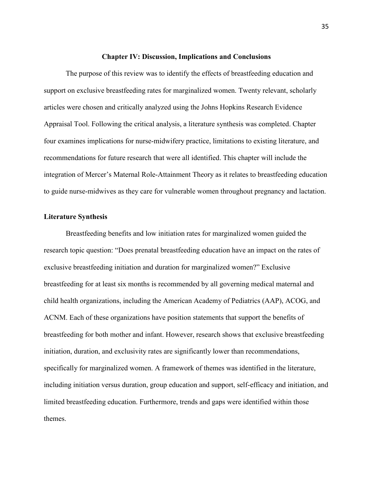#### **Chapter IV: Discussion, Implications and Conclusions**

The purpose of this review was to identify the effects of breastfeeding education and support on exclusive breastfeeding rates for marginalized women. Twenty relevant, scholarly articles were chosen and critically analyzed using the Johns Hopkins Research Evidence Appraisal Tool. Following the critical analysis, a literature synthesis was completed. Chapter four examines implications for nurse-midwifery practice, limitations to existing literature, and recommendations for future research that were all identified. This chapter will include the integration of Mercer's Maternal Role-Attainment Theory as it relates to breastfeeding education to guide nurse-midwives as they care for vulnerable women throughout pregnancy and lactation.

### **Literature Synthesis**

Breastfeeding benefits and low initiation rates for marginalized women guided the research topic question: "Does prenatal breastfeeding education have an impact on the rates of exclusive breastfeeding initiation and duration for marginalized women?" Exclusive breastfeeding for at least six months is recommended by all governing medical maternal and child health organizations, including the American Academy of Pediatrics (AAP), ACOG, and ACNM. Each of these organizations have position statements that support the benefits of breastfeeding for both mother and infant. However, research shows that exclusive breastfeeding initiation, duration, and exclusivity rates are significantly lower than recommendations, specifically for marginalized women. A framework of themes was identified in the literature, including initiation versus duration, group education and support, self-efficacy and initiation, and limited breastfeeding education. Furthermore, trends and gaps were identified within those themes.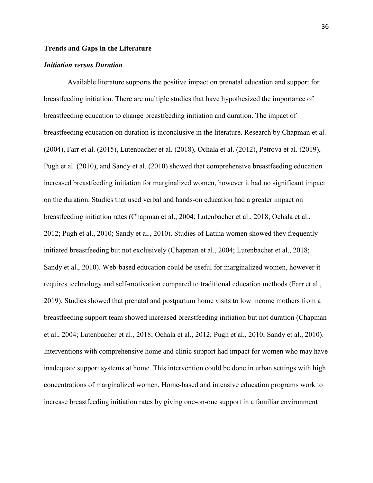### **Trends and Gaps in the Literature**

# *Initiation versus Duration*

 Available literature supports the positive impact on prenatal education and support for breastfeeding initiation. There are multiple studies that have hypothesized the importance of breastfeeding education to change breastfeeding initiation and duration. The impact of breastfeeding education on duration is inconclusive in the literature. Research by Chapman et al. (2004), Farr et al. (2015), Lutenbacher et al. (2018), Ochala et al. (2012), Petrova et al. (2019), Pugh et al. (2010), and Sandy et al. (2010) showed that comprehensive breastfeeding education increased breastfeeding initiation for marginalized women, however it had no significant impact on the duration. Studies that used verbal and hands-on education had a greater impact on breastfeeding initiation rates (Chapman et al., 2004; Lutenbacher et al., 2018; Ochala et al., 2012; Pugh et al., 2010; Sandy et al., 2010). Studies of Latina women showed they frequently initiated breastfeeding but not exclusively (Chapman et al., 2004; Lutenbacher et al., 2018; Sandy et al., 2010). Web-based education could be useful for marginalized women, however it requires technology and self-motivation compared to traditional education methods (Farr et al., 2019). Studies showed that prenatal and postpartum home visits to low income mothers from a breastfeeding support team showed increased breastfeeding initiation but not duration (Chapman et al., 2004; Lutenbacher et al., 2018; Ochala et al., 2012; Pugh et al., 2010; Sandy et al., 2010). Interventions with comprehensive home and clinic support had impact for women who may have inadequate support systems at home. This intervention could be done in urban settings with high concentrations of marginalized women. Home-based and intensive education programs work to increase breastfeeding initiation rates by giving one-on-one support in a familiar environment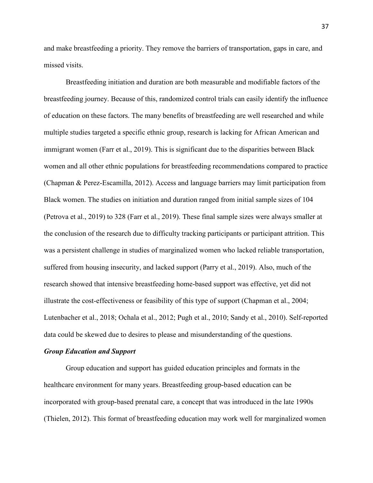and make breastfeeding a priority. They remove the barriers of transportation, gaps in care, and missed visits.

Breastfeeding initiation and duration are both measurable and modifiable factors of the breastfeeding journey. Because of this, randomized control trials can easily identify the influence of education on these factors. The many benefits of breastfeeding are well researched and while multiple studies targeted a specific ethnic group, research is lacking for African American and immigrant women (Farr et al., 2019). This is significant due to the disparities between Black women and all other ethnic populations for breastfeeding recommendations compared to practice (Chapman & Perez-Escamilla, 2012). Access and language barriers may limit participation from Black women. The studies on initiation and duration ranged from initial sample sizes of 104 (Petrova et al., 2019) to 328 (Farr et al., 2019). These final sample sizes were always smaller at the conclusion of the research due to difficulty tracking participants or participant attrition. This was a persistent challenge in studies of marginalized women who lacked reliable transportation, suffered from housing insecurity, and lacked support (Parry et al., 2019). Also, much of the research showed that intensive breastfeeding home-based support was effective, yet did not illustrate the cost-effectiveness or feasibility of this type of support (Chapman et al., 2004; Lutenbacher et al., 2018; Ochala et al., 2012; Pugh et al., 2010; Sandy et al., 2010). Self-reported data could be skewed due to desires to please and misunderstanding of the questions.

#### *Group Education and Support*

Group education and support has guided education principles and formats in the healthcare environment for many years. Breastfeeding group-based education can be incorporated with group-based prenatal care, a concept that was introduced in the late 1990s (Thielen, 2012). This format of breastfeeding education may work well for marginalized women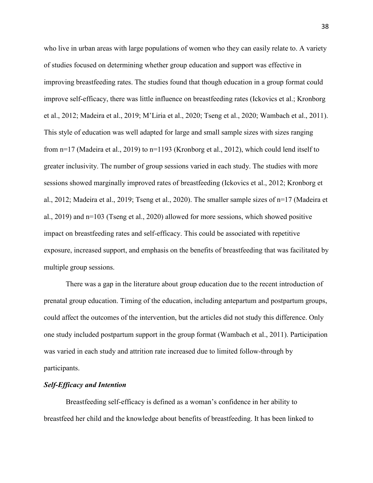who live in urban areas with large populations of women who they can easily relate to. A variety of studies focused on determining whether group education and support was effective in improving breastfeeding rates. The studies found that though education in a group format could improve self-efficacy, there was little influence on breastfeeding rates (Ickovics et al.; Kronborg et al., 2012; Madeira et al., 2019; M'Liria et al., 2020; Tseng et al., 2020; Wambach et al., 2011). This style of education was well adapted for large and small sample sizes with sizes ranging from n=17 (Madeira et al., 2019) to n=1193 (Kronborg et al., 2012), which could lend itself to greater inclusivity. The number of group sessions varied in each study. The studies with more sessions showed marginally improved rates of breastfeeding (Ickovics et al., 2012; Kronborg et al., 2012; Madeira et al., 2019; Tseng et al., 2020). The smaller sample sizes of n=17 (Madeira et al., 2019) and n=103 (Tseng et al., 2020) allowed for more sessions, which showed positive impact on breastfeeding rates and self-efficacy. This could be associated with repetitive exposure, increased support, and emphasis on the benefits of breastfeeding that was facilitated by multiple group sessions.

 There was a gap in the literature about group education due to the recent introduction of prenatal group education. Timing of the education, including antepartum and postpartum groups, could affect the outcomes of the intervention, but the articles did not study this difference. Only one study included postpartum support in the group format (Wambach et al., 2011). Participation was varied in each study and attrition rate increased due to limited follow-through by participants.

#### *Self-Efficacy and Intention*

Breastfeeding self-efficacy is defined as a woman's confidence in her ability to breastfeed her child and the knowledge about benefits of breastfeeding. It has been linked to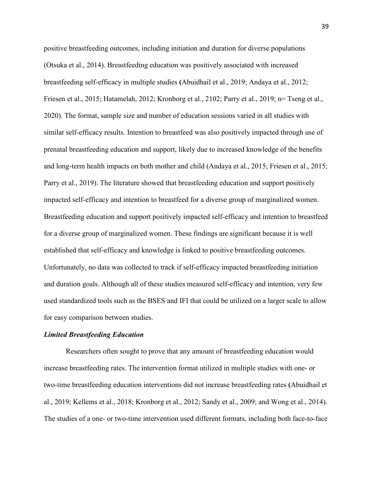positive breastfeeding outcomes, including initiation and duration for diverse populations (Otsuka et al., 2014). Breastfeeding education was positively associated with increased breastfeeding self-efficacy in multiple studies **(**Abuidhail et al., 2019; Andaya et al., 2012; Friesen et al., 2015; Hatamelah, 2012; Kronborg et al., 2102; Parry et al., 2019; n= Tseng et al., 2020). The format, sample size and number of education sessions varied in all studies with similar self-efficacy results. Intention to breastfeed was also positively impacted through use of prenatal breastfeeding education and support, likely due to increased knowledge of the benefits and long-term health impacts on both mother and child (Andaya et al., 2015; Friesen et al., 2015; Parry et al., 2019). The literature showed that breastfeeding education and support positively impacted self-efficacy and intention to breastfeed for a diverse group of marginalized women. Breastfeeding education and support positively impacted self-efficacy and intention to breastfeed for a diverse group of marginalized women. These findings are significant because it is well established that self-efficacy and knowledge is linked to positive breastfeeding outcomes. Unfortunately, no data was collected to track if self-efficacy impacted breastfeeding initiation and duration goals. Although all of these studies measured self-efficacy and intention, very few used standardized tools such as the BSES and IFI that could be utilized on a larger scale to allow for easy comparison between studies.

#### *Limited Breastfeeding Education*

Researchers often sought to prove that any amount of breastfeeding education would increase breastfeeding rates. The intervention format utilized in multiple studies with one- or two-time breastfeeding education interventions did not increase breastfeeding rates **(**Abuidhail et al., 2019; Kellems et al., 2018; Kronborg et al., 2012; Sandy et al., 2009; and Wong et al., 2014). The studies of a one- or two-time intervention used different formats, including both face-to-face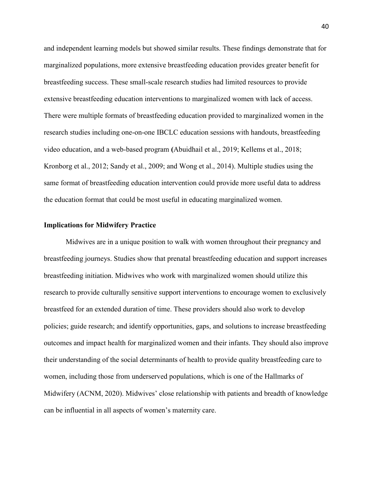and independent learning models but showed similar results. These findings demonstrate that for marginalized populations, more extensive breastfeeding education provides greater benefit for breastfeeding success. These small-scale research studies had limited resources to provide extensive breastfeeding education interventions to marginalized women with lack of access. There were multiple formats of breastfeeding education provided to marginalized women in the research studies including one-on-one IBCLC education sessions with handouts, breastfeeding video education, and a web-based program **(**Abuidhail et al., 2019; Kellems et al., 2018; Kronborg et al., 2012; Sandy et al., 2009; and Wong et al., 2014). Multiple studies using the same format of breastfeeding education intervention could provide more useful data to address the education format that could be most useful in educating marginalized women.

### **Implications for Midwifery Practice**

Midwives are in a unique position to walk with women throughout their pregnancy and breastfeeding journeys. Studies show that prenatal breastfeeding education and support increases breastfeeding initiation. Midwives who work with marginalized women should utilize this research to provide culturally sensitive support interventions to encourage women to exclusively breastfeed for an extended duration of time. These providers should also work to develop policies; guide research; and identify opportunities, gaps, and solutions to increase breastfeeding outcomes and impact health for marginalized women and their infants. They should also improve their understanding of the social determinants of health to provide quality breastfeeding care to women, including those from underserved populations, which is one of the Hallmarks of Midwifery (ACNM, 2020). Midwives' close relationship with patients and breadth of knowledge can be influential in all aspects of women's maternity care.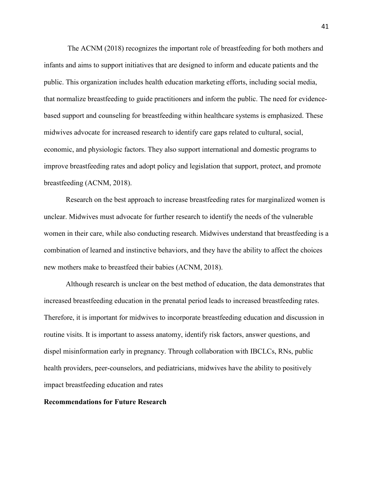The ACNM (2018) recognizes the important role of breastfeeding for both mothers and infants and aims to support initiatives that are designed to inform and educate patients and the public. This organization includes health education marketing efforts, including social media, that normalize breastfeeding to guide practitioners and inform the public. The need for evidencebased support and counseling for breastfeeding within healthcare systems is emphasized. These midwives advocate for increased research to identify care gaps related to cultural, social, economic, and physiologic factors. They also support international and domestic programs to improve breastfeeding rates and adopt policy and legislation that support, protect, and promote breastfeeding (ACNM, 2018).

Research on the best approach to increase breastfeeding rates for marginalized women is unclear. Midwives must advocate for further research to identify the needs of the vulnerable women in their care, while also conducting research. Midwives understand that breastfeeding is a combination of learned and instinctive behaviors, and they have the ability to affect the choices new mothers make to breastfeed their babies (ACNM, 2018).

Although research is unclear on the best method of education, the data demonstrates that increased breastfeeding education in the prenatal period leads to increased breastfeeding rates. Therefore, it is important for midwives to incorporate breastfeeding education and discussion in routine visits. It is important to assess anatomy, identify risk factors, answer questions, and dispel misinformation early in pregnancy. Through collaboration with IBCLCs, RNs, public health providers, peer-counselors, and pediatricians, midwives have the ability to positively impact breastfeeding education and rates

# **Recommendations for Future Research**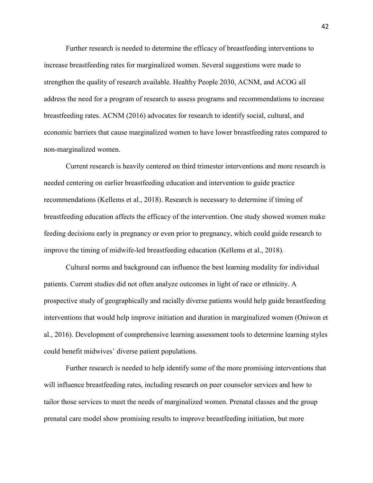Further research is needed to determine the efficacy of breastfeeding interventions to increase breastfeeding rates for marginalized women. Several suggestions were made to strengthen the quality of research available. Healthy People 2030, ACNM, and ACOG all address the need for a program of research to assess programs and recommendations to increase breastfeeding rates. ACNM (2016) advocates for research to identify social, cultural, and economic barriers that cause marginalized women to have lower breastfeeding rates compared to non-marginalized women.

Current research is heavily centered on third trimester interventions and more research is needed centering on earlier breastfeeding education and intervention to guide practice recommendations (Kellems et al., 2018). Research is necessary to determine if timing of breastfeeding education affects the efficacy of the intervention. One study showed women make feeding decisions early in pregnancy or even prior to pregnancy, which could guide research to improve the timing of midwife-led breastfeeding education (Kellems et al., 2018).

Cultural norms and background can influence the best learning modality for individual patients. Current studies did not often analyze outcomes in light of race or ethnicity. A prospective study of geographically and racially diverse patients would help guide breastfeeding interventions that would help improve initiation and duration in marginalized women (Oniwon et al., 2016). Development of comprehensive learning assessment tools to determine learning styles could benefit midwives' diverse patient populations.

Further research is needed to help identify some of the more promising interventions that will influence breastfeeding rates, including research on peer counselor services and how to tailor those services to meet the needs of marginalized women. Prenatal classes and the group prenatal care model show promising results to improve breastfeeding initiation, but more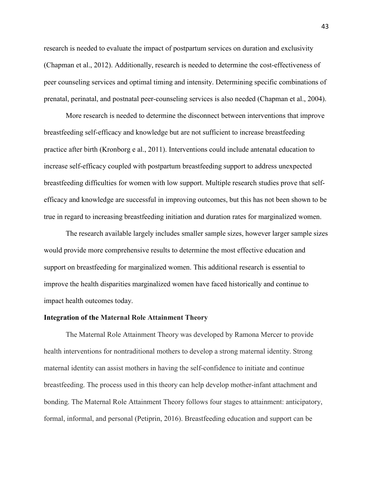research is needed to evaluate the impact of postpartum services on duration and exclusivity (Chapman et al., 2012). Additionally, research is needed to determine the cost-effectiveness of peer counseling services and optimal timing and intensity. Determining specific combinations of prenatal, perinatal, and postnatal peer-counseling services is also needed (Chapman et al., 2004).

More research is needed to determine the disconnect between interventions that improve breastfeeding self-efficacy and knowledge but are not sufficient to increase breastfeeding practice after birth (Kronborg e al., 2011). Interventions could include antenatal education to increase self-efficacy coupled with postpartum breastfeeding support to address unexpected breastfeeding difficulties for women with low support. Multiple research studies prove that selfefficacy and knowledge are successful in improving outcomes, but this has not been shown to be true in regard to increasing breastfeeding initiation and duration rates for marginalized women.

The research available largely includes smaller sample sizes, however larger sample sizes would provide more comprehensive results to determine the most effective education and support on breastfeeding for marginalized women. This additional research is essential to improve the health disparities marginalized women have faced historically and continue to impact health outcomes today.

# **Integration of the Maternal Role Attainment Theory**

The Maternal Role Attainment Theory was developed by Ramona Mercer to provide health interventions for nontraditional mothers to develop a strong maternal identity. Strong maternal identity can assist mothers in having the self-confidence to initiate and continue breastfeeding. The process used in this theory can help develop mother-infant attachment and bonding. The Maternal Role Attainment Theory follows four stages to attainment: anticipatory, formal, informal, and personal (Petiprin, 2016). Breastfeeding education and support can be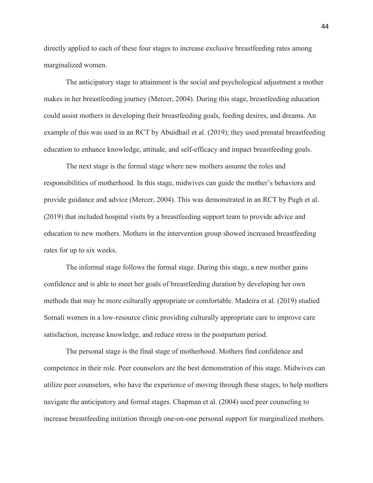directly applied to each of these four stages to increase exclusive breastfeeding rates among marginalized women.

The anticipatory stage to attainment is the social and psychological adjustment a mother makes in her breastfeeding journey (Mercer, 2004). During this stage, breastfeeding education could assist mothers in developing their breastfeeding goals, feeding desires, and dreams. An example of this was used in an RCT by Abuidhail et al. (2019); they used prenatal breastfeeding education to enhance knowledge, attitude, and self-efficacy and impact breastfeeding goals.

The next stage is the formal stage where new mothers assume the roles and responsibilities of motherhood. In this stage, midwives can guide the mother's behaviors and provide guidance and advice (Mercer, 2004). This was demonstrated in an RCT by Pugh et al. (2019) that included hospital visits by a breastfeeding support team to provide advice and education to new mothers. Mothers in the intervention group showed increased breastfeeding rates for up to six weeks.

The informal stage follows the formal stage. During this stage, a new mother gains confidence and is able to meet her goals of breastfeeding duration by developing her own methods that may be more culturally appropriate or comfortable. Madeira et al. (2019) studied Somali women in a low-resource clinic providing culturally appropriate care to improve care satisfaction, increase knowledge, and reduce stress in the postpartum period.

The personal stage is the final stage of motherhood. Mothers find confidence and competence in their role. Peer counselors are the best demonstration of this stage. Midwives can utilize peer counselors, who have the experience of moving through these stages, to help mothers navigate the anticipatory and formal stages. Chapman et al. (2004) used peer counseling to increase breastfeeding initiation through one-on-one personal support for marginalized mothers.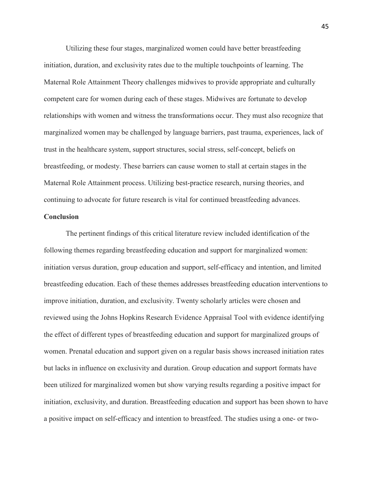Utilizing these four stages, marginalized women could have better breastfeeding initiation, duration, and exclusivity rates due to the multiple touchpoints of learning. The Maternal Role Attainment Theory challenges midwives to provide appropriate and culturally competent care for women during each of these stages. Midwives are fortunate to develop relationships with women and witness the transformations occur. They must also recognize that marginalized women may be challenged by language barriers, past trauma, experiences, lack of trust in the healthcare system, support structures, social stress, self-concept, beliefs on breastfeeding, or modesty. These barriers can cause women to stall at certain stages in the Maternal Role Attainment process. Utilizing best-practice research, nursing theories, and continuing to advocate for future research is vital for continued breastfeeding advances.

# **Conclusion**

The pertinent findings of this critical literature review included identification of the following themes regarding breastfeeding education and support for marginalized women: initiation versus duration, group education and support, self-efficacy and intention, and limited breastfeeding education. Each of these themes addresses breastfeeding education interventions to improve initiation, duration, and exclusivity. Twenty scholarly articles were chosen and reviewed using the Johns Hopkins Research Evidence Appraisal Tool with evidence identifying the effect of different types of breastfeeding education and support for marginalized groups of women. Prenatal education and support given on a regular basis shows increased initiation rates but lacks in influence on exclusivity and duration. Group education and support formats have been utilized for marginalized women but show varying results regarding a positive impact for initiation, exclusivity, and duration. Breastfeeding education and support has been shown to have a positive impact on self-efficacy and intention to breastfeed. The studies using a one- or two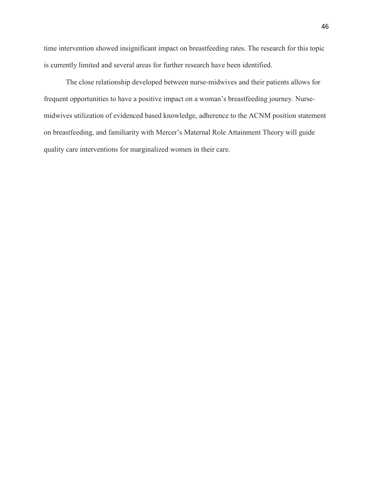time intervention showed insignificant impact on breastfeeding rates. The research for this topic is currently limited and several areas for further research have been identified.

The close relationship developed between nurse-midwives and their patients allows for frequent opportunities to have a positive impact on a woman's breastfeeding journey. Nursemidwives utilization of evidenced based knowledge, adherence to the ACNM position statement on breastfeeding, and familiarity with Mercer's Maternal Role Attainment Theory will guide quality care interventions for marginalized women in their care.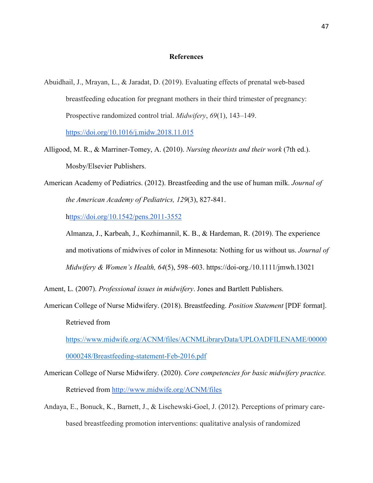# **References**

- Abuidhail, J., Mrayan, L., & Jaradat, D. (2019). Evaluating effects of prenatal web-based breastfeeding education for pregnant mothers in their third trimester of pregnancy: Prospective randomized control trial. *Midwifery*, *69*(1), 143–149. <https://doi.org/10.1016/j.midw.2018.11.015>
- Alligood, M. R., & Marriner-Tomey, A. (2010). *Nursing theorists and their work* (7th ed.). Mosby/Elsevier Publishers.
- American Academy of Pediatrics. (2012). Breastfeeding and the use of human milk. *Journal of the American Academy of Pediatrics, 129*(3), 827-841.

<https://doi.org/10.1542/pens.2011-3552>

Almanza, J., Karbeah, J., Kozhimannil, K. B., & Hardeman, R. (2019). The experience and motivations of midwives of color in Minnesota: Nothing for us without us. *Journal of Midwifery & Women's Health, 64*(5), 598–603. https://doi-org./10.1111/jmwh.13021

Ament, L. (2007). *Professional issues in midwifery*. Jones and Bartlett Publishers.

American College of Nurse Midwifery. (2018). Breastfeeding. *Position Statement* [PDF format]. Retrieved from

[https://www.midwife.org/ACNM/files/ACNMLibraryData/UPLOADFILENAME/00000](https://www.midwife.org/ACNM/files/ACNMLibraryData/UPLOADFILENAME/000000000248/Breastfeeding-statement-Feb-2016.pdf) [0000248/Breastfeeding-statement-Feb-2016.pdf](https://www.midwife.org/ACNM/files/ACNMLibraryData/UPLOADFILENAME/000000000248/Breastfeeding-statement-Feb-2016.pdf)

- American College of Nurse Midwifery. (2020). *Core competencies for basic midwifery practice.*  Retrieved from<http://www.midwife.org/ACNM/files>
- Andaya, E., Bonuck, K., Barnett, J., & Lischewski-Goel, J. (2012). Perceptions of primary carebased breastfeeding promotion interventions: qualitative analysis of randomized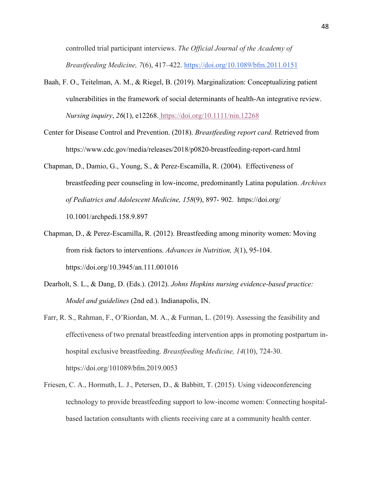controlled trial participant interviews. *The Official Journal of the Academy of Breastfeeding Medicine, 7*(6), 417–422. [https://doi.org/10.1089/bfm.2011.0151](https://meet.google.com/linkredirect?authuser=1&dest=https%3A%2F%2Fdoi.org%2F10.1089%2Fbfm.2011.0151)

- Baah, F. O., Teitelman, A. M., & Riegel, B. (2019). Marginalization: Conceptualizing patient vulnerabilities in the framework of social determinants of health-An integrative review. *Nursing inquiry*, *26*(1), e12268[.](https://doi.org/10.1111/nin.12268) <https://doi.org/10.1111/nin.12268>
- Center for Disease Control and Prevention. (2018). *Breastfeeding report card.* Retrieved from https://www.cdc.gov/media/releases/2018/p0820-breastfeeding-report-card.html
- Chapman, D., Damio, G., Young, S., & Perez-Escamilla, R. (2004). Effectiveness of breastfeeding peer counseling in low-income, predominantly Latina population. *Archives of Pediatrics and Adolescent Medicine, 158*(9), 897- 902. https://doi.org/ 10.1001/archpedi.158.9.897
- Chapman, D., & Perez-Escamilla, R. (2012). Breastfeeding among minority women: Moving from risk factors to interventions. *Advances in Nutrition, 3*(1), 95-104. https://doi.org/10.3945/an.111.001016
- Dearholt, S. L., & Dang, D. (Eds.). (2012). *Johns Hopkins nursing evidence-based practice: Model and guidelines* (2nd ed.). Indianapolis, IN.
- Farr, R. S., Rahman, F., O'Riordan, M. A., & Furman, L. (2019). Assessing the feasibility and effectiveness of two prenatal breastfeeding intervention apps in promoting postpartum inhospital exclusive breastfeeding. *Breastfeeding Medicine, 14*(10), 724-30. https://doi.org/101089/bfm.2019.0053
- Friesen, C. A., Hormuth, L. J., Petersen, D., & Babbitt, T. (2015). Using videoconferencing technology to provide breastfeeding support to low-income women: Connecting hospitalbased lactation consultants with clients receiving care at a community health center.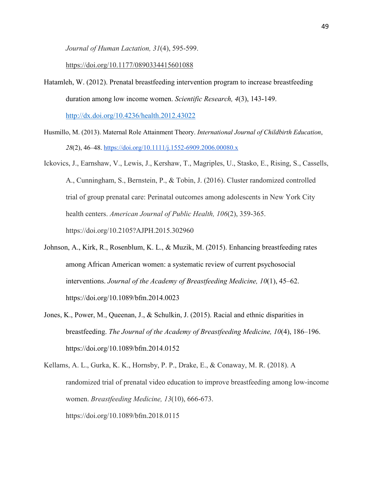*Journal of Human Lactation, 31*(4), 595-599.

<https://doi.org/10.1177/0890334415601088>

Hatamleh, W. (2012). Prenatal breastfeeding intervention program to increase breastfeeding duration among low income women. *Scientific Research, 4*(3), 143-149.

<http://dx.doi.org/10.4236/health.2012.43022>

- Husmillo, M. (2013). Maternal Role Attainment Theory. *International Journal of Childbirth Education*, *28*(2), 46–48.<https://doi.org/10.1111/j.1552-6909.2006.00080.x>
- Ickovics, J., Earnshaw, V., Lewis, J., Kershaw, T., Magriples, U., Stasko, E., Rising, S., Cassells, A., Cunningham, S., Bernstein, P., & Tobin, J. (2016). Cluster randomized controlled trial of group prenatal care: Perinatal outcomes among adolescents in New York City health centers. *American Journal of Public Health, 106*(2), 359-365. https://doi.org/10.2105?AJPH.2015.302960
- Johnson, A., Kirk, R., Rosenblum, K. L., & Muzik, M. (2015). Enhancing breastfeeding rates among African American women: a systematic review of current psychosocial interventions. *Journal of the Academy of Breastfeeding Medicine, 10*(1), 45–62. https://doi.org/10.1089/bfm.2014.0023
- Jones, K., Power, M., Queenan, J., & Schulkin, J. (2015). Racial and ethnic disparities in breastfeeding. *The Journal of the Academy of Breastfeeding Medicine, 10*(4), 186–196. https://doi.org/10.1089/bfm.2014.0152
- Kellams, A. L., Gurka, K. K., Hornsby, P. P., Drake, E., & Conaway, M. R. (2018). A randomized trial of prenatal video education to improve breastfeeding among low-income women. *Breastfeeding Medicine, 13*(10), 666-673. https://doi.org/10.1089/bfm.2018.0115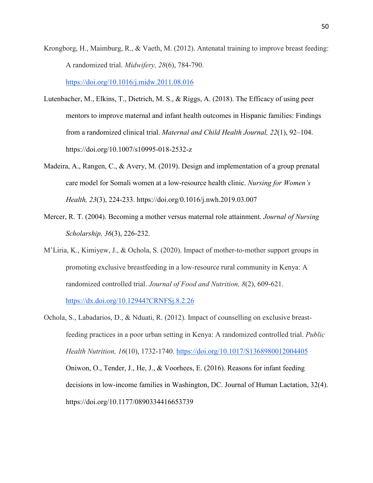Krongborg, H., Maimburg, R., & Vaeth, M. (2012). Antenatal training to improve breast feeding: A randomized trial. *Midwifery, 28*(6), 784-790.

<https://doi.org/10.1016/j.midw.2011.08.016>

- Lutenbacher, M., Elkins, T., Dietrich, M. S., & Riggs, A. (2018). The Efficacy of using peer mentors to improve maternal and infant health outcomes in Hispanic families: Findings from a randomized clinical trial. *Maternal and Child Health Journal, 22*(1), 92–104. https://doi.org/10.1007/s10995-018-2532-z
- Madeira, A., Rangen, C., & Avery, M. (2019). Design and implementation of a group prenatal care model for Somali women at a low-resource health clinic. *Nursing for Women's Health, 23*(3), 224-233. https://doi.org/0.1016/j.nwh.2019.03.007
- Mercer, R. T. (2004). Becoming a mother versus maternal role attainment. *Journal of Nursing Scholarship, 36*(3), 226-232.
- M'Liria, K., Kimiyew, J., & Ochola, S. (2020). Impact of mother-to-mother support groups in promoting exclusive breastfeeding in a low-resource rural community in Kenya: A randomized controlled trial. *Journal of Food and Nutrition, 8*(2), 609-621. <https://dx.doi.org/10.12944?CRNFSj.8.2.26>

Ochola, S., Labadarios, D., & Nduati, R. (2012). Impact of counselling on exclusive breastfeeding practices in a poor urban setting in Kenya: A randomized controlled trial. *Public Health Nutrition, 16*(10), 1732-1740.<https://doi.org/10.1017/S1368980012004405> Oniwon, O., Tender, J., He, J., & Voorhees, E. (2016). Reasons for infant feeding decisions in low-income families in Washington, DC. Journal of Human Lactation, 32(4). https://doi.org/10.1177/0890334416653739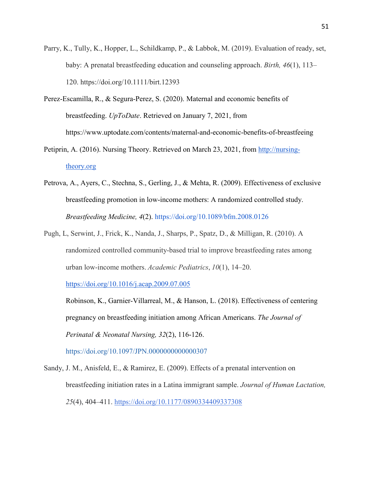- Parry, K., Tully, K., Hopper, L., Schildkamp, P., & Labbok, M. (2019). Evaluation of ready, set, baby: A prenatal breastfeeding education and counseling approach. *Birth, 46*(1), 113– 120. https://doi.org/10.1111/birt.12393
- Perez-Escamilla, R., & Segura-Perez, S. (2020). Maternal and economic benefits of breastfeeding. *UpToDate*. Retrieved on January 7, 2021, from https://www.uptodate.com/contents/maternal-and-economic-benefits-of-breastfeeing
- Petiprin, A. (2016). Nursing Theory. Retrieved on March 23, 2021, from [http://nursing](http://nursing-theory.org/)[theory.org](http://nursing-theory.org/)
- Petrova, A., Ayers, C., Stechna, S., Gerling, J., & Mehta, R. (2009). Effectiveness of exclusive breastfeeding promotion in low-income mothers: A randomized controlled study. *Breastfeeding Medicine, 4*(2).<https://doi.org/10.1089/bfm.2008.0126>
- Pugh, L, Serwint, J., Frick, K., Nanda, J., Sharps, P., Spatz, D., & Milligan, R. (2010). A randomized controlled community-based trial to improve breastfeeding rates among urban low-income mothers. *Academic Pediatrics*, *10*(1), 14–20.

<https://doi.org/10.1016/j.acap.2009.07.005>

Robinson, K., Garnier-Villarreal, M., & Hanson, L. (2018). Effectiveness of centering pregnancy on breastfeeding initiation among African Americans. *The Journal of Perinatal & Neonatal Nursing, 32*(2), 116-126.

<https://doi.org/10.1097/JPN.0000000000000307>

Sandy, J. M., Anisfeld, E., & Ramirez, E. (2009). Effects of a prenatal intervention on breastfeeding initiation rates in a Latina immigrant sample. *Journal of Human Lactation, 25*(4), 404–411. <https://doi.org/10.1177/0890334409337308>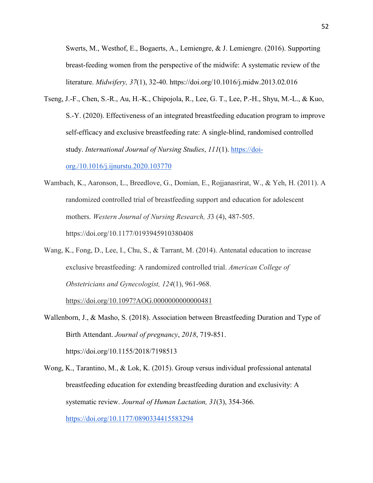Swerts, M., Westhof, E., Bogaerts, A., Lemiengre, & J. Lemiengre. (2016). Supporting breast-feeding women from the perspective of the midwife: A systematic review of the literature. *Midwifery, 37*(1), 32-40. https://doi.org/10.1016/j.midw.2013.02.016

- Tseng, J.-F., Chen, S.-R., Au, H.-K., Chipojola, R., Lee, G. T., Lee, P.-H., Shyu, M.-L., & Kuo, S.-Y. (2020). Effectiveness of an integrated breastfeeding education program to improve self-efficacy and exclusive breastfeeding rate: A single-blind, randomised controlled study. *International Journal of Nursing Studies*, *111*(1). [https://doi](https://doi-org./10.1016/j.ijnurstu.2020.103770)[org./10.1016/j.ijnurstu.2020.103770](https://doi-org./10.1016/j.ijnurstu.2020.103770)
- Wambach, K., Aaronson, L., Breedlove, G., Domian, E., Rojjanasrirat, W., & Yeh, H. (2011). A randomized controlled trial of breastfeeding support and education for adolescent mothers. *Western Journal of Nursing Research, 3*3 (4), 487-505. https://doi.org/10.1177/0193945910380408
- Wang, K., Fong, D., Lee, I., Chu, S., & Tarrant, M. (2014). Antenatal education to increase exclusive breastfeeding: A randomized controlled trial. *American College of Obstetricians and Gynecologist, 124*(1), 961-968.

<https://doi.org/10.1097?AOG.0000000000000481>

- Wallenborn, J., & Masho, S. (2018). Association between Breastfeeding Duration and Type of Birth Attendant. *Journal of pregnancy*, *2018*, 719-851. https://doi.org/10.1155/2018/7198513
- Wong, K., Tarantino, M., & Lok, K. (2015). Group versus individual professional antenatal breastfeeding education for extending breastfeeding duration and exclusivity: A systematic review. *Journal of Human Lactation, 31*(3), 354-366. <https://doi.org/10.1177/0890334415583294>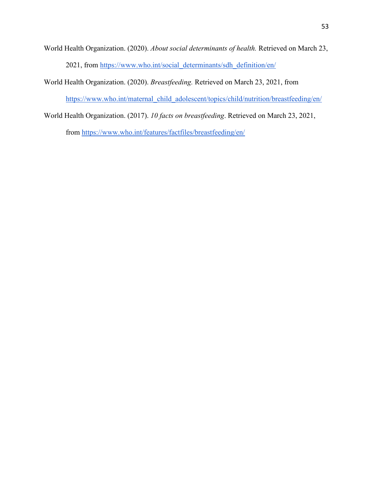- World Health Organization. (2020). *About social determinants of health.* Retrieved on March 23, 2021, from [https://www.who.int/social\\_determinants/sdh\\_definition/en/](https://www.who.int/social_determinants/sdh_definition/en/)
- World Health Organization. (2020). *Breastfeeding.* Retrieved on March 23, 2021, from

[https://www.who.int/maternal\\_child\\_adolescent/topics/child/nutrition/breastfeeding/en/](https://www.who.int/maternal_child_adolescent/topics/child/nutrition/breastfeeding/en/)

World Health Organization. (2017). *10 facts on breastfeeding*. Retrieved on March 23, 2021, from<https://www.who.int/features/factfiles/breastfeeding/en/>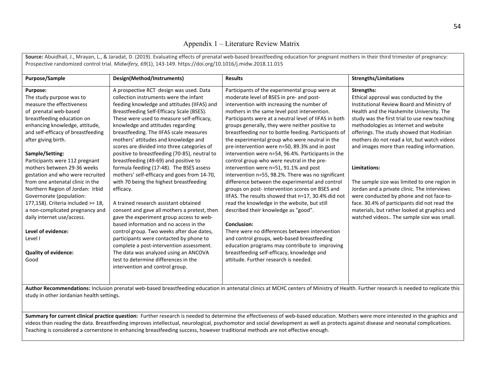# Appendix 1 – Literature Review Matrix

**Source:** Abuidhail, J., Mrayan, L., & Jaradat, D. (2019). Evaluating effects of prenatal web-based breastfeeding education for pregnant mothers in their third trimester of pregnancy: Prospective randomized control trial. *Midwifery, 69*(1), 143-149. https://doi.org/10.1016/j.midw.2018.11.015

| Purpose/Sample                                                                                                                                                                        | Design(Method/Instruments)                    | <b>Results</b>                                        | <b>Strengths/Limitations</b>                  |  |
|---------------------------------------------------------------------------------------------------------------------------------------------------------------------------------------|-----------------------------------------------|-------------------------------------------------------|-----------------------------------------------|--|
| <b>Purpose:</b>                                                                                                                                                                       | A prospective RCT design was used. Data       | Participants of the experimental group were at        | <b>Strengths:</b>                             |  |
| The study purpose was to                                                                                                                                                              | collection instruments were the infant        | moderate level of BSES in pre- and post-              | Ethical approval was conducted by the         |  |
| measure the effectiveness                                                                                                                                                             | feeding knowledge and attitudes (IIFAS) and   | intervention with increasing the number of            | Institutional Review Board and Ministry of    |  |
| of prenatal web-based                                                                                                                                                                 | Breastfeeding Self-Efficacy Scale (BSES).     | mothers in the same level post intervention.          | Health and the Hashemite University. The      |  |
| breastfeeding education on                                                                                                                                                            | These were used to measure self-efficacy,     | Participants were at a neutral level of IIFAS in both | study was the first trial to use new teaching |  |
| enhancing knowledge, attitude,                                                                                                                                                        | knowledge and attitudes regarding             | groups generally, they were neither positive to       | methodologies as internet and website         |  |
| and self-efficacy of breastfeeding                                                                                                                                                    | breastfeeding. The IIFAS scale measures       | breastfeeding nor to bottle feeding. Participants of  | offerings. The study showed that Hodinian     |  |
| after giving birth.                                                                                                                                                                   | mothers' attitudes and knowledge and          | the experimental group who were neutral in the        | mothers do not read a lot, but watch videos   |  |
|                                                                                                                                                                                       | scores are divided into three categories of   | pre-intervention were n=50, 89.3% and in post         | and images more than reading information.     |  |
| Sample/Setting:                                                                                                                                                                       | positive to breastfeeding (70-85), neutral to | intervention were n=54, 96.4%. Participants in the    |                                               |  |
| Participants were 112 pregnant                                                                                                                                                        | breastfeeding (49-69) and positive to         | control group who were neutral in the pre-            |                                               |  |
| mothers between 29-36 weeks                                                                                                                                                           | formula feeding (17-48). The BSES assess      | intervention were n=51, 91.1% and post                | Limitations:                                  |  |
| gestation and who were recruited                                                                                                                                                      | mothers' self-efficacy and goes from 14-70,   | intervention n=55, 98.2%. There was no significant    |                                               |  |
| from one antenatal clinic in the                                                                                                                                                      | with 70 being the highest breastfeeding       | difference between the experimental and control       | The sample size was limited to one region in  |  |
| Northern Region of Jordan: Irbid                                                                                                                                                      | efficacy.                                     | groups on post-intervention scores on BSES and        | Jordan and a private clinic. The interviews   |  |
| Governorate (population:                                                                                                                                                              |                                               | IIFAS. The results showed that n=17, 30.4% did not    | were conducted by phone and not face-to-      |  |
| 177,158). Criteria included >= 18,                                                                                                                                                    | A trained research assistant obtained         | read the knowledge in the website, but still          | face. 30.4% of participants did not read the  |  |
| a non-complicated pregnancy and                                                                                                                                                       | consent and gave all mothers a pretest, then  | described their knowledge as "good".                  | materials, but rather looked at graphics and  |  |
| daily internet use/access.                                                                                                                                                            | gave the experiment group access to web-      |                                                       | watched videos The sample size was small.     |  |
|                                                                                                                                                                                       | based information and no access in the        | <b>Conclusion:</b>                                    |                                               |  |
| Level of evidence:                                                                                                                                                                    | control group. Two weeks after due dates,     | There were no differences between intervention        |                                               |  |
| Level I                                                                                                                                                                               | participants were contacted by phone to       | and control groups, web-based breastfeeding           |                                               |  |
|                                                                                                                                                                                       | complete a post-intervention assessment.      | education programs may contribute to improving        |                                               |  |
| <b>Quality of evidence:</b>                                                                                                                                                           | The data was analyzed using an ANCOVA         | breastfeeding self-efficacy, knowledge and            |                                               |  |
| Good                                                                                                                                                                                  | test to determine differences in the          | attitude. Further research is needed.                 |                                               |  |
|                                                                                                                                                                                       | intervention and control group.               |                                                       |                                               |  |
|                                                                                                                                                                                       |                                               |                                                       |                                               |  |
|                                                                                                                                                                                       |                                               |                                                       |                                               |  |
| Author Recommendations: Inclusion prenatal web-based breastfeeding education in antenatal clinics at MCHC centers of Ministry of Health. Further research is needed to replicate this |                                               |                                                       |                                               |  |

**Author Recommendations:** Inclusion prenatal web-based breastfeeding education in antenatal clinics at MCHC centers of Ministry of Health. Further research is needed to replicate this study in other Jordanian health settings.

Summary for current clinical practice question: Further research is needed to determine the effectiveness of web-based education. Mothers were more interested in the graphics and videos than reading the data. Breastfeeding improves intellectual, neurological, psychomotor and social development as well as protects against disease and neonatal complications. Teaching is considered a cornerstone in enhancing breastfeeding success, however traditional methods are not effective enough.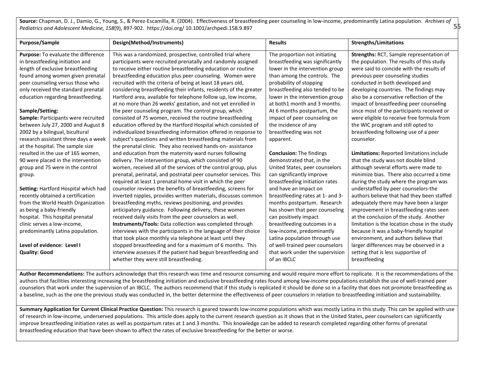55 **Source:** Chapman, D. J., Damio, G., Young, S., & Perez-Escamilla, R. (2004). Effectiveness of breastfeeding peer counseling in low-income, predominantly Latina population. *Archives of Pediatrics and Adolescent Medicine, 158*(9), 897-902. https://doi.org/ 10.1001/archpedi.158.9.897

| Purpose/Sample                       | Design(Method/Instruments)                                        | <b>Results</b>                   | <b>Strengths/Limitations</b>                  |
|--------------------------------------|-------------------------------------------------------------------|----------------------------------|-----------------------------------------------|
| Purpose: To evaluate the difference  | This was a randomized, prospective, controlled trial where        | The proportion not initiating    | Strengths: RCT, Sample representation of      |
| in breastfeeding initiation and      | participants were recruited prenatally and randomly assigned      | breastfeeding was significantly  | the population. The results of this study     |
| length of exclusive breastfeeding    | to receive either routine breastfeeding education or routine      | lower in the intervention group  | were said to coincide with the results of     |
| found among women given prenatal     | breastfeeding education plus peer counseling. Women were          | than among the controls. The     | previous peer counseling studies              |
| peer counseling versus those who     | recruited with the criteria of being at least 18 years old,       | probability of stopping          | conducted in both developed and               |
| only received the standard prenatal  | considering breastfeeding their infants, residents of the greater | breastfeeding also tended to be  | developing countries. The findings may        |
| education regarding breastfeeding.   | Hartford area, available for telephone follow up, low income,     | lower in the intervention group  | also be a conservative reflection of the      |
|                                      | at no more than 26 weeks' gestation, and not yet enrolled in      | at both1 month and 3 months.     | impact of breastfeeding peer counseling       |
| Sample/Setting:                      | the peer counseling program. The control group, which             | At 6 months postpartum, the      | since most of the participants received or    |
| Sample: Participants were recruited  | consisted of 75 women, received the routine breastfeeding         | impact of peer counseling on     | were eligible to receive free formula from    |
| between July 27, 2000 and August 8   | education offered by the Hartford Hospital which consisted of     | the incidence of any             | the WIC program and still opted to            |
| 2002 by a bilingual, bicultural      | individualized breastfeeding information offered in response to   | breastfeeding was not            | breastfeeding following use of a peer         |
| research assistant three days a week | subject's questions and written breastfeeding materials from      | apparent.                        | counselor.                                    |
| at the hospital. The sample size     | the prenatal clinic. They also received hands-on-assistance       |                                  |                                               |
| resulted in the use of 165 women,    | and education from the maternity ward nurses following            | <b>Conclusion: The findings</b>  | Limitations: Reported limitations include     |
| 90 were placed in the intervention   | delivery. The intervention group, which consisted of 90           | demonstrated that, in the        | that the study was not double blind           |
| group and 75 were in the control     | women, received all of the services of the control group, plus    | United States, peer counselors   | although several efforts were made to         |
| group.                               | prenatal, perinatal, and postnatal peer counselor services. This  | can significantly improve        | minimize bias. There also occurred a time     |
|                                      | required at least 1 prenatal home visit in which the peer         | breastfeeding initiation rates   | during the study where the program was        |
| Setting: Hartford Hospital which had | counselor reviews the benefits of breastfeeding, screens for      | and have an impact on            | understaffed by peer counselors-the           |
| recently obtained a certification    | inverted nipples, provides written materials, discusses common    | breastfeeding rates at 1- and 3- | authors believe that had they been staffed    |
| from the World Health Organization   | breastfeeding myths, reviews positioning, and provides            | months postpartum. Research      | adequately there may have been a larger       |
| as being a baby-friendly             | anticipatory guidance. Following delivery, these women            | has shown that peer counseling   | improvement in breastfeeding rates seen       |
| hospital. This hospital prenatal     | received daily visits from the peer counselors as well.           | can positively impact            | at the conclusion of the study. Another       |
| clinic serves a low-income,          | <b>Instruments/Tools:</b> Data collection was completed through   | breastfeeding outcomes in a      | limitation is the location chose in the study |
| predominantly Latina population.     | interviews with the participants in the language of their choice  | low-income, predominantly        | because it was a baby-friendly hospital       |
|                                      | that took place monthly via telephone at least until they         | Latina population through use    | environment, and authors believe that         |
| Level of evidence: Level I           | stopped breastfeeding and for a maximum of 6 months. This         | of well-trained peer counselors  | larger differences may be observed in a       |
| <b>Quality: Good</b>                 | interview assesses if the patient had begun breastfeeding and     | that work under the supervision  | setting that is less supportive of            |
|                                      | whether they were still breastfeeding.                            | of an IBCLC                      | breastfeeding                                 |
|                                      |                                                                   |                                  |                                               |

Author Recommendations: The authors acknowledge that this research was time and resource consuming and would require more effort to replicate. It is the recommendations of the authors that facilities interesting increasing the breastfeeding initiation and exclusive breastfeeding rates found among low-income populations establish the use of well-trained peer counselors that work under the supervision of an IBCLC. The authors recommend that if this study is replicated it should be done so in a facility that does not promote breastfeeding as a baseline, such as the one the previous study was conducted in, the better determine the effectiveness of peer counselors in relation to breastfeeding initiation and sustainability.

**Summary Application for Current Clinical Practice Question:** This research is geared towards low-income populations which was mostly Latina in this study. This can be applied with use of research in low-income, underserved populations. This article does apply to the current research question as it shows that in the United States, peer counselors can significantly improve breastfeeding initiation rates as well as postpartum rates at 1 and 3 months. This knowledge can be added to research completed regarding other forms of prenatal breastfeeding education that have been shown to affect the rates of exclusive breastfeeding for the better or worse.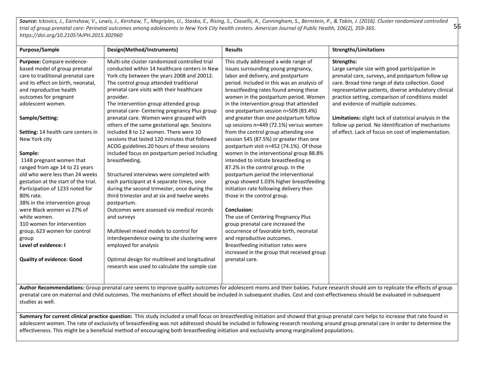*Source: Ickovics, J., Earnshaw, V., Lewis, J., Kershaw, T., Magriples, U., Stasko, E., Rising, S., Cassells, A., Cunningham, S., Bernstein, P., & Tobin, J. (2016). Cluster randomized controlled trial of group prenatal care: Perinatal outcomes among adolescents in New York City health centers. American Journal of Public Health, 106(2), 359-365. https://doi.org/10.2105?AJPH.2015.302960* 

56

| Purpose/Sample                       | Design(Method/Instruments)                     | <b>Results</b>                              | <b>Strengths/Limitations</b>                            |
|--------------------------------------|------------------------------------------------|---------------------------------------------|---------------------------------------------------------|
| Purpose: Compare evidence-           | Multi-site cluster randomized controlled trial | This study addressed a wide range of        | <b>Strengths:</b>                                       |
| based model of group prenatal        | conducted within 14 healthcare centers in New  | issues surrounding young pregnancy,         | Large sample size with good participation in            |
| care to traditional prenatal care    | York city between the years 2008 and 20012.    | labor and delivery, and postpartum          | prenatal care, surveys, and postpartum follow up        |
| and its effect on birth, neonatal,   | The control group attended traditional         | period. Included in this was an analysis of | care. Broad time range of data collection. Good         |
| and reproductive health              | prenatal care visits with their healthcare     | breastfeeding rates found among these       | representative patients, diverse ambulatory clinical    |
| outcomes for pregnant                | provider.                                      | women in the postpartum period. Women       | practice setting, comparison of conditions model        |
| adolescent women.                    | The intervention group attended group          | in the intervention group that attended     | and evidence of multiple outcomes.                      |
|                                      | prenatal care- Centering pregnancy Plus group  | one postpartum session n=509 (83.4%)        |                                                         |
| Sample/Setting:                      | prenatal care. Women were grouped with         | and greater than one postpartum follow      | Limitations: slight lack of statistical analysis in the |
|                                      | others of the same gestational age. Sessions   | up sessions n=449 (72.1%) versus women      | follow up period. No identification of mechanisms       |
| Setting: 14 health care centers in   | included 8 to 12 women. There were 10          | from the control group attending one        | of effect. Lack of focus on cost of implementation.     |
| New York city                        | sessions that lasted 120 minutes that followed | session 545 (87.5%) or greater than one     |                                                         |
|                                      | ACOG guidelines.20 hours of these sessions     | postpartum visit n=452 (74.1%). Of those    |                                                         |
| Sample:                              | included focus on postpartum period including  | women in the interventional group 88.8%     |                                                         |
| 1148 pregnant women that             | breastfeeding.                                 | intended to initiate breastfeeding vs       |                                                         |
| ranged from age 14 to 21 years       |                                                | 87.2% in the control group. In the          |                                                         |
| old who were less than 24 weeks      | Structured interviews were completed with      | postpartum period the interventional        |                                                         |
| gestation at the start of the trial. | each participant at 4 separate times, once     | group showed 1.03% higher breastfeeding     |                                                         |
| Participation of 1233 noted for      | during the second trimester, once during the   | initiation rate following delivery then     |                                                         |
| 80% rate.                            | third trimester and at six and twelve weeks    | those in the control group.                 |                                                         |
| 38% in the intervention group        | postpartum.                                    |                                             |                                                         |
| were Black women vs 27% of           | Outcomes were assessed via medical records     | <b>Conclusion:</b>                          |                                                         |
| white women.                         | and surveys                                    | The use of Centering Pregnancy Plus         |                                                         |
| 310 women for intervention           |                                                | group prenatal care increased the           |                                                         |
| group, 623 women for control         | Multilevel mixed models to control for         | occurrence of favorable birth, neonatal     |                                                         |
| group                                | interdependence owing to site clustering were  | and reproductive outcomes.                  |                                                         |
| Level of evidence: I                 | employed for analysis                          | Breastfeeding initiation rates were         |                                                         |
|                                      |                                                | increased in the group that received group  |                                                         |
| <b>Quality of evidence: Good</b>     | Optimal design for multilevel and longitudinal | prenatal care.                              |                                                         |
|                                      | research was used to calculate the sample size |                                             |                                                         |
|                                      |                                                |                                             |                                                         |
|                                      |                                                | director of the context of the              | .001                                                    |

**Author Recommendations:** Group prenatal care seems to improve quality outcomes for adolescent moms and their babies. Future research should aim to replicate the effects of group prenatal care on maternal and child outcomes. The mechanisms of effect should be included in subsequent studies. Cost and cost-effectiveness should be evaluated in subsequent studies as well.

Summary for current clinical practice question: This study included a small focus on breastfeeding initiation and showed that group prenatal care helps to increase that rate found in adolescent women. The rate of exclusivity of breastfeeding was not addressed should be included in following research revolving around group prenatal care in order to determine the effectiveness. This might be a beneficial method of encouraging both breastfeeding initiation and exclusivity among marginalized populations.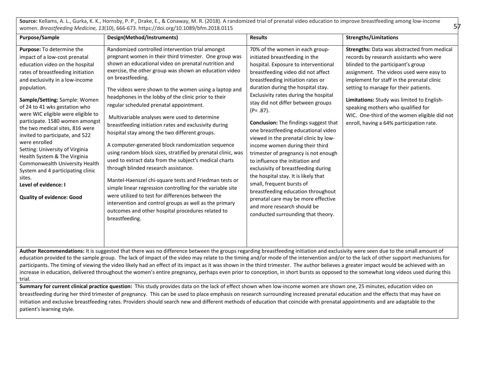**Source:** Kellams, A. L., Gurka, K. K., Hornsby, P. P., Drake, E., & Conaway, M. R. (2018). A randomized trial of prenatal video education to improve breastfeeding among low-income women. *Breastfeeding Medicine, 13*(10), 666-673. https://doi.org/10.1089/bfm.2018.0115

57

| Strengths: Data was abstracted from medical<br>records by research assistants who were<br>assignment. The videos used were easy to<br>implement for staff in the prenatal clinic<br>Limitations: Study was limited to English-<br>WIC. One-third of the women eligible did not<br>enroll, having a 64% participation rate. |
|----------------------------------------------------------------------------------------------------------------------------------------------------------------------------------------------------------------------------------------------------------------------------------------------------------------------------|
|                                                                                                                                                                                                                                                                                                                            |

Author Recommendations: It is suggested that there was no difference between the groups regarding breastfeeding initiation and exclusivity were seen due to the small amount of education provided to the sample group. The lack of impact of the video may relate to the timing and/or mode of the intervention and/or to the lack of other support mechanisms for participants. The timing of viewing the video likely had an effect of its impact as it was shown in the third trimester. The author believes a greater impact would be achieved with an increase in education, delivered throughout the women's entire pregnancy, perhaps even prior to conception, in short bursts as opposed to the somewhat long videos used during this trial.

Summary for current clinical practice question: This study provides data on the lack of effect shown when low-income women are shown one, 25 minutes, education video on breastfeeding during her third trimester of pregnancy. This can be used to place emphasis on research surrounding increased prenatal education and the effects that may have on initiation and exclusive breastfeeding rates. Providers should search new and different methods of education that coincide with prenatal appointments and are adaptable to the patient's learning style.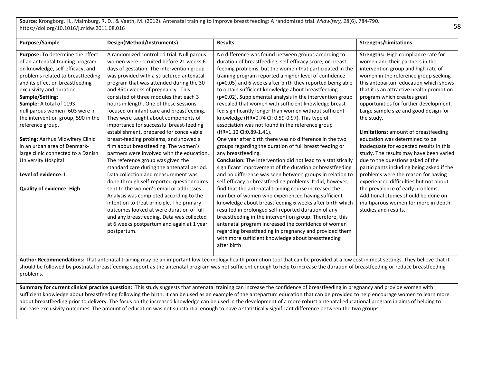**Source:** Krongborg, H., Maimburg, R. D., & Vaeth, M. (2012). Antenatal training to improve breast feeding: A randomized trial. *Midwifery, 28*(6), 784-790. https://doi.org/10.1016/j.midw.2011.08.016

| Purpose/Sample                                                                                                                                                                                                                                                                                                                                                                                                                                                                                                                                              | Design(Method/Instruments)                                                                                                                                                                                                                                                                                                                                                                                                                                                                                                                                                                                                                                                                                                                                                                                                                                                                                                                                                                                                                                                                                                   | <b>Results</b>                                                                                                                                                                                                                                                                                                                                                                                                                                                                                                                                                                                                                                                                                                                                                                                                                                                                                                                                                                                                                                                                                                                                                                                                                                                                                                                                                                                                                                                                                                                                                        | <b>Strengths/Limitations</b>                                                                                                                                                                                                                                                                                                                                                                                                                                                                                                                                                                                                                                                                                                                                                                                                                               |
|-------------------------------------------------------------------------------------------------------------------------------------------------------------------------------------------------------------------------------------------------------------------------------------------------------------------------------------------------------------------------------------------------------------------------------------------------------------------------------------------------------------------------------------------------------------|------------------------------------------------------------------------------------------------------------------------------------------------------------------------------------------------------------------------------------------------------------------------------------------------------------------------------------------------------------------------------------------------------------------------------------------------------------------------------------------------------------------------------------------------------------------------------------------------------------------------------------------------------------------------------------------------------------------------------------------------------------------------------------------------------------------------------------------------------------------------------------------------------------------------------------------------------------------------------------------------------------------------------------------------------------------------------------------------------------------------------|-----------------------------------------------------------------------------------------------------------------------------------------------------------------------------------------------------------------------------------------------------------------------------------------------------------------------------------------------------------------------------------------------------------------------------------------------------------------------------------------------------------------------------------------------------------------------------------------------------------------------------------------------------------------------------------------------------------------------------------------------------------------------------------------------------------------------------------------------------------------------------------------------------------------------------------------------------------------------------------------------------------------------------------------------------------------------------------------------------------------------------------------------------------------------------------------------------------------------------------------------------------------------------------------------------------------------------------------------------------------------------------------------------------------------------------------------------------------------------------------------------------------------------------------------------------------------|------------------------------------------------------------------------------------------------------------------------------------------------------------------------------------------------------------------------------------------------------------------------------------------------------------------------------------------------------------------------------------------------------------------------------------------------------------------------------------------------------------------------------------------------------------------------------------------------------------------------------------------------------------------------------------------------------------------------------------------------------------------------------------------------------------------------------------------------------------|
| Purpose: To determine the effect<br>of an antenatal training program<br>on knowledge, self-efficacy, and<br>problems related to breastfeeding<br>and its effect on breastfeeding<br>exclusivity and duration.<br>Sample/Setting:<br>Sample: A total of 1193<br>nulliparous women- 603 were in<br>the intervention group, 590 in the<br>reference group.<br><b>Setting: Aarhus Midwifery Clinic</b><br>in an urban area of Denmark-<br>large clinic connected to a Danish<br>University Hospital<br>Level of evidence: I<br><b>Quality of evidence: High</b> | A randomized controlled trial. Nulliparous<br>women were recruited before 21 weeks 6<br>days of gestation. The intervention group<br>was provided with a structured antenatal<br>program that was attended during the 30<br>and 35th weeks of pregnancy. This<br>consisted of three modules that each 3<br>hours in length. One of these sessions<br>focused on infant care and breastfeeding.<br>They were taught about components of<br>importance for successful breast-feeding<br>establishment, prepared for conceivable<br>breast-feeding problems, and showed a<br>film about breastfeeding. The women's<br>partners were involved with the education.<br>The reference group was given the<br>standard care during the antenatal period.<br>Data collection and measurement was<br>done through self-reported questionnaires<br>sent to the women's email or addresses.<br>Analysis was completed according to the<br>intention to treat principle. The primary<br>outcomes looked at were duration of full<br>and any breastfeeding. Data was collected<br>at 6 weeks postpartum and again at 1 year<br>postpartum. | No difference was found between groups according to<br>duration of breastfeeding, self-efficacy score, or breast-<br>feeding problems, but the women that participated in the<br>training program reported a higher level of confidence<br>(p=0.05) and 6 weeks after birth they reported being able<br>to obtain sufficient knowledge about breastfeeding<br>(p=0.02). Supplemental analysis in the intervention group<br>revealed that women with sufficient knowledge breast<br>fed significantly longer than women without sufficient<br>knowledge (HR=0.74 Cl: 0.59-0.97). This type of<br>association was not found in the reference group<br>(HR=1.12 CI:0.89-1.41).<br>One year after birth there was no difference in the two<br>groups regarding the duration of full breast feeding or<br>any breastfeeding.<br><b>Conclusion:</b> The intervention did not lead to a statistically<br>significant improvement of the duration or breastfeeding<br>and no difference was seen between groups in relation to<br>self-efficacy or breastfeeding problems. It did, however,<br>find that the antenatal training course increased the<br>number of women who experienced having sufficient<br>knowledge about breastfeeding 6 weeks after birth which<br>resulted in prolonged self-reported duration of any<br>breastfeeding in the intervention group. Therefore, this<br>antenatal program increased the confidence of women<br>regarding breastfeeding in pregnancy and provided them<br>with more sufficient knowledge about breastfeeding<br>after birth | Strengths: High compliance rate for<br>women and their partners in the<br>intervention group and high rate of<br>women in the reference group seeking<br>this antepartum education which shows<br>that it is an attractive health promotion<br>program which creates great<br>opportunities for further development.<br>Large sample size and good design for<br>the study.<br>Limitations: amount of breastfeeding<br>education was determined to be<br>inadequate for expected results in this<br>study. The results may have been varied<br>due to the questions asked of the<br>participants including being asked if the<br>problems were the reason for having<br>experienced difficulties but not about<br>the prevalence of early problems.<br>Additional studies should be done on<br>multiparous women for more in depth<br>studies and results. |
| $A$ and $A$ and $B$                                                                                                                                                                                                                                                                                                                                                                                                                                                                                                                                         |                                                                                                                                                                                                                                                                                                                                                                                                                                                                                                                                                                                                                                                                                                                                                                                                                                                                                                                                                                                                                                                                                                                              | datana. That chinnich that ha marrier an theorem in the demonstrational development of the married at a because in marrier of the challeng that ti                                                                                                                                                                                                                                                                                                                                                                                                                                                                                                                                                                                                                                                                                                                                                                                                                                                                                                                                                                                                                                                                                                                                                                                                                                                                                                                                                                                                                    |                                                                                                                                                                                                                                                                                                                                                                                                                                                                                                                                                                                                                                                                                                                                                                                                                                                            |

**Author Recommendations:** That antenatal training may be an important low-technology health promotion tool that can be provided at a low cost in most settings. They believe that it should be followed by postnatal breastfeeding support as the antenatal program was not sufficient enough to help to increase the duration of breastfeeding or reduce breastfeeding problems.

Summary for current clinical practice question: This study suggests that antenatal training can increase the confidence of breastfeeding in pregnancy and provide women with sufficient knowledge about breastfeeding following the birth. It can be used as an example of the antepartum education that can be provided to help encourage women to learn more about breastfeeding prior to delivery. The focus on the increased knowledge can be used in the development of a more robust antenatal educational program in aims of helping to increase exclusivity outcomes. The amount of education was not substantial enough to have a statistically significant difference between the two groups.

58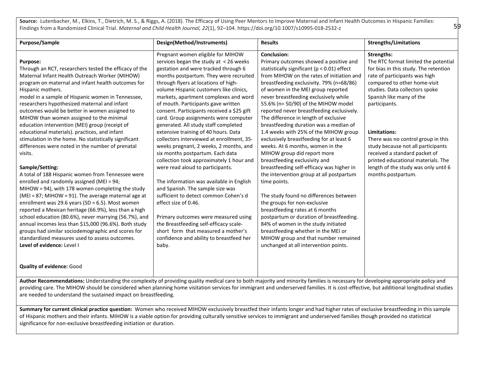Source: Lutenbacher, M., Elkins, T., Dietrich, M. S., & Riggs, A. (2018). The Efficacy of Using Peer Mentors to Improve Maternal and Infant Health Outcomes in Hispanic Families: Findings from a Randomized Clinical Trial. *Maternal and Child Health Journal, 22*(1), 92–104. https://doi.org/10.1007/s10995-018-2532-z

| <b>Purpose/Sample</b>                                  | Design(Method/Instruments)                 | <b>Results</b>                              | <b>Strengths/Limitations</b>          |
|--------------------------------------------------------|--------------------------------------------|---------------------------------------------|---------------------------------------|
|                                                        | Pregnant women eligible for MIHOW          | Conclusion:                                 | Strengths:                            |
| Purpose:                                               | services began the study at <26 weeks      | Primary outcomes showed a positive and      | The RTC format limited the potential  |
| Through an RCT, researchers tested the efficacy of the | gestation and were tracked through 6       | statistically significant (p < 0.01) effect | for bias in this study. The retention |
| Maternal Infant Health Outreach Worker (MIHOW)         | months postpartum. They were recruited     | from MIHOW on the rates of initiation and   | rate of participants was high         |
| program on maternal and infant health outcomes for     | through flyers at locations of high-       | breastfeeding exclusivity. 79% (n=68/86)    | compared to other home-visit          |
| Hispanic mothers.                                      | volume Hispanic customers like clinics,    | of women in the MEI group reported          | studies. Data collectors spoke        |
| model in a sample of Hispanic women in Tennessee,      | markets, apartment complexes and word      | never breastfeeding exclusively while       | Spanish like many of the              |
| researchers hypothesized maternal and infant           | of mouth. Participants gave written        | 55.6% (n= 50/90) of the MIHOW model         | participants.                         |
| outcomes would be better in women assigned to          | consent. Participants received a \$25 gift | reported never breastfeeding exclusively.   |                                       |
| MIHOW than women assigned to the minimal               | card. Group assignments were computer      | The difference in length of exclusive       |                                       |
| education intervention (MEI) group (receipt of         | generated. All study staff completed       | breastfeeding duration was a median of      |                                       |
| educational materials). practices, and infant          | extensive training of 40 hours. Data       | 1.4 weeks with 25% of the MIHOW group       | Limitations:                          |
| stimulation in the home. No statistically significant  | collectors interviewed at enrollment, 35-  | exclusively breastfeeding for at least 6    | There was no control group in this    |
| differences were noted in the number of prenatal       | weeks pregnant, 2 weeks, 2 months, and     | weeks. At 6 months, women in the            | study because not all participants    |
| visits.                                                | six months postpartum. Each data           | MIHOW group did report more                 | received a standard packet of         |
|                                                        | collection took approximately 1 hour and   | breastfeeding exclusivity and               | printed educational materials. The    |
| Sample/Setting:                                        | were read aloud to participants.           | breastfeeding self-efficacy was higher in   | length of the study was only until 6  |
| A total of 188 Hispanic women from Tennessee were      |                                            | the intervention group at all postpartum    | months postpartum.                    |
| enrolled and randomly assigned (MEI = 94;              | The information was available in English   | time points.                                |                                       |
| MIHOW = 94), with 178 women completing the study       | and Spanish. The sample size was           |                                             |                                       |
| (MEI = 87; MIHOW = 91). The average maternal age at    | sufficient to detect common Cohen's d      | The study found no differences between      |                                       |
| enrollment was 29.6 years (SD = $6.5$ ). Most women    | effect size of 0.46.                       | the groups for non-exclusive                |                                       |
| reported a Mexican heritage (66.9%), less than a high  |                                            | breastfeeding rates at 6 months             |                                       |
| school education (80.6%), never marrying (56.7%), and  | Primary outcomes were measured using       | postpartum or duration of breastfeeding.    |                                       |
| annual incomes less than \$15,000 (96.6%). Both study  | the Breastfeeding self-efficacy scale-     | 84% of women in the study initiated         |                                       |
| groups had similar sociodemographic and scores for     | short form that measured a mother's        | breastfeeding whether in the MEI or         |                                       |
| standardized measures used to assess outcomes.         | confidence and ability to breastfeed her   | MIHOW group and that number remained        |                                       |
| Level of evidence: Level I                             | baby.                                      | unchanged at all intervention points.       |                                       |
|                                                        |                                            |                                             |                                       |
| <b>Quality of evidence: Good</b>                       |                                            |                                             |                                       |

Author Recommendations: Understanding the complexity of providing quality medical care to both majority and minority families is necessary for developing appropriate policy and providing care. The MIHOW should be considered when planning home visitation services for immigrant and underserved families. It is cost-effective, but additional longitudinal studies are needed to understand the sustained impact on breastfeeding.

Summary for current clinical practice question: Women who received MIHOW exclusively breastfed their infants longer and had higher rates of exclusive breastfeeding in this sample of Hispanic mothers and their infants. MIHOW is a viable option for providing culturally sensitive services to immigrant and underserved families though provided no statistical significance for non-exclusive breastfeeding initiation or duration.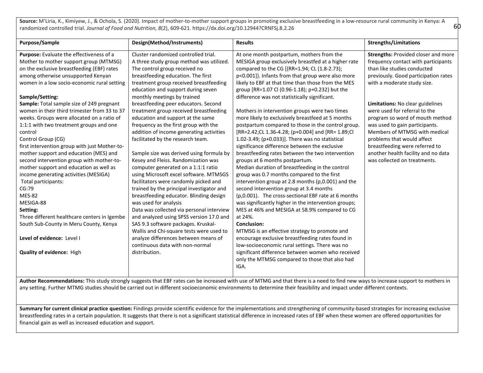**Source:** M'Liria, K., Kimiyew, J., & Ochola, S. (2020). Impact of mother-to-mother support groups in promoting exclusive breastfeeding in a low-resource rural community in Kenya: A randomized controlled trial. *Journal of Food and Nutrition, 8*(2), 609-621. https://dx.doi.org/10.12944?CRNFSj.8.2.26

60

| <b>Purpose/Sample</b>                                                                                                                                                                                                                                                                                                                                                                                                                                                                                                                                                                                                                                                                                                                                                                                                                                                                         | Design(Method/Instruments)                                                                                                                                                                                                                                                                                                                                                                                                                                                                                                                                                                                                                                                                                                                                                                                                                                                                                                                                                                                                                                                                                   | <b>Results</b>                                                                                                                                                                                                                                                                                                                                                                                                                                                                                                                                                                                                                                                                                                                                                                                                                                                                                                                                                                                                                                                                                                                                                                                                                                                                                                                       | <b>Strengths/Limitations</b>                                                                                                                                                                                                                                                                                                                                                                                                                                                                       |
|-----------------------------------------------------------------------------------------------------------------------------------------------------------------------------------------------------------------------------------------------------------------------------------------------------------------------------------------------------------------------------------------------------------------------------------------------------------------------------------------------------------------------------------------------------------------------------------------------------------------------------------------------------------------------------------------------------------------------------------------------------------------------------------------------------------------------------------------------------------------------------------------------|--------------------------------------------------------------------------------------------------------------------------------------------------------------------------------------------------------------------------------------------------------------------------------------------------------------------------------------------------------------------------------------------------------------------------------------------------------------------------------------------------------------------------------------------------------------------------------------------------------------------------------------------------------------------------------------------------------------------------------------------------------------------------------------------------------------------------------------------------------------------------------------------------------------------------------------------------------------------------------------------------------------------------------------------------------------------------------------------------------------|--------------------------------------------------------------------------------------------------------------------------------------------------------------------------------------------------------------------------------------------------------------------------------------------------------------------------------------------------------------------------------------------------------------------------------------------------------------------------------------------------------------------------------------------------------------------------------------------------------------------------------------------------------------------------------------------------------------------------------------------------------------------------------------------------------------------------------------------------------------------------------------------------------------------------------------------------------------------------------------------------------------------------------------------------------------------------------------------------------------------------------------------------------------------------------------------------------------------------------------------------------------------------------------------------------------------------------------|----------------------------------------------------------------------------------------------------------------------------------------------------------------------------------------------------------------------------------------------------------------------------------------------------------------------------------------------------------------------------------------------------------------------------------------------------------------------------------------------------|
| Purpose: Evaluate the effectiveness of a<br>Mother to mother support group (MTMSG)<br>on the exclusive breastfeeding (EBF) rates<br>among otherwise unsupported Kenyan<br>women in a low socio-economic rural setting<br>Sample/Setting:<br>Sample: Total sample size of 249 pregnant<br>women in their third trimester from 33 to 37<br>weeks. Groups were allocated on a ratio of<br>1:1:1 with two treatment groups and one<br>control<br>Control Group (CG)<br>first intervention group with just Mother-to-<br>mother support and education (MES) and<br>second intervention group with mother-to-<br>mother support and education as well as<br>income generating activities (MESIGA)<br>Total participants:<br>CG:79<br><b>MES-82</b><br>MESIGA-88<br>Setting:<br>Three different healthcare centers in Igembe<br>South Sub-County in Meru County, Kenya<br>Level of evidence: Level I | Cluster randomized controlled trial.<br>A three study group method was utilized.<br>The control group received no<br>breastfeeding education. The first<br>treatment group received breastfeeding<br>education and support during seven<br>monthly meetings by trained<br>breastfeeding peer educators. Second<br>treatment group received breastfeeding<br>education and support at the same<br>frequency as the first group with the<br>addition of income generating activities<br>facilitated by the research team.<br>Sample size was derived using formula by<br>Kesey and Fleiss. Randomization was<br>computer generated on a 1:1:1 ratio<br>using Microsoft excel software. MTMSGS<br>facilitators were randomly picked and<br>trained by the principal investigator and<br>breastfeeding educator. Blinding design<br>was used for analysis<br>Data was collected via personal interview<br>and analyzed using SPSS version 17.0 and<br>SAS 9.3 software packages. Kruskal-<br>Wallis and Chi-square tests were used to<br>analyze differences between means of<br>continuous data with non-normal | At one month postpartum, mothers from the<br>MESIGA group exclusively breastfed at a higher rate<br>compared to the CG [{RR=1.94; CL (1.8-2.73);<br>p<0.001]}. Infants from that group were also more<br>likely to EBF at that time than those from the MES<br>group [RR=1.07 Cl (0.96-1.18); p+0.232} but the<br>difference was not statistically significant.<br>Mothers in intervention groups were two times<br>more likely to exclusively breastfeed at 5 months<br>postpartum compared to those in the control group.<br>[RR=2.42;CL 1.36-4.28; (p+0.004] and [RR= 1.89;Cl<br>1.02-3.49; (p+0.033)]. There was no statistical<br>significance difference between the exclusive<br>breastfeeding rates between the two intervention<br>groups at 6 months postpartum.<br>Median duration of breastfeeding in the control<br>group was 0.7 months compared to the first<br>intervention group at 2.8 months (p,0.001) and the<br>second intervention group at 3.4 months<br>(p,0.001). The cross-sectional EBF rate at 6 months<br>was significantly higher in the intervention groups;<br>MES at 46% and MESIGA at 58.9% compared to CG<br>at 24%.<br><b>Conclusion:</b><br>MTMSG is an effective strategy to promote and<br>encourage exclusive breastfeeding rates found in<br>low-socioeconomic rural settings. There was no | Strengths: Provided closer and more<br>frequency contact with participants<br>than like studies conducted<br>previously. Good participation rates<br>with a moderate study size.<br>Limitations: No clear guidelines<br>were used for referral to the<br>program so word of mouth method<br>was used to gain participants.<br>Members of MTMSG with medical<br>problems that would affect<br>breastfeeding were referred to<br>another health facility and no data<br>was collected on treatments. |
| <b>Quality of evidence: High</b>                                                                                                                                                                                                                                                                                                                                                                                                                                                                                                                                                                                                                                                                                                                                                                                                                                                              | distribution.                                                                                                                                                                                                                                                                                                                                                                                                                                                                                                                                                                                                                                                                                                                                                                                                                                                                                                                                                                                                                                                                                                | significant difference between women who received<br>only the MTMSG compared to those that also had<br>IGA.                                                                                                                                                                                                                                                                                                                                                                                                                                                                                                                                                                                                                                                                                                                                                                                                                                                                                                                                                                                                                                                                                                                                                                                                                          |                                                                                                                                                                                                                                                                                                                                                                                                                                                                                                    |
|                                                                                                                                                                                                                                                                                                                                                                                                                                                                                                                                                                                                                                                                                                                                                                                                                                                                                               |                                                                                                                                                                                                                                                                                                                                                                                                                                                                                                                                                                                                                                                                                                                                                                                                                                                                                                                                                                                                                                                                                                              | Author Recommendations: This study strongly suggests that EBF rates can be increased with use of MTMG and that there is a need to find new ways to increase support to mothers in                                                                                                                                                                                                                                                                                                                                                                                                                                                                                                                                                                                                                                                                                                                                                                                                                                                                                                                                                                                                                                                                                                                                                    |                                                                                                                                                                                                                                                                                                                                                                                                                                                                                                    |

any setting. Further MTMG studies should be carried out in different socioeconomic environments to determine their feasibility and impact under different contexts.

Summary for current clinical practice question: Findings provide scientific evidence for the implementations and strengthening of community-based strategies for increasing exclusive breastfeeding rates in a certain population. It suggests that there is not a significant statistical difference in increased rates of EBF when these women are offered opportunities for financial gain as well as increased education and support.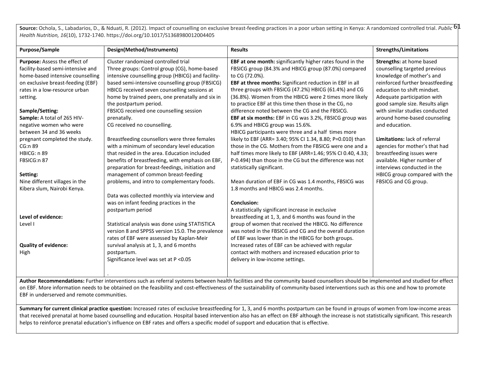**Source:** Ochola, S., Labadarios, D., & Nduati, R. (2012). Impact of counselling on exclusive breast-feeding practices in a poor urban setting in Kenya: A randomized controlled trial. *Public* 61 *Health Nutrition, 16*(10), 1732-1740. https://doi.org/10.1017/S1368980012004405

| Purpose/Sample                    | Design(Method/Instruments)                        | <b>Results</b>                                              | <b>Strengths/Limitations</b>     |
|-----------------------------------|---------------------------------------------------|-------------------------------------------------------------|----------------------------------|
| Purpose: Assess the effect of     | Cluster randomized controlled trial               | EBF at one month: significantly higher rates found in the   | <b>Strengths: at home based</b>  |
| facility-based semi-intensive and | Three groups: Control group (CG), home-based      | FBSICG group (84.3% and HBICG group (87.0%) compared        | counselling targeted previous    |
| home-based intensive counselling  | intensive counselling group (HBICG) and facility- | to CG (72.0%).                                              | knowledge of mother's and        |
| on exclusive breast-feeding (EBF) | based semi-intensive counselling group (FBSICG)   | EBF at three months: Significant reduction in EBF in all    | reinforced further breastfeeding |
| rates in a low-resource urban     | HBICG received seven counselling sessions at      | three groups with FBSICG (47.2%) HBICG (61.4%) and CG       | education to shift mindset.      |
| setting.                          | home by trained peers, one prenatally and six in  | (36.8%). Women from the HBICG were 2 times more likely      | Adequate participation with      |
|                                   | the postpartum period.                            | to practice EBF at this time then those in the CG, no       | good sample size. Results align  |
| Sample/Setting:                   | FBSICG received one counselling session           | difference noted between the CG and the FBSICG.             | with similar studies conducted   |
| Sample: A total of 265 HIV-       | prenatally.                                       | EBF at six months: EBF in CG was 3.2%, FBSICG group was     | around home-based counseling     |
| negative women who were           | CG received no counselling.                       | 6.9% and HBICG group was 15.6%.                             | and education.                   |
| between 34 and 36 weeks           |                                                   | HBICG participants were three and a half times more         |                                  |
| pregnant completed the study.     | Breastfeeding counsellors were three females      | likely to EBF (ARR= 3.40; 95% CI 1.34, 8.80; P=0.010) than  | Limitations: lack of referral    |
| CG:n 89                           | with a minimum of secondary level education       | those in the CG. Mothers from the FBSICG were one and a     | agencies for mother's that had   |
| HBICG: n 89                       | that resided in the area. Education included      | half times more likely to EBF (ARR=1.46; 95% CI 0.40, 4.33; | breastfeeding issues were        |
| FBSICG:n 87                       | benefits of breastfeeding, with emphasis on EBF,  | P-0.494) than those in the CG but the difference was not    | available. Higher number of      |
|                                   | preparation for breast-feedings, initiation and   | statistically significant.                                  | interviews conducted in the      |
| Setting:                          | management of common breast-feeding               |                                                             | HBICG group compared with the    |
| Nine different villages in the    | problems, and intro to complementary foods.       | Mean duration of EBF in CG was 1.4 months, FBSICG was       | FBSICG and CG group.             |
| Kibera slum, Nairobi Kenya.       |                                                   | 1.8 months and HBICG was 2.4 months.                        |                                  |
|                                   | Data was collected monthly via interview and      |                                                             |                                  |
|                                   | was on infant feeding practices in the            | Conclusion:                                                 |                                  |
|                                   | postpartum period                                 | A statistically significant increase in exclusive           |                                  |
| Level of evidence:                |                                                   | breastfeeding at 1, 3, and 6 months was found in the        |                                  |
| Level I                           | Statistical analysis was done using STATISTICA    | group of women that received the HBICG. No difference       |                                  |
|                                   | version 8 and SPPSS version 15.0. The prevalence  | was noted in the FBSICG and CG and the overall duration     |                                  |
|                                   | rates of EBF were assessed by Kaplan-Meir         | of EBF was lower than in the HBICG for both groups.         |                                  |
| <b>Quality of evidence:</b>       | survival analysis at 1, 3, and 6 months           | Increased rates of EBF can be achieved with regular         |                                  |
| High                              | postpartum.                                       | contact with mothers and increased education prior to       |                                  |
|                                   | Significance level was set at P < 0.05            | delivery in low-income settings.                            |                                  |
|                                   |                                                   |                                                             |                                  |
|                                   |                                                   |                                                             |                                  |

Author Recommendations: Further interventions such as referral systems between health facilities and the community based counsellors should be implemented and studied for effect on EBF. More information needs to be obtained on the feasibility and cost-effectiveness of the sustainability of community-based interventions such as this one and how to promote EBF in underserved and remote communities.

Summary for current clinical practice question: Increased rates of exclusive breastfeeding for 1, 3, and 6 months postpartum can be found in groups of women from low-income areas that received prenatal at home based counselling and education. Hospital based intervention also has an effect on EBF although the increase is not statistically significant. This research helps to reinforce prenatal education's influence on EBF rates and offers a specific model of support and education that is effective.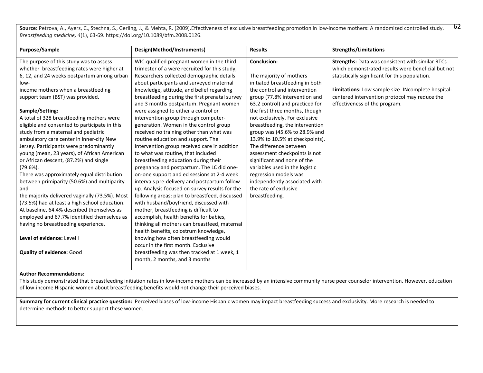Source: Petrova, A., Ayers, C., Stechna, S., Gerling, J., & Mehta, R. (2009). Effectiveness of exclusive breastfeeding promotion in low-income mothers: A randomized controlled study. 62 *Breastfeeding medicine, 4*(1), 63-69. https://doi.org/10.1089/bfm.2008.0126.

| <b>Purpose/Sample</b>                          | Design(Method/Instruments)                     | <b>Results</b>                  | <b>Strengths/Limitations</b>                            |
|------------------------------------------------|------------------------------------------------|---------------------------------|---------------------------------------------------------|
|                                                |                                                |                                 |                                                         |
| The purpose of this study was to assess        | WIC-qualified pregnant women in the third      | <b>Conclusion:</b>              | <b>Strengths:</b> Data was consistent with similar RTCs |
| whether breastfeeding rates were higher at     | trimester of a were recruited for this study,  |                                 | which demonstrated results were beneficial but not      |
| 6, 12, and 24 weeks postpartum among urban     | Researchers collected demographic details      | The majority of mothers         | statistically significant for this population.          |
| low-                                           | about participants and surveyed maternal       | initiated breastfeeding in both |                                                         |
| income mothers when a breastfeeding            | knowledge, attitude, and belief regarding      | the control and intervention    | Limitations: Low sample size. INcomplete hospital-      |
| support team (BST) was provided.               | breastfeeding during the first prenatal survey | group (77.8% intervention and   | centered intervention protocol may reduce the           |
|                                                | and 3 months postpartum. Pregnant women        | 63.2 control) and practiced for | effectiveness of the program.                           |
| Sample/Setting:                                | were assigned to either a control or           | the first three months, though  |                                                         |
| A total of 328 breastfeeding mothers were      | intervention group through computer-           | not exclusively. For exclusive  |                                                         |
| eligible and consented to participate in this  | generation. Women in the control group         | breastfeeding, the intervention |                                                         |
| study from a maternal and pediatric            | received no training other than what was       | group was (45.6% to 28.9% and   |                                                         |
| ambulatory care center in inner-city New       | routine education and support. The             | 13.9% to 10.5% at checkpoints). |                                                         |
| Jersey. Participants were predominantly        | Intervention group received care in addition   | The difference between          |                                                         |
| young (mean, 23 years), of African American    | to what was routine, that included             | assessment checkpoints is not   |                                                         |
| or African descent, (87.2%) and single         | breastfeeding education during their           | significant and none of the     |                                                         |
| $(79.6\%)$ .                                   | pregnancy and postpartum. The LC did one-      | variables used in the logistic  |                                                         |
| There was approximately equal distribution     | on-one support and ed sessions at 2-4 week     | regression models was           |                                                         |
| between primiparity (50.6%) and multiparity    | intervals pre-delivery and postpartum follow   | independently associated with   |                                                         |
| and                                            | up. Analysis focused on survey results for the | the rate of exclusive           |                                                         |
| the majority delivered vaginally (73.5%). Most | following areas: plan to breastfeed, discussed | breastfeeding.                  |                                                         |
| (73.5%) had at least a high school education.  | with husband/boyfriend, discussed with         |                                 |                                                         |
| At baseline, 64.4% described themselves as     | mother, breastfeeding is difficult to          |                                 |                                                         |
| employed and 67.7% identified themselves as    | accomplish, health benefits for babies,        |                                 |                                                         |
| having no breastfeeding experience.            | thinking all mothers can breastfeed, maternal  |                                 |                                                         |
|                                                | health benefits, colostrum knowledge,          |                                 |                                                         |
| Level of evidence: Level I                     | knowing how often breastfeeding would          |                                 |                                                         |
|                                                | occur in the first month. Exclusive            |                                 |                                                         |
| <b>Quality of evidence: Good</b>               | breastfeeding was then tracked at 1 week, 1    |                                 |                                                         |
|                                                | month, 2 months, and 3 months                  |                                 |                                                         |
|                                                |                                                |                                 |                                                         |

#### **Author Recommendations:**

This study demonstrated that breastfeeding initiation rates in low-income mothers can be increased by an intensive community nurse peer counselor intervention. However, education of low-income Hispanic women about breastfeeding benefits would not change their perceived biases.

**Summary for current clinical practice question:** Perceived biases of low-income Hispanic women may impact breastfeeding success and exclusivity. More research is needed to determine methods to better support these women.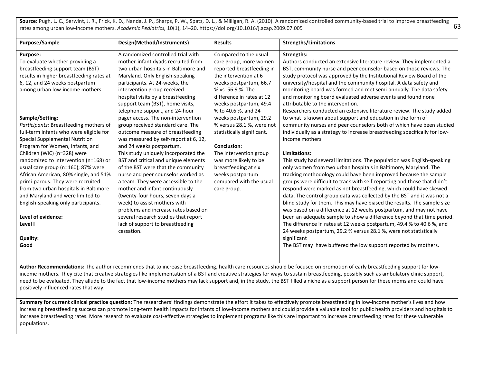Source: Pugh, L. C., Serwint, J. R., Frick, K. D., Nanda, J. P., Sharps, P. W., Spatz, D. L., & Milligan, R. A. (2010). A randomized controlled community-based trial to improve breastfeeding rates among urban low-income mothers. *Academic Pediatrics,* 10(1), 14–20. https://doi.org/10.1016/j.acap.2009.07.005

63

| Purpose/Sample                                                                                                                                                                                                                                                                                                                                                                                                                                                                                                                                                                                                                                                                                                                                                   | Design(Method/Instruments)                                                                                                                                                                                                                                                                                                                                                                                                                                                                                                                                                                                                                                                                                                                                                                                                                                                                                                                                      | <b>Results</b>                                                                                                                                                                                                                                                                                                                                                                                                                                                                         | <b>Strengths/Limitations</b>                                                                                                                                                                                                                                                                                                                                                                                                                                                                                                                                                                                                                                                                                                                                                                                                                                                                                                                                                                                                                                                                                                                                                                                                                                                                                                                                                                                                                                                                                                                                                                                                                                                                                            |
|------------------------------------------------------------------------------------------------------------------------------------------------------------------------------------------------------------------------------------------------------------------------------------------------------------------------------------------------------------------------------------------------------------------------------------------------------------------------------------------------------------------------------------------------------------------------------------------------------------------------------------------------------------------------------------------------------------------------------------------------------------------|-----------------------------------------------------------------------------------------------------------------------------------------------------------------------------------------------------------------------------------------------------------------------------------------------------------------------------------------------------------------------------------------------------------------------------------------------------------------------------------------------------------------------------------------------------------------------------------------------------------------------------------------------------------------------------------------------------------------------------------------------------------------------------------------------------------------------------------------------------------------------------------------------------------------------------------------------------------------|----------------------------------------------------------------------------------------------------------------------------------------------------------------------------------------------------------------------------------------------------------------------------------------------------------------------------------------------------------------------------------------------------------------------------------------------------------------------------------------|-------------------------------------------------------------------------------------------------------------------------------------------------------------------------------------------------------------------------------------------------------------------------------------------------------------------------------------------------------------------------------------------------------------------------------------------------------------------------------------------------------------------------------------------------------------------------------------------------------------------------------------------------------------------------------------------------------------------------------------------------------------------------------------------------------------------------------------------------------------------------------------------------------------------------------------------------------------------------------------------------------------------------------------------------------------------------------------------------------------------------------------------------------------------------------------------------------------------------------------------------------------------------------------------------------------------------------------------------------------------------------------------------------------------------------------------------------------------------------------------------------------------------------------------------------------------------------------------------------------------------------------------------------------------------------------------------------------------------|
| <b>Purpose:</b><br>To evaluate whether providing a<br>breastfeeding support team (BST)<br>results in higher breastfeeding rates at<br>6, 12, and 24 weeks postpartum<br>among urban low-income mothers.<br>Sample/Setting:<br>Participants: Breastfeeding mothers of<br>full-term infants who were eligible for<br>Special Supplemental Nutrition<br>Program for Women, Infants, and<br>Children (WIC) (n=328) were<br>randomized to intervention (n=168) or<br>usual care group (n=160); 87% were<br>African American, 80% single, and 51%<br>primi-parous. They were recruited<br>from two urban hospitals in Baltimore<br>and Maryland and were limited to<br>English-speaking only participants.<br>Level of evidence:<br>Level I<br><b>Quality:</b><br>Good | A randomized controlled trial with<br>mother-infant dyads recruited from<br>two urban hospitals in Baltimore and<br>Maryland. Only English-speaking<br>participants. At 24-weeks, the<br>intervention group received<br>hospital visits by a breastfeeding<br>support team (BST), home visits,<br>telephone support, and 24-hour<br>pager access. The non-intervention<br>group received standard care. The<br>outcome measure of breastfeeding<br>was measured by self-report at 6, 12,<br>and 24 weeks postpartum.<br>This study uniquely incorporated the<br>BST and critical and unique elements<br>of the BST were that the community<br>nurse and peer counselor worked as<br>a team. They were accessible to the<br>mother and infant continuously<br>(twenty-four hours, seven days a<br>week) to assist mothers with<br>problems and increase rates based on<br>several research studies that report<br>lack of support to breastfeeding<br>cessation. | Compared to the usual<br>care group, more women<br>reported breastfeeding in<br>the intervention at 6<br>weeks postpartum, 66.7<br>% vs. 56.9 %. The<br>difference in rates at 12<br>weeks postpartum, 49.4<br>% to 40.6 %, and 24<br>weeks postpartum, 29.2<br>% versus 28.1 %, were not<br>statistically significant.<br><b>Conclusion:</b><br>The intervention group<br>was more likely to be<br>breastfeeding at six<br>weeks postpartum<br>compared with the usual<br>care group. | Strengths:<br>Authors conducted an extensive literature review. They implemented a<br>BST, community nurse and peer counselor based on those reviews. The<br>study protocol was approved by the Institutional Review Board of the<br>university/hospital and the community hospital. A data safety and<br>monitoring board was formed and met semi-annually. The data safety<br>and monitoring board evaluated adverse events and found none<br>attributable to the intervention.<br>Researchers conducted an extensive literature review. The study added<br>to what is known about support and education in the form of<br>community nurses and peer counselors both of which have been studied<br>individually as a strategy to increase breastfeeding specifically for low-<br>income mothers<br>Limitations:<br>This study had several limitations. The population was English-speaking<br>only women from two urban hospitals in Baltimore, Maryland. The<br>tracking methodology could have been improved because the sample<br>groups were difficult to track with self-reporting and those that didn't<br>respond were marked as not breastfeeding, which could have skewed<br>data. The control group data was collected by the BST and it was not a<br>blind study for them. This may have biased the results. The sample size<br>was based on a difference at 12 weeks postpartum, and may not have<br>been an adequate sample to show a difference beyond that time period.<br>The difference in rates at 12 weeks postpartum, 49.4 % to 40.6 %, and<br>24 weeks postpartum, 29.2 % versus 28.1 %, were not statistically<br>significant<br>The BST may have buffered the low support reported by mothers. |
|                                                                                                                                                                                                                                                                                                                                                                                                                                                                                                                                                                                                                                                                                                                                                                  |                                                                                                                                                                                                                                                                                                                                                                                                                                                                                                                                                                                                                                                                                                                                                                                                                                                                                                                                                                 |                                                                                                                                                                                                                                                                                                                                                                                                                                                                                        |                                                                                                                                                                                                                                                                                                                                                                                                                                                                                                                                                                                                                                                                                                                                                                                                                                                                                                                                                                                                                                                                                                                                                                                                                                                                                                                                                                                                                                                                                                                                                                                                                                                                                                                         |

**Author Recommendations:** The author recommends that to increase breastfeeding, health care resources should be focused on promotion of early breastfeeding support for lowincome mothers. They cite that creative strategies like implementation of a BST and creative strategies for ways to sustain breastfeeding, possibly such as ambulatory clinic support, need to be evaluated. They allude to the fact that low-income mothers may lack support and, in the study, the BST filled a niche as a support person for these moms and could have positively influenced rates that way.

Summary for current clinical practice question: The researchers' findings demonstrate the effort it takes to effectively promote breastfeeding in low-income mother's lives and how increasing breastfeeding success can promote long-term health impacts for infants of low-income mothers and could provide a valuable tool for public health providers and hospitals to increase breastfeeding rates. More research to evaluate cost-effective strategies to implement programs like this are important to increase breastfeeding rates for these vulnerable populations.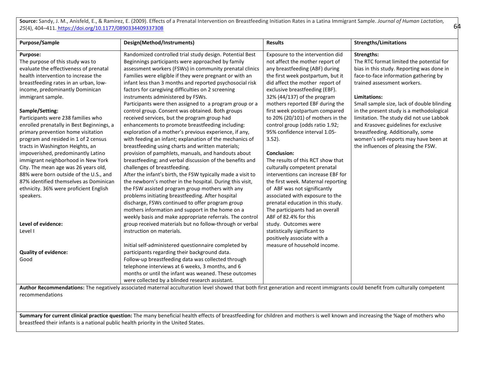**Source:** Sandy, J. M., Anisfeld, E., & Ramirez, E. (2009). Effects of a Prenatal Intervention on Breastfeeding Initiation Rates in a Latina Immigrant Sample. *Journal of Human Lactation, 25*(4), 404–411[. https://doi.org/10.1177/0890334409337308](https://meet.google.com/linkredirect?authuser=1&dest=https%3A%2F%2Fdoi.org%2F10.1177%2F0890334409337308)

64

| <b>Purpose/Sample</b>                     | Design(Method/Instruments)                                                                                                                                                     | <b>Results</b>                     | <b>Strengths/Limitations</b>               |
|-------------------------------------------|--------------------------------------------------------------------------------------------------------------------------------------------------------------------------------|------------------------------------|--------------------------------------------|
|                                           |                                                                                                                                                                                |                                    |                                            |
| Purpose:                                  | Randomized controlled trial study design. Potential Best                                                                                                                       | Exposure to the intervention did   | <b>Strengths:</b>                          |
| The purpose of this study was to          | Beginnings participants were approached by family                                                                                                                              | not affect the mother report of    | The RTC format limited the potential for   |
| evaluate the effectiveness of prenatal    | assessment workers (FSWs) in community prenatal clinics                                                                                                                        | any breastfeeding (ABF) during     | bias in this study. Reporting was done in  |
| health intervention to increase the       | Families were eligible if they were pregnant or with an                                                                                                                        | the first week postpartum, but it  | face-to-face information gathering by      |
| breastfeeding rates in an urban, low-     | infant less than 3 months and reported psychosocial risk                                                                                                                       | did affect the mother report of    | trained assessment workers.                |
| income, predominantly Dominican           | factors for caregiving difficulties on 2 screening                                                                                                                             | exclusive breastfeeding (EBF).     |                                            |
| immigrant sample.                         | instruments administered by FSWs.                                                                                                                                              | 32% (44/137) of the program        | Limitations:                               |
|                                           | Participants were then assigned to a program group or a                                                                                                                        | mothers reported EBF during the    | Small sample size, lack of double blinding |
| Sample/Setting:                           | control group. Consent was obtained. Both groups                                                                                                                               | first week postpartum compared     | in the present study is a methodological   |
| Participants were 238 families who        | received services, but the program group had                                                                                                                                   | to 20% (20/101) of mothers in the  | limitation. The study did not use Labbok   |
| enrolled prenatally in Best Beginnings, a | enhancements to promote breastfeeding including:                                                                                                                               | control group (odds ratio 1.92;    | and Krasovec guidelines for exclusive      |
| primary prevention home visitation        | exploration of a mother's previous experience, if any,                                                                                                                         | 95% confidence interval 1.05-      | breastfeeding. Additionally, some          |
| program and resided in 1 of 2 census      | with feeding an infant; explanation of the mechanics of                                                                                                                        | $3.52$ ).                          | women's self-reports may have been at      |
| tracts in Washington Heights, an          | breastfeeding using charts and written materials;                                                                                                                              |                                    | the influences of pleasing the FSW.        |
| impoverished, predominantly Latino        | provision of pamphlets, manuals, and handouts about                                                                                                                            | Conclusion:                        |                                            |
| immigrant neighborhood in New York        | breastfeeding; and verbal discussion of the benefits and                                                                                                                       | The results of this RCT show that  |                                            |
| City. The mean age was 26 years old,      | challenges of breastfeeding.                                                                                                                                                   | culturally competent prenatal      |                                            |
| 88% were born outside of the U.S., and    | After the infant's birth, the FSW typically made a visit to                                                                                                                    | interventions can increase EBF for |                                            |
| 87% identified themselves as Dominican    | the newborn's mother in the hospital. During this visit,                                                                                                                       | the first week. Maternal reporting |                                            |
| ethnicity. 36% were proficient English    | the FSW assisted program group mothers with any                                                                                                                                | of ABF was not significantly       |                                            |
| speakers.                                 | problems initiating breastfeeding. After hospital                                                                                                                              | associated with exposure to the    |                                            |
|                                           | discharge, FSWs continued to offer program group                                                                                                                               | prenatal education in this study.  |                                            |
|                                           | mothers information and support in the home on a                                                                                                                               | The participants had an overall    |                                            |
|                                           | weekly basis and make appropriate referrals. The control                                                                                                                       | ABF of 82.4% for this              |                                            |
| Level of evidence:                        | group received materials but no follow-through or verbal                                                                                                                       | study. Outcomes were               |                                            |
| Level I                                   | instruction on materials.                                                                                                                                                      | statistically significant to       |                                            |
|                                           |                                                                                                                                                                                | positively associate with a        |                                            |
|                                           | Initial self-administered questionnaire completed by                                                                                                                           | measure of household income.       |                                            |
| <b>Quality of evidence:</b>               | participants regarding their background data.                                                                                                                                  |                                    |                                            |
| Good                                      | Follow-up breastfeeding data was collected through                                                                                                                             |                                    |                                            |
|                                           | telephone interviews at 6 weeks, 3 months, and 6                                                                                                                               |                                    |                                            |
|                                           | months or until the infant was weaned. These outcomes                                                                                                                          |                                    |                                            |
|                                           | were collected by a blinded research assistant.                                                                                                                                |                                    |                                            |
|                                           | Author Recommendations: The negatively associated maternal acculturation level showed that both first generation and recent immigrants could benefit from culturally competent |                                    |                                            |
| recommendations                           |                                                                                                                                                                                |                                    |                                            |

Summary for current clinical practice question: The many beneficial health effects of breastfeeding for children and mothers is well known and increasing the %age of mothers who breastfeed their infants is a national public health priority in the United States.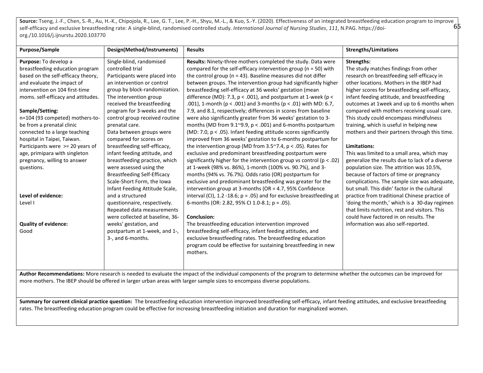65 Source: Tseng, J.-F., Chen, S.-R., Au, H.-K., Chipojola, R., Lee, G. T., Lee, P.-H., Shyu, M.-L., & Kuo, S.-Y. (2020). Effectiveness of an integrated breastfeeding education program to improve self-efficacy and exclusive breastfeeding rate: A single-blind, randomised controlled study. *International Journal of Nursing Studies*, *111*, N.PAG. https://doiorg./10.1016/j.ijnurstu.2020.103770

| Purpose/Sample                     | Design(Method/Instruments)         | <b>Results</b>                                                           | <b>Strengths/Limitations</b>                    |
|------------------------------------|------------------------------------|--------------------------------------------------------------------------|-------------------------------------------------|
| Purpose: To develop a              | Single-blind, randomised           | Results: Ninety-three mothers completed the study. Data were             | Strengths:                                      |
| breastfeeding education program    | controlled trial                   | compared for the self-efficacy intervention group ( $n = 50$ ) with      | The study matches findings from other           |
| based on the self-efficacy theory, | Participants were placed into      | the control group ( $n = 43$ ). Baseline measures did not differ         | research on breastfeeding self-efficacy in      |
| and evaluate the impact of         | an intervention or control         | between groups. The intervention group had significantly higher          | other locations. Mothers in the IBEP had        |
| intervention on 104 first-time     | group by block-randomization.      | breastfeeding self-efficacy at 36 weeks' gestation (mean                 | higher scores for breastfeeding self-efficacy,  |
| moms. self-efficacy and attitudes. | The intervention group             | difference (MD): 7.3, $p < .001$ ), and postpartum at 1-week ( $p <$     | infant feeding attitude, and breastfeeding      |
|                                    | received the breastfeeding         | .001), 1-month ( $p < .001$ ) and 3-months ( $p < .01$ ) with MD: 6.7,   | outcomes at 1 week and up to 6 months when      |
| Sample/Setting:                    | program for 3-weeks and the        | 7.9, and 8.1, respectively; differences in scores from baseline          | compared with mothers receiving usual care.     |
| n=104 (93 competed) mothers-to-    | control group received routine     | were also significantly greater from 36 weeks' gestation to 3-           | This study could encompass mindfulness          |
| be from a prenatal clinic          | prenatal care.                     | months (MD from 9.1 $\degree$ 9.9, p < .001) and 6-months postpartum     | training, which is useful in helping new        |
| connected to a large teaching      | Data between groups were           | (MD: 7.0, p < .05). Infant feeding attitude scores significantly         | mothers and their partners through this time.   |
| hospital in Taipei, Taiwan.        | compared for scores on             | improved from 36 weeks' gestation to 6-months postpartum for             |                                                 |
| Participants were >= 20 years of   | breastfeeding self-efficacy,       | the intervention group (MD from $3.5^{\sim}7.4$ , p < .05). Rates for    | Limitations:                                    |
| age, primipara with singleton      | infant feeding attitude, and       | exclusive and predominant breastfeeding postpartum were                  | This was limited to a small area, which may     |
| pregnancy, willing to answer       | breastfeeding practice, which      | significantly higher for the intervention group vs control ( $p < .02$ ) | generalize the results due to lack of a diverse |
| questions.                         | were assessed using the            | at 1-week (98% vs. 86%), 1-month (100% vs. 90.7%), and 3-                | population size. The attrition was 10.5%,       |
|                                    | <b>Breastfeeding Self-Efficacy</b> | months (94% vs. 76.7%). Odds ratio (OR) postpartum for                   | because of factors of time or pregnancy         |
|                                    | Scale-Short Form, the Iowa         | exclusive and predominant breastfeeding was greater for the              | complications. The sample size was adequate,    |
|                                    | Infant Feeding Attitude Scale,     | intervention group at 3-months (OR = 4.7, 95% Confidence                 | but small. This didn' factor in the cultural    |
| Level of evidence:                 | and a structured                   | interval (CI), 1.2 -18.6; $p = .05$ ) and for exclusive breastfeeding at | practice from traditional Chinese practice of   |
| Level I                            | questionnaire, respectively.       | 6-months (OR: 2.82, 95% CI 1.0-8.1; $p = .05$ ).                         | 'doing the month,' which is a 30-day regimen    |
|                                    | Repeated data measurements         |                                                                          | that limits nutrition, rest and visitors. This  |
|                                    | were collected at baseline, 36-    | <b>Conclusion:</b>                                                       | could have factored in on results. The          |
| <b>Quality of evidence:</b>        | weeks' gestation, and              | The breastfeeding education intervention improved                        | information was also self-reported.             |
| Good                               | postpartum at 1-week, and 1-,      | breastfeeding self-efficacy, infant feeding attitudes, and               |                                                 |
|                                    | 3-, and 6-months.                  | exclusive breastfeeding rates. The breastfeeding education               |                                                 |
|                                    |                                    | program could be effective for sustaining breastfeeding in new           |                                                 |
|                                    |                                    | mothers.                                                                 |                                                 |
|                                    |                                    |                                                                          |                                                 |
|                                    |                                    |                                                                          |                                                 |

**Author Recommendations:** More research is needed to evaluate the impact of the individual components of the program to determine whether the outcomes can be improved for more mothers. The IBEP should be offered in larger urban areas with larger sample sizes to encompass diverse populations.

Summary for current clinical practice question: The breastfeeding education intervention improved breastfeeding self-efficacy, infant feeding attitudes, and exclusive breastfeeding rates. The breastfeeding education program could be effective for increasing breastfeeding initiation and duration for marginalized women.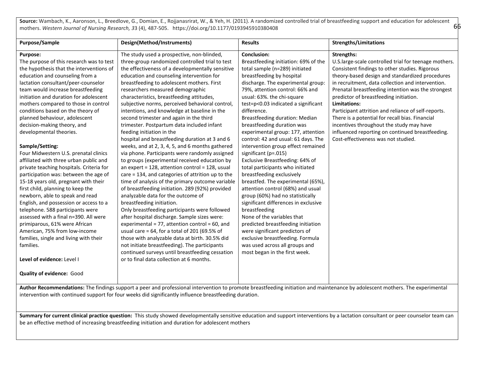**Source:** Wambach, K., Aaronson, L., Breedlove, G., Domian, E., Rojjanasrirat, W., & Yeh, H. (2011). A randomized controlled trial of breastfeeding support and education for adolescent mothers. *Western Journal of Nursing Research, 3*3 (4), 487-505. https://doi.org/10.1177/0193945910380408

66

| Purpose/Sample                           | Design(Method/Instruments)                        | <b>Results</b>                       | <b>Strengths/Limitations</b>                          |
|------------------------------------------|---------------------------------------------------|--------------------------------------|-------------------------------------------------------|
| <b>Purpose:</b>                          | The study used a prospective, non-blinded,        | <b>Conclusion:</b>                   | <b>Strengths:</b>                                     |
| The purpose of this research was to test | three-group randomized controlled trial to test   | Breastfeeding initiation: 69% of the | U.S.large-scale controlled trial for teenage mothers. |
| the hypothesis that the interventions of | the effectiveness of a developmentally sensitive  | total sample (n=289) initiated       | Consistent findings to other studies. Rigorous        |
| education and counseling from a          | education and counseling intervention for         | breastfeeding by hospital            | theory-based design and standardized procedures       |
| lactation consultant/peer-counselor      | breastfeeding to adolescent mothers. First        | discharge. The experimental group:   | in recruitment, data collection and intervention.     |
| team would increase breastfeeding        | researchers measured demographic                  | 79%, attention control: 66% and      | Prenatal breastfeeding intention was the strongest    |
| initiation and duration for adolescent   | characteristics, breastfeeding attitudes,         | usual: 63%. the chi-square           | predictor of breastfeeding initiation.                |
| mothers compared to those in control     | subjective norms, perceived behavioral control,   | test=p<0.03 indicated a significant  | Limitations:                                          |
| conditions based on the theory of        | intentions, and knowledge at baseline in the      | difference.                          | Participant attrition and reliance of self-reports.   |
| planned behaviour, adolescent            | second trimester and again in the third           | Breastfeeding duration: Median       | There is a potential for recall bias. Financial       |
| decision-making theory, and              | trimester. Postpartum data included infant        | breastfeeding duration was           | incentives throughout the study may have              |
| developmental theories.                  | feeding initiation in the                         | experimental group: 177, attention   | influenced reporting on continued breastfeeding.      |
|                                          | hospital and breastfeeding duration at 3 and 6    | control: 42 and usual: 61 days. The  | Cost-effectiveness was not studied.                   |
| Sample/Setting:                          | weeks, and at 2, 3, 4, 5, and 6 months gathered   | intervention group effect remained   |                                                       |
| Four Midwestern U.S. prenatal clinics    | via phone. Participants were randomly assigned    | significant (p=.015)                 |                                                       |
| affiliated with three urban public and   | to groups (experimental received education by     | Exclusive Breastfeeding: 64% of      |                                                       |
| private teaching hospitals. Criteria for | an expert = 128, attention control = 128, usual   | total participants who initiated     |                                                       |
| participation was: between the age of    | care = 134, and categories of attrition up to the | breastfeeding exclusively            |                                                       |
| 15-18 years old, pregnant with their     | time of analysis of the primary outcome variable  | breastfed. The experimental (65%),   |                                                       |
| first child, planning to keep the        | of breastfeeding initiation. 289 (92%) provided   | attention control (68%) and usual    |                                                       |
| newborn, able to speak and read          | analyzable data for the outcome of                | group (60%) had no statistically     |                                                       |
| English, and possession or access to a   | breastfeeding initiation.                         | significant differences in exclusive |                                                       |
| telephone. 588 participants were         | Only breastfeeding participants were followed     | breastfeeding                        |                                                       |
| assessed with a final n=390. All were    | after hospital discharge. Sample sizes were:      | None of the variables that           |                                                       |
| primiparous, 61% were African            | experimental = 77, attention control = 60, and    | predicted breastfeeding initiation   |                                                       |
| American, 75% from low-income            | usual care = $64$ , for a total of 201 (69.5% of  | were significant predictors of       |                                                       |
| families, single and living with their   | those with analyzable data at birth. 30.5% did    | exclusive breastfeeding. Formula     |                                                       |
| families.                                | not initiate breastfeeding). The participants     | was used across all groups and       |                                                       |
|                                          | continued surveys until breastfeeding cessation   | most began in the first week.        |                                                       |
| Level of evidence: Level I               | or to final data collection at 6 months.          |                                      |                                                       |
| <b>Quality of evidence: Good</b>         |                                                   |                                      |                                                       |

Author Recommendations: The findings support a peer and professional intervention to promote breastfeeding initiation and maintenance by adolescent mothers. The experimental intervention with continued support for four weeks did significantly influence breastfeeding duration.

**Summary for current clinical practice question:** This study showed developmentally sensitive education and support interventions by a lactation consultant or peer counselor team can be an effective method of increasing breastfeeding initiation and duration for adolescent mothers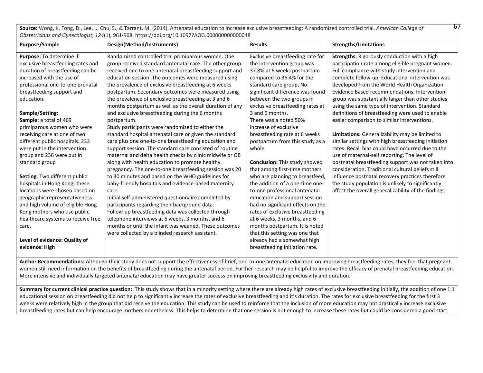**Source:** Wong, K, Fong, D., Lee, I., Chu, S., & Tarrant, M. (2014). Antenatal education to increase exclusive breastfeeding: A randomized controlled trial. *American College of* 67 *Obstetricians and Gynecologist, 124*(1), 961-968. https://doi.org/10.1097?AOG.000000000000048

| Purpose/Sample                     | Design(Method/Instruments)                               | <b>Results</b>                       | <b>Strengths/Limitations</b>                         |
|------------------------------------|----------------------------------------------------------|--------------------------------------|------------------------------------------------------|
| Purpose: To determine if           | Randomized controlled trial primiparous women. One       | Exclusive breastfeeding rate for     | <b>Strengths:</b> Rigorously conduction with a high  |
| exclusive breastfeeding rates and  | group received standard antenatal care. The other group  | the intervention group was           | participation rate among eligible pregnant women.    |
| duration of breastfeeding can be   | received one to one antenatal breastfeeding support and  | 37.8% at 6 weeks postpartum          | Full compliance with study intervention and          |
| increased with the use of          | education session. The outcomes were measured using      | compared to 36.4% for the            | complete follow-up. Educational intervention was     |
| professional one-to-one prenatal   | the prevalence of exclusive breastfeeding at 6 weeks     | standard care group. No              | developed from the World Health Organization         |
| breastfeeding support and          | postpartum. Secondary outcomes were measured using       | significant difference was found     | Evidence Based recommendations, Intervention         |
| education.                         | the prevalence of exclusive breastfeeding at 3 and 6     | between the two groups in            | group was substantially larger than other studies    |
|                                    | months postpartum as well as the overall duration of any | exclusive breastfeeding rates at     | using the same type of intervention. Standard        |
| Sample/Setting:                    | and exclusive breastfeeding during the 6 months          | 3 and 6 months.                      | definitions of breastfeeding were used to enable     |
| Sample: a total of 469             | postpartum.                                              | There was a noted 50%                | easier comparison to similar interventions.          |
| primiparous women who were         | Study participants were randomized to either the         | increase of exclusive                |                                                      |
| receiving care at one of two       | standard hospital antenatal care or given the standard   | breastfeeding rate at 6 weeks        | Limitations: Generalizability may be limited to      |
| different public hospitals. 233    | care plus one one-to-one breastfeeding education and     | postpartum from this study as a      | similar settings with high breastfeeding initiation  |
| were put in the intervention       | support session. The standard care consisted of routine  | whole.                               | rates. Recall bias could have occurred due to the    |
| group and 236 were put in          | maternal and delta health checks by clinic midwife or OB |                                      | use of maternal-self reporting. The level of         |
| standard group                     | along with health education to promote healthy           | <b>Conclusion:</b> This study showed | postnatal breastfeeding support was not taken into   |
|                                    | pregnancy. The one-to-one breastfeeding session was 20   | that among first-time mothers        | consideration. Traditional cultural beliefs still    |
| Setting: Two different public      | to 30 minutes and based on the WHO guidelines for        | who are planning to breastfeed,      | influence postnatal recovery practices therefore     |
| hospitals in Hong Kong-these       | baby-friendly hospitals and evidence-based maternity     | the addition of a one-time one-      | the study population is unlikely to significantly    |
| locations were chosen based on     | care.                                                    | to-one professional antenatal        | affect the overall generalizability of the findings. |
| geographic representativeness      | Initial self-administered questionnaire completed by     | education and support session        |                                                      |
| and high volume of eligible Hong   | participants regarding their background data.            | had no significant effects on the    |                                                      |
| Kong mothers who use public        | Follow-up breastfeeding data was collected through       | rates of exclusive breastfeeding     |                                                      |
| healthcare systems to receive free | telephone interviews at 6 weeks, 3 months, and 6         | at 6 weeks, 3 months, and 6          |                                                      |
| care.                              | months or until the infant was weaned. These outcomes    | months postpartum. It is noted       |                                                      |
|                                    | were collected by a blinded research assistant.          | that this setting was one that       |                                                      |
| Level of evidence: Quality of      |                                                          | already had a somewhat high          |                                                      |
| evidence: High                     |                                                          | breastfeeding initiation rate.       |                                                      |
|                                    |                                                          |                                      |                                                      |

**Author Recommendations:** Although their study does not support the effectiveness of brief, one-to-one antenatal education on improving breastfeeding rates, they feel that pregnant women still need information on the benefits of breastfeeding during the antenatal period. Further research may be helpful to improve the efficacy of prenatal breastfeeding education. More intensive and individually targeted antenatal education may have greater success on improving breastfeeding exclusivity and duration.

Summary for current clinical practice question: This study shows that in a minority setting where there are already high rates of exclusive breastfeeding initially, the addition of one 1:1 educational session on breastfeeding did not help to significantly increase the rates of exclusive breastfeeding and it's duration. The rates for exclusive breastfeeding for the first 3 weeks were relatively high in the group that did receive the education. This study can be used to reinforce that the inclusion of more education may not drastically increase exclusive breastfeeding rates but can help encourage mothers nonetheless. This helps to determine that one session is not enough to increase these rates but could be considered a good start.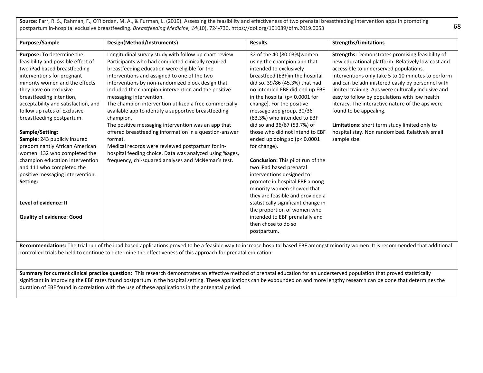**Source:** Farr, R. S., Rahman, F., O'Riordan, M. A., & Furman, L. (2019). Assessing the feasibility and effectiveness of two prenatal breastfeeding intervention apps in promoting postpartum in-hospital exclusive breastfeeding. *Breastfeeding Medicine, 14*(10), 724-730. https://doi.org/101089/bfm.2019.0053

| <b>Purpose/Sample</b>               | Design(Method/Instruments)                              | <b>Results</b>                           | <b>Strengths/Limitations</b>                        |
|-------------------------------------|---------------------------------------------------------|------------------------------------------|-----------------------------------------------------|
| Purpose: To determine the           | Longitudinal survey study with follow up chart review.  | 32 of the 40 (80.03%) women              | Strengths: Demonstrates promising feasibility of    |
| feasibility and possible effect of  | Participants who had completed clinically required      | using the champion app that              | new educational platform. Relatively low cost and   |
| two iPad based breastfeeding        | breastfeeding education were eligible for the           | intended to exclusively                  | accessible to underserved populations.              |
| interventions for pregnant          | interventions and assigned to one of the two            | breastfeed (EBF)in the hospital          | Interventions only take 5 to 10 minutes to perform  |
| minority women and the effects      | interventions by non-randomized block design that       | did so. 39/86 (45.3%) that had           | and can be administered easily by personnel with    |
| they have on exclusive              | included the champion intervention and the positive     | no intended EBF did end up EBF           | limited training. Aps were culturally inclusive and |
| breastfeeding intention,            | messaging intervention.                                 | in the hospital ( $p$ < 0.0001 for       | easy to follow by populations with low health       |
| acceptability and satisfaction, and | The champion intervention utilized a free commercially  | change). For the positive                | literacy. The interactive nature of the aps were    |
| follow up rates of Exclusive        | available app to identify a supportive breastfeeding    | message app group, 30/36                 | found to be appealing.                              |
| breastfeeding postpartum.           | champion.                                               | (83.3%) who intended to EBF              |                                                     |
|                                     | The positive messaging intervention was an app that     | did so and 36/67 (53.7%) of              | Limitations: short term study limited only to       |
| Sample/Setting:                     | offered breastfeeding information in a question-answer  | those who did not intend to EBF          | hospital stay. Non randomized. Relatively small     |
| Sample: 243 publicly insured        | format.                                                 | ended up doing so (p< 0.0001             | sample size.                                        |
| predominantly African American      | Medical records were reviewed postpartum for in-        | for change).                             |                                                     |
| women. 132 who completed the        | hospital feeding choice. Data was analyzed using %ages, |                                          |                                                     |
| champion education intervention     | frequency, chi-squared analyses and McNemar's test.     | <b>Conclusion:</b> This pilot run of the |                                                     |
| and 111 who completed the           |                                                         | two iPad based prenatal                  |                                                     |
| positive messaging intervention.    |                                                         | interventions designed to                |                                                     |
| Setting:                            |                                                         | promote in hospital EBF among            |                                                     |
|                                     |                                                         | minority women showed that               |                                                     |
|                                     |                                                         | they are feasible and provided a         |                                                     |
| Level of evidence: II               |                                                         | statistically significant change in      |                                                     |
|                                     |                                                         | the proportion of women who              |                                                     |
| <b>Quality of evidence: Good</b>    |                                                         | intended to EBF prenatally and           |                                                     |
|                                     |                                                         | then chose to do so                      |                                                     |
|                                     |                                                         | postpartum.                              |                                                     |
|                                     |                                                         |                                          |                                                     |

Recommendations: The trial run of the ipad based applications proved to be a feasible way to increase hospital based EBF amongst minority women. It is recommended that additional controlled trials be held to continue to determine the effectiveness of this approach for prenatal education.

**Summary for current clinical practice question:** This research demonstrates an effective method of prenatal education for an underserved population that proved statistically significant in improving the EBF rates found postpartum in the hospital setting. These applications can be expounded on and more lengthy research can be done that determines the duration of EBF found in correlation with the use of these applications in the antenatal period.

68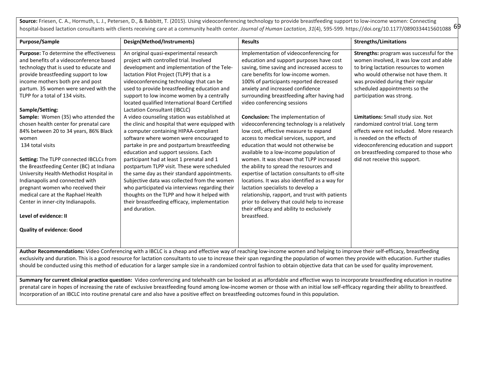hospital-based lactation consultants with clients receiving care at a community health center. *Journal of Human Lactation, 31*(4), 595-599. https://doi.org/10.1177/0890334415601088 6P **Source:** Friesen, C. A., Hormuth, L. J., Petersen, D., & Babbitt, T. (2015). Using videoconferencing technology to provide breastfeeding support to low-income women: Connecting

| Purpose/Sample                                                                                                                                                                                                                                                                                                                                                                                                                                                                                         | Design(Method/Instruments)                                                                                                                                                                                                                                                                                                                                                                                                                                                                                                                                                                                                                 | <b>Results</b>                                                                                                                                                                                                                                                                                                                                                                                                                                                                                                                                                                                                                                                   | <b>Strengths/Limitations</b>                                                                                                                                                                                                                                               |
|--------------------------------------------------------------------------------------------------------------------------------------------------------------------------------------------------------------------------------------------------------------------------------------------------------------------------------------------------------------------------------------------------------------------------------------------------------------------------------------------------------|--------------------------------------------------------------------------------------------------------------------------------------------------------------------------------------------------------------------------------------------------------------------------------------------------------------------------------------------------------------------------------------------------------------------------------------------------------------------------------------------------------------------------------------------------------------------------------------------------------------------------------------------|------------------------------------------------------------------------------------------------------------------------------------------------------------------------------------------------------------------------------------------------------------------------------------------------------------------------------------------------------------------------------------------------------------------------------------------------------------------------------------------------------------------------------------------------------------------------------------------------------------------------------------------------------------------|----------------------------------------------------------------------------------------------------------------------------------------------------------------------------------------------------------------------------------------------------------------------------|
| Purpose: To determine the effectiveness<br>and benefits of a videoconference based<br>technology that is used to educate and<br>provide breastfeeding support to low<br>income mothers both pre and post<br>partum. 35 women were served with the<br>TLPP for a total of 134 visits.<br>Sample/Setting:                                                                                                                                                                                                | An original quasi-experimental research<br>project with controlled trial. Involved<br>development and implementation of the Tele-<br>lactation Pilot Project (TLPP) that is a<br>videoconferencing technology that can be<br>used to provide breastfeeding education and<br>support to low income women by a centrally<br>located qualified International Board Certified<br>Lactation Consultant (IBCLC)                                                                                                                                                                                                                                  | Implementation of videoconferencing for<br>education and support purposes have cost<br>saving, time saving and increased access to<br>care benefits for low-income women.<br>100% of participants reported decreased<br>anxiety and increased confidence<br>surrounding breastfeeding after having had<br>video conferencing sessions                                                                                                                                                                                                                                                                                                                            | Strengths: program was successful for the<br>women involved, it was low cost and able<br>to bring lactation resources to women<br>who would otherwise not have them. It<br>was provided during their regular<br>scheduled appointments so the<br>participation was strong. |
| Sample: Women (35) who attended the<br>chosen health center for prenatal care<br>84% between 20 to 34 years, 86% Black<br>women<br>134 total visits<br>Setting: The TLPP connected IBCLCs from<br>the Breastfeeding Center (BC) at Indiana<br>University Health-Methodist Hospital in<br>Indianapolis and connected with<br>pregnant women who received their<br>medical care at the Raphael Health<br>Center in inner-city Indianapolis.<br>Level of evidence: II<br><b>Quality of evidence: Good</b> | A video counseling station was established at<br>the clinic and hospital that were equipped with<br>a computer containing HIPAA-compliant<br>software where women were encouraged to<br>partake in pre and postpartum breastfeeding<br>education and support sessions. Each<br>participant had at least 1 prenatal and 1<br>postpartum TLPP visit. These were scheduled<br>the same day as their standard appointments.<br>Subjective data was collected from the women<br>who participated via interviews regarding their<br>thoughts on the TLPP and how it helped with<br>their breastfeeding efficacy, implementation<br>and duration. | <b>Conclusion:</b> The implementation of<br>videoconferencing technology is a relatively<br>low cost, effective measure to expand<br>access to medical services, support, and<br>education that would not otherwise be<br>available to a low-income population of<br>women. It was shown that TLPP increased<br>the ability to spread the resources and<br>expertise of lactation consultants to off-site<br>locations. It was also identified as a way for<br>lactation specialists to develop a<br>relationship, rapport, and trust with patients<br>prior to delivery that could help to increase<br>their efficacy and ability to exclusively<br>breastfeed. | Limitations: Small study size. Not<br>randomized control trial. Long term<br>effects were not included. More research<br>is needed on the effects of<br>videoconferencing education and support<br>on breastfeeding compared to those who<br>did not receive this support. |
| Author Recommendations: Video Conferencing with a IBCLC is a cheap and effective way of reaching low-income women and helping to improve their self-efficacy, breastfeeding                                                                                                                                                                                                                                                                                                                            |                                                                                                                                                                                                                                                                                                                                                                                                                                                                                                                                                                                                                                            |                                                                                                                                                                                                                                                                                                                                                                                                                                                                                                                                                                                                                                                                  |                                                                                                                                                                                                                                                                            |

exclusivity and duration. This is a good resource for lactation consultants to use to increase their span regarding the population of women they provide with education. Further studies should be conducted using this method of education for a larger sample size in a randomized control fashion to obtain objective data that can be used for quality improvement.

Summary for current clinical practice question: Video conferencing and telehealth can be looked at as affordable and effective ways to incorporate breastfeeding education in routine prenatal care in hopes of increasing the rate of exclusive breastfeeding found among low-income women or those with an initial low self-efficacy regarding their ability to breastfeed. Incorporation of an IBCLC into routine prenatal care and also have a positive effect on breastfeeding outcomes found in this population.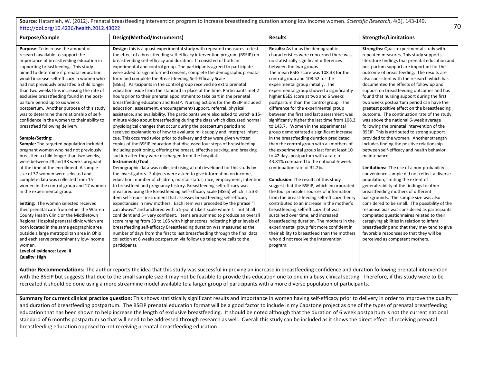**Source:** Hatamleh, W. (2012). Prenatal breastfeeding intervention program to increase breastfeeding duration among low income women. *Scientific Research*, 4(3), 143-149. [http://doi.org/10.4236/health.2012.43022](http://dx.doi.org/10.4236/health.2012.43022)

70

| Purpose/Sample                                                                                                                                                                                                                                                                                                                                                                                                                                                                                                                                                                                                                                                                                                                                                                                                                                                                                                                                                                                                                                                                                                                                                                                                                                                                                                                                                         | Design(Method/Instruments)                                                                                                                                                                                                                                                                                                                                                                                                                                                                                                                                                                                                                                                                                                                                                                                                                                                                                                                                                                                                                                                                                                                                                                                                                                                                                                                                                                                                                                                                                                                                                                                                                                                                                                                                                                                                                                                                                                                                                                                                                                                                                                                                                                                                                                                                                                                                                                                                                                                                       | <b>Results</b>                                                                                                                                                                                                                                                                                                                                                                                                                                                                                                                                                                                                                                                                                                                                                                                                                                                                                                                                                                                                                                                                                                                                                                                                                                                                                                                                                                                                     | <b>Strengths/Limitations</b>                                                                                                                                                                                                                                                                                                                                                                                                                                                                                                                                                                                                                                                                                                                                                                                                                                                                                                                                                                                                                                                                                                                                                                                                                                                                                                                                                                                                                                   |
|------------------------------------------------------------------------------------------------------------------------------------------------------------------------------------------------------------------------------------------------------------------------------------------------------------------------------------------------------------------------------------------------------------------------------------------------------------------------------------------------------------------------------------------------------------------------------------------------------------------------------------------------------------------------------------------------------------------------------------------------------------------------------------------------------------------------------------------------------------------------------------------------------------------------------------------------------------------------------------------------------------------------------------------------------------------------------------------------------------------------------------------------------------------------------------------------------------------------------------------------------------------------------------------------------------------------------------------------------------------------|--------------------------------------------------------------------------------------------------------------------------------------------------------------------------------------------------------------------------------------------------------------------------------------------------------------------------------------------------------------------------------------------------------------------------------------------------------------------------------------------------------------------------------------------------------------------------------------------------------------------------------------------------------------------------------------------------------------------------------------------------------------------------------------------------------------------------------------------------------------------------------------------------------------------------------------------------------------------------------------------------------------------------------------------------------------------------------------------------------------------------------------------------------------------------------------------------------------------------------------------------------------------------------------------------------------------------------------------------------------------------------------------------------------------------------------------------------------------------------------------------------------------------------------------------------------------------------------------------------------------------------------------------------------------------------------------------------------------------------------------------------------------------------------------------------------------------------------------------------------------------------------------------------------------------------------------------------------------------------------------------------------------------------------------------------------------------------------------------------------------------------------------------------------------------------------------------------------------------------------------------------------------------------------------------------------------------------------------------------------------------------------------------------------------------------------------------------------------------------------------------|--------------------------------------------------------------------------------------------------------------------------------------------------------------------------------------------------------------------------------------------------------------------------------------------------------------------------------------------------------------------------------------------------------------------------------------------------------------------------------------------------------------------------------------------------------------------------------------------------------------------------------------------------------------------------------------------------------------------------------------------------------------------------------------------------------------------------------------------------------------------------------------------------------------------------------------------------------------------------------------------------------------------------------------------------------------------------------------------------------------------------------------------------------------------------------------------------------------------------------------------------------------------------------------------------------------------------------------------------------------------------------------------------------------------|----------------------------------------------------------------------------------------------------------------------------------------------------------------------------------------------------------------------------------------------------------------------------------------------------------------------------------------------------------------------------------------------------------------------------------------------------------------------------------------------------------------------------------------------------------------------------------------------------------------------------------------------------------------------------------------------------------------------------------------------------------------------------------------------------------------------------------------------------------------------------------------------------------------------------------------------------------------------------------------------------------------------------------------------------------------------------------------------------------------------------------------------------------------------------------------------------------------------------------------------------------------------------------------------------------------------------------------------------------------------------------------------------------------------------------------------------------------|
| Purpose: To increase the amount of<br>research available to support the<br>importance of breastfeeding education in<br>supporting breastfeeding. This study<br>aimed to determine if prenatal education<br>would increase self-efficacy in women who<br>had not previously breastfed a child longer<br>than two weeks thus increasing the rate of<br>exclusive breastfeeding found in the post-<br>partum period up to six weeks<br>postpartum. Another purpose of this study<br>was to determine the relationship of self-<br>confidence in the women to their ability to<br>breastfeed following delivery.<br>Sample/Setting:<br>Sample: The targeted population included<br>pregnant women who had not previously<br>breastfed a child longer than two weeks,<br>were between 28 and 38 weeks pregnant<br>at the time of the enrollment. A sample<br>size of 37 women were selected and<br>complete data was collected from 15<br>women in the control group and 17 women<br>in the experimental group.<br>Setting: The women selected received<br>their prenatal care from either the Warren<br>County Health Clinic or the Middletown<br>Regional Hospital prenatal clinic which are<br>both located in the same geographic area<br>outside a large metropolitan area in Ohio<br>and each serve predominantly low-income<br>women.<br>Level of evidence: Level II | Design: this is a quasi-experimental study with repeated measures to test<br>the effect of a breastfeeding self-efficacy intervention program (BSEIP) on<br>breastfeeding self-efficacy and duration. It consisted of both an<br>experimental and control group. The participants agreed to participate<br>were asked to sign informed consent, complete the demographic prenatal<br>form and complete the Breast-feeding Self-Efficacy Scale<br>(BSES). Participants in the control group received no extra prenatal<br>education aside from the standard in place at the time. Participants met 2<br>hours prior to their prenatal appointment to take part in the prenatal<br>breastfeeding education and BSEIP. Nursing actions for the BSEIP included<br>education, assessment, encouragement/support, referral, physical<br>assistance, and availability. The participants were also asked to watch a 15-<br>minute video about breastfeeding during the class which discussed normal<br>physiological changes that occur during the postpartum period and<br>received explanations of how to evaluate milk supply and interpret infant<br>cue. This occurred twice prior to delivery and they were given written<br>copies of the BSEIP education that discussed four steps of breastfeeding<br>including positioning, offering the breast, effective sucking, and breaking<br>suction after they were discharged from the hospital.<br>Instruments/Tool<br>Demographic data was collected using a tool developed for this study by<br>the investigators. Subjects were asked to give information on income,<br>education, number of children, marital status, race, employment, intention<br>to breastfeed and pregnancy history. Breastfeeding self-efficacy was<br>measured using the Breastfeeding Self-Efficacy Scale (BSES) which is a 33-<br>item self-report instrument that assesses breastfeeding self-efficacy<br>expectancies in new mothers. Each item was preceded by the phrase "I<br>can always" and anchored with a 5-point Likert scale where 1= not at all<br>confident and 5= very confident. Items are summed to produce an overall<br>score ranging from 33 to 165 with higher scores indicating higher levels of<br>breastfeeding self-efficacy Breastfeeding duration was measured as the<br>number of days from the first to last breastfeeding through the final data<br>collection at 6 weeks postpartum via follow up telephone calls to the<br>participants. | Results: As far as the demographic<br>characteristics were concerned there was<br>no statistically significant differences<br>between the two groups<br>The mean BSES score was 108.33 for the<br>control group and 108.52 for the<br>experimental group initially. The<br>experimental group showed a significantly<br>higher BSES score at two and 6 weeks<br>postpartum than the control group. The<br>difference for the experimental group<br>between the first and last assessment was<br>significantly higher the last time from 108.3<br>to 143.7. Women in the experimental<br>group demonstrated a significant increase<br>in the breastfeeding duration predicated<br>than the control group with all mothers of<br>the experimental group last for at least 10<br>to 42 days postpartum with a rate of<br>43.81% compared to the national 6-week<br>continuation rate of 32.2%.<br><b>Conclusion:</b> The results of this study<br>suggest that the BSEIP, which incorporated<br>the four principles sources of information<br>from the breast-feeding self-efficacy theory<br>contributed to an increase in the mother's<br>breastfeeding self-efficacy that was<br>sustained over time, and increased<br>breastfeeding duration. The mothers in the<br>experimental group felt more confident in<br>their ability to breastfeed than the mothers<br>who did not receive the intervention<br>program. | <b>Strengths:</b> Quasi-experimental study with<br>repeated measures. This study supports<br>literature findings that prenatal education and<br>postpartum support are important for the<br>outcome of breastfeeding. The results are<br>also consistent with the research which has<br>documented the effects of follow up and<br>support on breastfeeding outcomes and has<br>found that nursing support during the first<br>two weeks postpartum period can have the<br>greatest positive effect on the breastfeeding<br>outcome. The continuation rate of the study<br>was above the national 6-week average<br>following the prenatal intervention of the<br>BSEIP. This is attributed to strong support<br>provided to the women. Another strength<br>includes finding the positive relationship<br>between self-efficacy and health behavior<br>maintenance.<br>Limitations: The use of a non-probability<br>convenience sample did not reflect a diverse<br>population, limiting the extent of<br>generalizability of the findings to other<br>breastfeeding mothers of different<br>backgrounds. The sample size was also<br>considered to be small. The possibility of the<br>response bias was considered as participants<br>completed questionnaires related to their<br>caregiving abilities in relation to infant<br>breastfeeding and that they may tend to give<br>favorable responses so that they will be<br>perceived as competent mothers. |
| <b>Quality: High</b>                                                                                                                                                                                                                                                                                                                                                                                                                                                                                                                                                                                                                                                                                                                                                                                                                                                                                                                                                                                                                                                                                                                                                                                                                                                                                                                                                   |                                                                                                                                                                                                                                                                                                                                                                                                                                                                                                                                                                                                                                                                                                                                                                                                                                                                                                                                                                                                                                                                                                                                                                                                                                                                                                                                                                                                                                                                                                                                                                                                                                                                                                                                                                                                                                                                                                                                                                                                                                                                                                                                                                                                                                                                                                                                                                                                                                                                                                  |                                                                                                                                                                                                                                                                                                                                                                                                                                                                                                                                                                                                                                                                                                                                                                                                                                                                                                                                                                                                                                                                                                                                                                                                                                                                                                                                                                                                                    |                                                                                                                                                                                                                                                                                                                                                                                                                                                                                                                                                                                                                                                                                                                                                                                                                                                                                                                                                                                                                                                                                                                                                                                                                                                                                                                                                                                                                                                                |

**Author Recommendations:** The author reports the idea that this study was successful in proving an increase in breastfeeding confidence and duration following prenatal intervention with the BSEIP but suggests that due to the small sample size it may not be feasible to provide this education one to one in a busy clinical setting. Therefore, if this study were to be recreated it should be done using a more streamline model available to a larger group of participants with a more diverse population of participants.

Summary for current clinical practice question: This shows statistically significant results and importance in women having self-efficacy prior to delivery in order to improve the quality and duration of breastfeeding postpartum. The BSEIP prenatal education format will be a good factor to include in my Capstone project as one of the types of prenatal breastfeeding education that has been shown to help increase the length of exclusive breastfeeding. It should be noted although that the duration of 6 week postpartum is not the current national standard of 6 months postpartum so that will need to be addressed through research as well. Overall this study can be included as it shows the direct effect of receiving prenatal breastfeeding education opposed to not receiving prenatal breastfeeding education.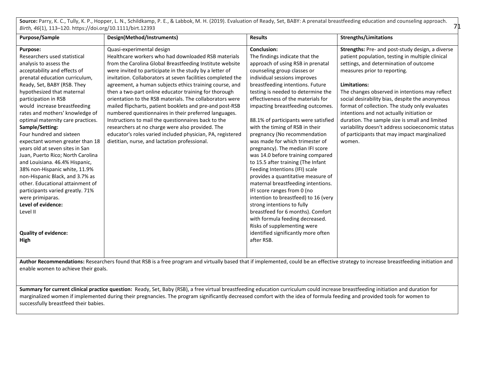Source: Parry, K. C., Tully, K. P., Hopper, L. N., Schildkamp, P. E., & Labbok, M. H. (2019). Evaluation of Ready, Set, BABY: A prenatal breastfeeding education and counseling approach. *Birth, 46*(1), 113–120. https://doi.org/10.1111/birt.12393

71

| Purpose/Sample                                                                                                                                                                                                                                                                                                                                                                                                                                                                                                                                                                                                                        | Design(Method/Instruments)                                                                                                                                                                                                                                                                                                                                                                                                                                                                                                                                                                                                                                                                                                                                                                            | <b>Results</b>                                                                                                                                                                                                                                                                                                                                                                                                                                                                                                                                                                                                                                                                           | <b>Strengths/Limitations</b>                                                                                                                                                                                                                                                                                                                                                                                                                                                                                                                                       |
|---------------------------------------------------------------------------------------------------------------------------------------------------------------------------------------------------------------------------------------------------------------------------------------------------------------------------------------------------------------------------------------------------------------------------------------------------------------------------------------------------------------------------------------------------------------------------------------------------------------------------------------|-------------------------------------------------------------------------------------------------------------------------------------------------------------------------------------------------------------------------------------------------------------------------------------------------------------------------------------------------------------------------------------------------------------------------------------------------------------------------------------------------------------------------------------------------------------------------------------------------------------------------------------------------------------------------------------------------------------------------------------------------------------------------------------------------------|------------------------------------------------------------------------------------------------------------------------------------------------------------------------------------------------------------------------------------------------------------------------------------------------------------------------------------------------------------------------------------------------------------------------------------------------------------------------------------------------------------------------------------------------------------------------------------------------------------------------------------------------------------------------------------------|--------------------------------------------------------------------------------------------------------------------------------------------------------------------------------------------------------------------------------------------------------------------------------------------------------------------------------------------------------------------------------------------------------------------------------------------------------------------------------------------------------------------------------------------------------------------|
| Purpose:<br>Researchers used statistical<br>analysis to assess the<br>acceptability and effects of<br>prenatal education curriculum,<br>Ready, Set, BABY (RSB. They<br>hypothesized that maternal<br>participation in RSB<br>would increase breastfeeding<br>rates and mothers' knowledge of<br>optimal maternity care practices.<br>Sample/Setting:<br>Four hundred and sixteen<br>expectant women greater than 18<br>years old at seven sites in San<br>Juan, Puerto Rico; North Carolina<br>and Louisiana. 46.4% Hispanic,<br>38% non-Hispanic white, 11.9%<br>non-Hispanic Black, and 3.7% as<br>other. Educational attainment of | Quasi-experimental design<br>Healthcare workers who had downloaded RSB materials<br>from the Carolina Global Breastfeeding Institute website<br>were invited to participate in the study by a letter of<br>invitation. Collaborators at seven facilities completed the<br>agreement, a human subjects ethics training course, and<br>then a two-part online educator training for thorough<br>orientation to the RSB materials. The collaborators were<br>mailed flipcharts, patient booklets and pre-and post-RSB<br>numbered questionnaires in their preferred languages.<br>Instructions to mail the questionnaires back to the<br>researchers at no charge were also provided. The<br>educator's roles varied included physician, PA, registered<br>dietitian, nurse, and lactation professional. | <b>Conclusion:</b><br>The findings indicate that the<br>approach of using RSB in prenatal<br>counseling group classes or<br>individual sessions improves<br>breastfeeding intentions. Future<br>testing is needed to determine the<br>effectiveness of the materials for<br>impacting breastfeeding outcomes.<br>88.1% of participants were satisfied<br>with the timing of RSB in their<br>pregnancy (No recommendation<br>was made for which trimester of<br>pregnancy). The median IFI score<br>was 14.0 before training compared<br>to 15.5 after training (The Infant<br>Feeding Intentions (IFI) scale<br>provides a quantitative measure of<br>maternal breastfeeding intentions. | Strengths: Pre- and post-study design, a diverse<br>patient population, testing in multiple clinical<br>settings, and determination of outcome<br>measures prior to reporting.<br>Limitations:<br>The changes observed in intentions may reflect<br>social desirability bias, despite the anonymous<br>format of collection. The study only evaluates<br>intentions and not actually initiation or<br>duration. The sample size is small and limited<br>variability doesn't address socioeconomic status<br>of participants that may impact marginalized<br>women. |
| participants varied greatly. 71%                                                                                                                                                                                                                                                                                                                                                                                                                                                                                                                                                                                                      |                                                                                                                                                                                                                                                                                                                                                                                                                                                                                                                                                                                                                                                                                                                                                                                                       | IFI score ranges from 0 (no                                                                                                                                                                                                                                                                                                                                                                                                                                                                                                                                                                                                                                                              |                                                                                                                                                                                                                                                                                                                                                                                                                                                                                                                                                                    |
| were primiparas.<br>Level of evidence:<br>Level II<br><b>Quality of evidence:</b><br>High                                                                                                                                                                                                                                                                                                                                                                                                                                                                                                                                             |                                                                                                                                                                                                                                                                                                                                                                                                                                                                                                                                                                                                                                                                                                                                                                                                       | intention to breastfeed) to 16 (very<br>strong intentions to fully<br>breastfeed for 6 months). Comfort<br>with formula feeding decreased.<br>Risks of supplementing were<br>identified significantly more often<br>after RSB.                                                                                                                                                                                                                                                                                                                                                                                                                                                           |                                                                                                                                                                                                                                                                                                                                                                                                                                                                                                                                                                    |
|                                                                                                                                                                                                                                                                                                                                                                                                                                                                                                                                                                                                                                       |                                                                                                                                                                                                                                                                                                                                                                                                                                                                                                                                                                                                                                                                                                                                                                                                       |                                                                                                                                                                                                                                                                                                                                                                                                                                                                                                                                                                                                                                                                                          |                                                                                                                                                                                                                                                                                                                                                                                                                                                                                                                                                                    |

Author Recommendations: Researchers found that RSB is a free program and virtually based that if implemented, could be an effective strategy to increase breastfeeding initiation and enable women to achieve their goals.

**Summary for current clinical practice question:** Ready, Set, Baby (RSB), a free virtual breastfeeding education curriculum could increase breastfeeding initiation and duration for marginalized women if implemented during their pregnancies. The program significantly decreased comfort with the idea of formula feeding and provided tools for women to successfully breastfeed their babies.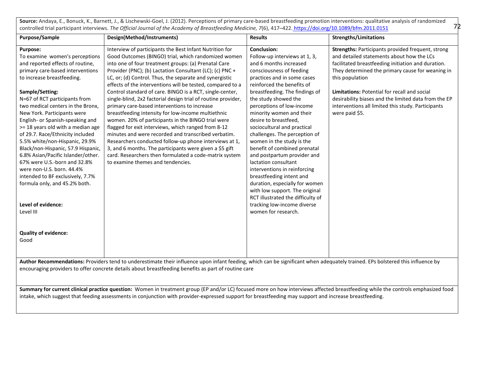**Source:** Andaya, E., Bonuck, K., Barnett, J., & Lischewski-Goel, J. (2012). Perceptions of primary care-based breastfeeding promotion interventions: qualitative analysis of randomized controlled trial participant interviews. *The Official Journal of the Academy of Breastfeeding Medicine, 7*(6), 417–422[. https://doi.org/10.1089/bfm.2011.0151](https://meet.google.com/linkredirect?authuser=1&dest=https%3A%2F%2Fdoi.org%2F10.1089%2Fbfm.2011.0151)

72

| <b>Purpose/Sample</b>                                                                                                                                                                                                                                                                                                                                                                                                                                                                                                                                                                                                                                                                                           | Design(Method/Instruments)                                                                                                                                                                                                                                                                                                                                                                                                                                                                                                                                                                                                                                                                                                                                                                                                                                                                                                                                                             | <b>Results</b>                                                                                                                                                                                                                                                                                                                                                                                                                                                                                                                                                                                                                                                                                                                    | <b>Strengths/Limitations</b>                                                                                                                                                                                                                                                                                                                                                                                       |  |
|-----------------------------------------------------------------------------------------------------------------------------------------------------------------------------------------------------------------------------------------------------------------------------------------------------------------------------------------------------------------------------------------------------------------------------------------------------------------------------------------------------------------------------------------------------------------------------------------------------------------------------------------------------------------------------------------------------------------|----------------------------------------------------------------------------------------------------------------------------------------------------------------------------------------------------------------------------------------------------------------------------------------------------------------------------------------------------------------------------------------------------------------------------------------------------------------------------------------------------------------------------------------------------------------------------------------------------------------------------------------------------------------------------------------------------------------------------------------------------------------------------------------------------------------------------------------------------------------------------------------------------------------------------------------------------------------------------------------|-----------------------------------------------------------------------------------------------------------------------------------------------------------------------------------------------------------------------------------------------------------------------------------------------------------------------------------------------------------------------------------------------------------------------------------------------------------------------------------------------------------------------------------------------------------------------------------------------------------------------------------------------------------------------------------------------------------------------------------|--------------------------------------------------------------------------------------------------------------------------------------------------------------------------------------------------------------------------------------------------------------------------------------------------------------------------------------------------------------------------------------------------------------------|--|
| Purpose:<br>To examine women's perceptions<br>and reported effects of routine,<br>primary care-based interventions<br>to increase breastfeeding.<br>Sample/Setting:<br>N=67 of RCT participants from<br>two medical centers in the Bronx,<br>New York. Participants were<br>English- or Spanish-speaking and<br>>= 18 years old with a median age<br>of 29.7. Race/Ethnicity included<br>5.5% white/non-Hispanic, 29.9%<br>Black/non-Hispanic, 57.9 Hispanic,<br>6.8% Asian/Pacific Islander/other.<br>67% were U.S.-born and 32.8%<br>were non-U.S. born. 44.4%<br>intended to BF exclusively, 7.7%<br>formula only, and 45.2% both.<br>Level of evidence:<br>Level III<br><b>Quality of evidence:</b><br>Good | Interview of participants the Best Infant Nutrition for<br>Good Outcomes (BINGO) trial, which randomized women<br>into one of four treatment groups: (a) Prenatal Care<br>Provider (PNC); (b) Lactation Consultant (LC); (c) PNC +<br>LC, or; (d) Control. Thus, the separate and synergistic<br>effects of the interventions will be tested, compared to a<br>Control standard of care. BINGO is a RCT, single-center,<br>single-blind, 2x2 factorial design trial of routine provider,<br>primary care-based interventions to increase<br>breastfeeding intensity for low-income multiethnic<br>women. 20% of participants in the BINGO trial were<br>flagged for exit interviews, which ranged from 8-12<br>minutes and were recorded and transcribed verbatim.<br>Researchers conducted follow-up phone interviews at 1,<br>3, and 6 months. The participants were given a \$5 gift<br>card. Researchers then formulated a code-matrix system<br>to examine themes and tendencies. | <b>Conclusion:</b><br>Follow-up interviews at 1, 3,<br>and 6 months increased<br>consciousness of feeding<br>practices and in some cases<br>reinforced the benefits of<br>breastfeeding. The findings of<br>the study showed the<br>perceptions of low-income<br>minority women and their<br>desire to breastfeed,<br>sociocultural and practical<br>challenges. The perception of<br>women in the study is the<br>benefit of combined prenatal<br>and postpartum provider and<br>lactation consultant<br>interventions in reinforcing<br>breastfeeding intent and<br>duration, especially for women<br>with low support. The original<br>RCT illustrated the difficulty of<br>tracking low-income diverse<br>women for research. | Strengths: Participants provided frequent, strong<br>and detailed statements about how the LCs<br>facilitated breastfeeding initiation and duration.<br>They determined the primary cause for weaning in<br>this population<br><b>Limitations: Potential for recall and social</b><br>desirability biases and the limited data from the EP<br>interventions all limited this study. Participants<br>were paid \$5. |  |
|                                                                                                                                                                                                                                                                                                                                                                                                                                                                                                                                                                                                                                                                                                                 | Author Recommendations: Providers tend to underestimate their influence upon infant feeding, which can be significant when adequately trained. EPs bolstered this influence by                                                                                                                                                                                                                                                                                                                                                                                                                                                                                                                                                                                                                                                                                                                                                                                                         |                                                                                                                                                                                                                                                                                                                                                                                                                                                                                                                                                                                                                                                                                                                                   |                                                                                                                                                                                                                                                                                                                                                                                                                    |  |
| encouraging providers to offer concrete details about breastfeeding benefits as part of routine care                                                                                                                                                                                                                                                                                                                                                                                                                                                                                                                                                                                                            |                                                                                                                                                                                                                                                                                                                                                                                                                                                                                                                                                                                                                                                                                                                                                                                                                                                                                                                                                                                        |                                                                                                                                                                                                                                                                                                                                                                                                                                                                                                                                                                                                                                                                                                                                   |                                                                                                                                                                                                                                                                                                                                                                                                                    |  |

**Summary for current clinical practice question:** Women in treatment group (EP and/or LC) focused more on how interviews affected breastfeeding while the controls emphasized food intake, which suggest that feeding assessments in conjunction with provider-expressed support for breastfeeding may support and increase breastfeeding.